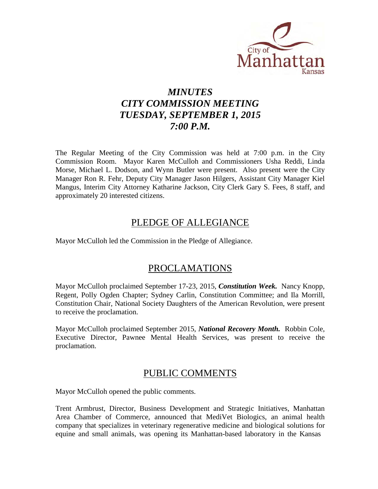

# *MINUTES CITY COMMISSION MEETING TUESDAY, SEPTEMBER 1, 2015 7:00 P.M.*

The Regular Meeting of the City Commission was held at 7:00 p.m. in the City Commission Room. Mayor Karen McCulloh and Commissioners Usha Reddi, Linda Morse, Michael L. Dodson, and Wynn Butler were present. Also present were the City Manager Ron R. Fehr, Deputy City Manager Jason Hilgers, Assistant City Manager Kiel Mangus, Interim City Attorney Katharine Jackson, City Clerk Gary S. Fees, 8 staff, and approximately 20 interested citizens.

## PLEDGE OF ALLEGIANCE

Mayor McCulloh led the Commission in the Pledge of Allegiance.

## PROCLAMATIONS

Mayor McCulloh proclaimed September 17-23, 2015, *Constitution Week.* Nancy Knopp, Regent, Polly Ogden Chapter; Sydney Carlin, Constitution Committee; and Ila Morrill, Constitution Chair, National Society Daughters of the American Revolution, were present to receive the proclamation.

Mayor McCulloh proclaimed September 2015, *National Recovery Month.* Robbin Cole, Executive Director, Pawnee Mental Health Services, was present to receive the proclamation.

## PUBLIC COMMENTS

Mayor McCulloh opened the public comments.

Trent Armbrust, Director, Business Development and Strategic Initiatives, Manhattan Area Chamber of Commerce, announced that MediVet Biologics, an animal health company that specializes in veterinary regenerative medicine and biological solutions for equine and small animals, was opening its Manhattan-based laboratory in the Kansas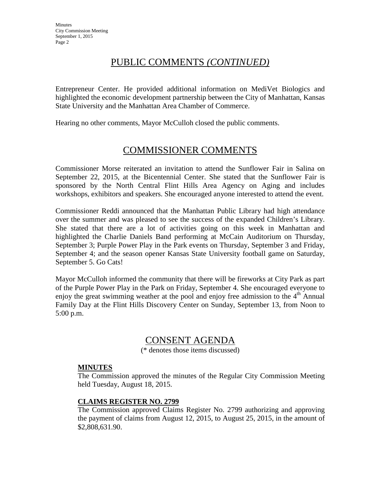# PUBLIC COMMENTS *(CONTINUED)*

Entrepreneur Center. He provided additional information on MediVet Biologics and highlighted the economic development partnership between the City of Manhattan, Kansas State University and the Manhattan Area Chamber of Commerce.

Hearing no other comments, Mayor McCulloh closed the public comments.

# COMMISSIONER COMMENTS

Commissioner Morse reiterated an invitation to attend the Sunflower Fair in Salina on September 22, 2015, at the Bicentennial Center. She stated that the Sunflower Fair is sponsored by the North Central Flint Hills Area Agency on Aging and includes workshops, exhibitors and speakers. She encouraged anyone interested to attend the event.

Commissioner Reddi announced that the Manhattan Public Library had high attendance over the summer and was pleased to see the success of the expanded Children's Library. She stated that there are a lot of activities going on this week in Manhattan and highlighted the Charlie Daniels Band performing at McCain Auditorium on Thursday, September 3; Purple Power Play in the Park events on Thursday, September 3 and Friday, September 4; and the season opener Kansas State University football game on Saturday, September 5. Go Cats!

Mayor McCulloh informed the community that there will be fireworks at City Park as part of the Purple Power Play in the Park on Friday, September 4. She encouraged everyone to enjoy the great swimming weather at the pool and enjoy free admission to the  $4<sup>th</sup>$  Annual Family Day at the Flint Hills Discovery Center on Sunday, September 13, from Noon to 5:00 p.m.

## CONSENT AGENDA

(\* denotes those items discussed)

#### **MINUTES**

The Commission approved the minutes of the Regular City Commission Meeting held Tuesday, August 18, 2015.

#### **CLAIMS REGISTER NO. 2799**

The Commission approved Claims Register No. 2799 authorizing and approving the payment of claims from August 12, 2015, to August 25, 2015, in the amount of \$2,808,631.90.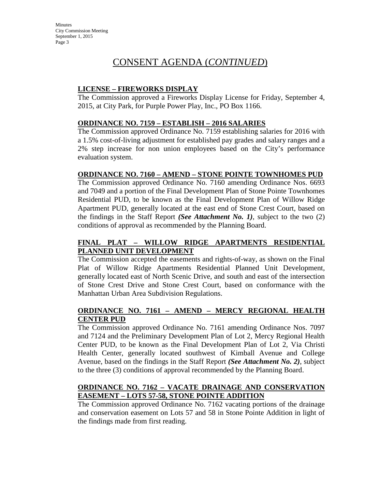# CONSENT AGENDA (*CONTINUED*)

### **LICENSE – FIREWORKS DISPLAY**

The Commission approved a Fireworks Display License for Friday, September 4, 2015, at City Park, for Purple Power Play, Inc., PO Box 1166.

## **ORDINANCE NO. 7159 – ESTABLISH – 2016 SALARIES**

The Commission approved Ordinance No. 7159 establishing salaries for 2016 with a 1.5% cost-of-living adjustment for established pay grades and salary ranges and a 2% step increase for non union employees based on the City's performance evaluation system.

## **ORDINANCE NO. 7160 – AMEND – STONE POINTE TOWNHOMES PUD**

The Commission approved Ordinance No. 7160 amending Ordinance Nos. 6693 and 7049 and a portion of the Final Development Plan of Stone Pointe Townhomes Residential PUD, to be known as the Final Development Plan of Willow Ridge Apartment PUD, generally located at the east end of Stone Crest Court, based on the findings in the Staff Report *(See Attachment No. 1)*, subject to the two (2) conditions of approval as recommended by the Planning Board.

## **FINAL PLAT – WILLOW RIDGE APARTMENTS RESIDENTIAL PLANNED UNIT DEVELOPMENT**

The Commission accepted the easements and rights-of-way, as shown on the Final Plat of Willow Ridge Apartments Residential Planned Unit Development, generally located east of North Scenic Drive, and south and east of the intersection of Stone Crest Drive and Stone Crest Court, based on conformance with the Manhattan Urban Area Subdivision Regulations.

#### **ORDINANCE NO. 7161 – AMEND – MERCY REGIONAL HEALTH CENTER PUD**

The Commission approved Ordinance No. 7161 amending Ordinance Nos. 7097 and 7124 and the Preliminary Development Plan of Lot 2, Mercy Regional Health Center PUD, to be known as the Final Development Plan of Lot 2, Via Christi Health Center, generally located southwest of Kimball Avenue and College Avenue, based on the findings in the Staff Report *(See Attachment No. 2)*, subject to the three (3) conditions of approval recommended by the Planning Board.

#### **ORDINANCE NO. 7162 – VACATE DRAINAGE AND CONSERVATION EASEMENT – LOTS 57-58, STONE POINTE ADDITION**

The Commission approved Ordinance No. 7162 vacating portions of the drainage and conservation easement on Lots 57 and 58 in Stone Pointe Addition in light of the findings made from first reading.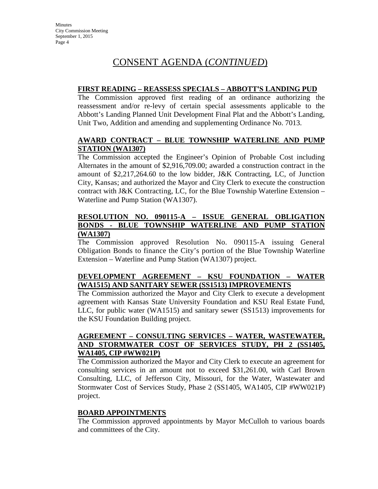# CONSENT AGENDA (*CONTINUED*)

#### **FIRST READING – REASSESS SPECIALS – ABBOTT'S LANDING PUD**

The Commission approved first reading of an ordinance authorizing the reassessment and/or re-levy of certain special assessments applicable to the Abbott's Landing Planned Unit Development Final Plat and the Abbott's Landing, Unit Two, Addition and amending and supplementing Ordinance No. 7013.

#### **AWARD CONTRACT – BLUE TOWNSHIP WATERLINE AND PUMP STATION (WA1307)**

The Commission accepted the Engineer's Opinion of Probable Cost including Alternates in the amount of \$2,916,709.00; awarded a construction contract in the amount of \$2,217,264.60 to the low bidder, J&K Contracting, LC, of Junction City, Kansas; and authorized the Mayor and City Clerk to execute the construction contract with J&K Contracting, LC, for the Blue Township Waterline Extension – Waterline and Pump Station (WA1307).

#### **RESOLUTION NO. 090115-A – ISSUE GENERAL OBLIGATION BONDS - BLUE TOWNSHIP WATERLINE AND PUMP STATION (WA1307)**

The Commission approved Resolution No. 090115-A issuing General Obligation Bonds to finance the City's portion of the Blue Township Waterline Extension – Waterline and Pump Station (WA1307) project.

## **DEVELOPMENT AGREEMENT – KSU FOUNDATION – WATER (WA1515) AND SANITARY SEWER (SS1513) IMPROVEMENTS**

The Commission authorized the Mayor and City Clerk to execute a development agreement with Kansas State University Foundation and KSU Real Estate Fund, LLC, for public water (WA1515) and sanitary sewer (SS1513) improvements for the KSU Foundation Building project.

#### **AGREEMENT – CONSULTING SERVICES – WATER, WASTEWATER, AND STORMWATER COST OF SERVICES STUDY, PH 2 (SS1405, WA1405, CIP #WW021P)**

The Commission authorized the Mayor and City Clerk to execute an agreement for consulting services in an amount not to exceed \$31,261.00, with Carl Brown Consulting, LLC, of Jefferson City, Missouri, for the Water, Wastewater and Stormwater Cost of Services Study, Phase 2 (SS1405, WA1405, CIP #WW021P) project.

#### **BOARD APPOINTMENTS**

The Commission approved appointments by Mayor McCulloh to various boards and committees of the City.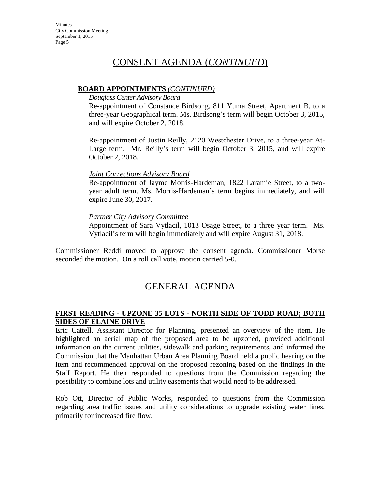## CONSENT AGENDA (*CONTINUED*)

#### **BOARD APPOINTMENTS** *(CONTINUED)*

#### *Douglass Center Advisory Board*

Re-appointment of Constance Birdsong, 811 Yuma Street, Apartment B, to a three-year Geographical term. Ms. Birdsong's term will begin October 3, 2015, and will expire October 2, 2018.

Re-appointment of Justin Reilly, 2120 Westchester Drive, to a three-year At-Large term. Mr. Reilly's term will begin October 3, 2015, and will expire October 2, 2018.

#### *Joint Corrections Advisory Board*

Re-appointment of Jayme Morris-Hardeman, 1822 Laramie Street, to a twoyear adult term. Ms. Morris-Hardeman's term begins immediately, and will expire June 30, 2017.

#### *Partner City Advisory Committee*

Appointment of Sara Vytlacil, 1013 Osage Street, to a three year term. Ms. Vytlacil's term will begin immediately and will expire August 31, 2018.

Commissioner Reddi moved to approve the consent agenda. Commissioner Morse seconded the motion. On a roll call vote, motion carried 5-0.

## GENERAL AGENDA

#### **FIRST READING - UPZONE 35 LOTS - NORTH SIDE OF TODD ROAD; BOTH SIDES OF ELAINE DRIVE**

Eric Cattell, Assistant Director for Planning, presented an overview of the item. He highlighted an aerial map of the proposed area to be upzoned, provided additional information on the current utilities, sidewalk and parking requirements, and informed the Commission that the Manhattan Urban Area Planning Board held a public hearing on the item and recommended approval on the proposed rezoning based on the findings in the Staff Report. He then responded to questions from the Commission regarding the possibility to combine lots and utility easements that would need to be addressed.

Rob Ott, Director of Public Works, responded to questions from the Commission regarding area traffic issues and utility considerations to upgrade existing water lines, primarily for increased fire flow.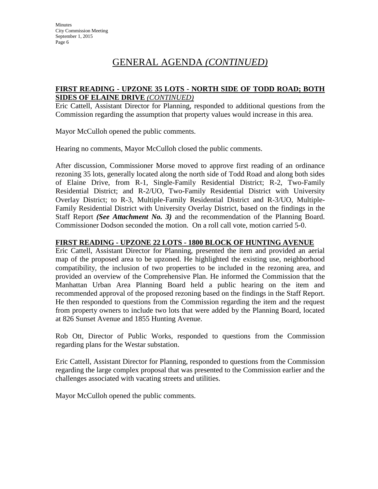#### **FIRST READING - UPZONE 35 LOTS - NORTH SIDE OF TODD ROAD; BOTH SIDES OF ELAINE DRIVE** *(CONTINUED)*

Eric Cattell, Assistant Director for Planning, responded to additional questions from the Commission regarding the assumption that property values would increase in this area.

Mayor McCulloh opened the public comments.

Hearing no comments, Mayor McCulloh closed the public comments.

After discussion, Commissioner Morse moved to approve first reading of an ordinance rezoning 35 lots, generally located along the north side of Todd Road and along both sides of Elaine Drive, from R-1, Single-Family Residential District; R-2, Two-Family Residential District; and R-2/UO, Two-Family Residential District with University Overlay District; to R-3, Multiple-Family Residential District and R-3/UO, Multiple-Family Residential District with University Overlay District, based on the findings in the Staff Report *(See Attachment No. 3)* and the recommendation of the Planning Board. Commissioner Dodson seconded the motion. On a roll call vote, motion carried 5-0.

#### **FIRST READING - UPZONE 22 LOTS - 1800 BLOCK OF HUNTING AVENUE**

Eric Cattell, Assistant Director for Planning, presented the item and provided an aerial map of the proposed area to be upzoned. He highlighted the existing use, neighborhood compatibility, the inclusion of two properties to be included in the rezoning area, and provided an overview of the Comprehensive Plan. He informed the Commission that the Manhattan Urban Area Planning Board held a public hearing on the item and recommended approval of the proposed rezoning based on the findings in the Staff Report. He then responded to questions from the Commission regarding the item and the request from property owners to include two lots that were added by the Planning Board, located at 826 Sunset Avenue and 1855 Hunting Avenue.

Rob Ott, Director of Public Works, responded to questions from the Commission regarding plans for the Westar substation.

Eric Cattell, Assistant Director for Planning, responded to questions from the Commission regarding the large complex proposal that was presented to the Commission earlier and the challenges associated with vacating streets and utilities.

Mayor McCulloh opened the public comments.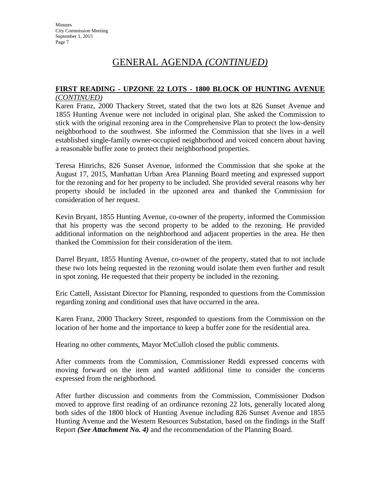#### **FIRST READING - UPZONE 22 LOTS - 1800 BLOCK OF HUNTING AVENUE** *(CONTINUED)*

Karen Franz, 2000 Thackery Street, stated that the two lots at 826 Sunset Avenue and 1855 Hunting Avenue were not included in original plan. She asked the Commission to stick with the original rezoning area in the Comprehensive Plan to protect the low-density neighborhood to the southwest. She informed the Commission that she lives in a well established single-family owner-occupied neighborhood and voiced concern about having a reasonable buffer zone to protect their neighborhood properties.

Teresa Hinrichs, 826 Sunset Avenue, informed the Commission that she spoke at the August 17, 2015, Manhattan Urban Area Planning Board meeting and expressed support for the rezoning and for her property to be included. She provided several reasons why her property should be included in the upzoned area and thanked the Commission for consideration of her request.

Kevin Bryant, 1855 Hunting Avenue, co-owner of the property, informed the Commission that his property was the second property to be added to the rezoning. He provided additional information on the neighborhood and adjacent properties in the area. He then thanked the Commission for their consideration of the item.

Darrel Bryant, 1855 Hunting Avenue, co-owner of the property, stated that to not include these two lots being requested in the rezoning would isolate them even further and result in spot zoning. He requested that their property be included in the rezoning.

Eric Cattell, Assistant Director for Planning, responded to questions from the Commission regarding zoning and conditional uses that have occurred in the area.

Karen Franz, 2000 Thackery Street, responded to questions from the Commission on the location of her home and the importance to keep a buffer zone for the residential area.

Hearing no other comments, Mayor McCulloh closed the public comments.

After comments from the Commission, Commissioner Reddi expressed concerns with moving forward on the item and wanted additional time to consider the concerns expressed from the neighborhood.

After further discussion and comments from the Commission, Commissioner Dodson moved to approve first reading of an ordinance rezoning 22 lots, generally located along both sides of the 1800 block of Hunting Avenue including 826 Sunset Avenue and 1855 Hunting Avenue and the Western Resources Substation, based on the findings in the Staff Report *(See Attachment No. 4)* and the recommendation of the Planning Board.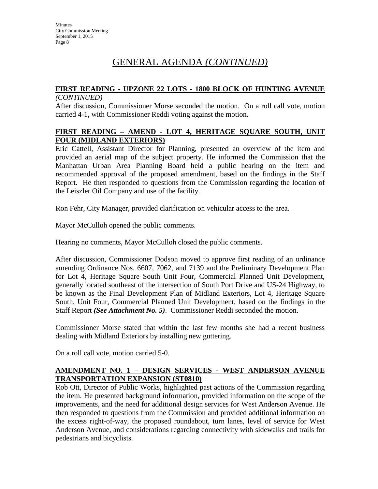#### **FIRST READING - UPZONE 22 LOTS - 1800 BLOCK OF HUNTING AVENUE** *(CONTINUED)*

After discussion, Commissioner Morse seconded the motion. On a roll call vote, motion carried 4-1, with Commissioner Reddi voting against the motion.

#### **FIRST READING – AMEND - LOT 4, HERITAGE SQUARE SOUTH, UNIT FOUR (MIDLAND EXTERIORS)**

Eric Cattell, Assistant Director for Planning, presented an overview of the item and provided an aerial map of the subject property. He informed the Commission that the Manhattan Urban Area Planning Board held a public hearing on the item and recommended approval of the proposed amendment, based on the findings in the Staff Report. He then responded to questions from the Commission regarding the location of the Leiszler Oil Company and use of the facility.

Ron Fehr, City Manager, provided clarification on vehicular access to the area.

Mayor McCulloh opened the public comments.

Hearing no comments, Mayor McCulloh closed the public comments.

After discussion, Commissioner Dodson moved to approve first reading of an ordinance amending Ordinance Nos. 6607, 7062, and 7139 and the Preliminary Development Plan for Lot 4, Heritage Square South Unit Four, Commercial Planned Unit Development, generally located southeast of the intersection of South Port Drive and US-24 Highway, to be known as the Final Development Plan of Midland Exteriors, Lot 4, Heritage Square South, Unit Four, Commercial Planned Unit Development, based on the findings in the Staff Report *(See Attachment No. 5)*. Commissioner Reddi seconded the motion.

Commissioner Morse stated that within the last few months she had a recent business dealing with Midland Exteriors by installing new guttering.

On a roll call vote, motion carried 5-0.

#### **AMENDMENT NO. 1 – DESIGN SERVICES - WEST ANDERSON AVENUE TRANSPORTATION EXPANSION (ST0810)**

Rob Ott, Director of Public Works, highlighted past actions of the Commission regarding the item. He presented background information, provided information on the scope of the improvements, and the need for additional design services for West Anderson Avenue. He then responded to questions from the Commission and provided additional information on the excess right-of-way, the proposed roundabout, turn lanes, level of service for West Anderson Avenue, and considerations regarding connectivity with sidewalks and trails for pedestrians and bicyclists.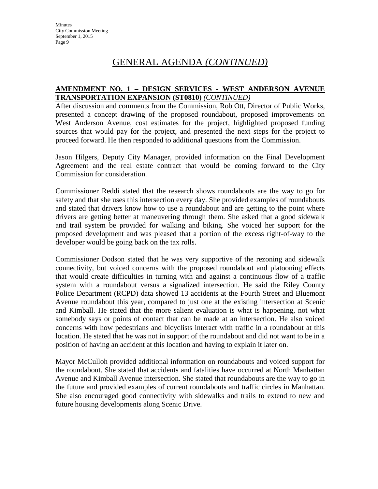#### **AMENDMENT NO. 1 – DESIGN SERVICES - WEST ANDERSON AVENUE TRANSPORTATION EXPANSION (ST0810)** *(CONTINUED)*

After discussion and comments from the Commission, Rob Ott, Director of Public Works, presented a concept drawing of the proposed roundabout, proposed improvements on West Anderson Avenue, cost estimates for the project, highlighted proposed funding sources that would pay for the project, and presented the next steps for the project to proceed forward. He then responded to additional questions from the Commission.

Jason Hilgers, Deputy City Manager, provided information on the Final Development Agreement and the real estate contract that would be coming forward to the City Commission for consideration.

Commissioner Reddi stated that the research shows roundabouts are the way to go for safety and that she uses this intersection every day. She provided examples of roundabouts and stated that drivers know how to use a roundabout and are getting to the point where drivers are getting better at maneuvering through them. She asked that a good sidewalk and trail system be provided for walking and biking. She voiced her support for the proposed development and was pleased that a portion of the excess right-of-way to the developer would be going back on the tax rolls.

Commissioner Dodson stated that he was very supportive of the rezoning and sidewalk connectivity, but voiced concerns with the proposed roundabout and platooning effects that would create difficulties in turning with and against a continuous flow of a traffic system with a roundabout versus a signalized intersection. He said the Riley County Police Department (RCPD) data showed 13 accidents at the Fourth Street and Bluemont Avenue roundabout this year, compared to just one at the existing intersection at Scenic and Kimball. He stated that the more salient evaluation is what is happening, not what somebody says or points of contact that can be made at an intersection. He also voiced concerns with how pedestrians and bicyclists interact with traffic in a roundabout at this location. He stated that he was not in support of the roundabout and did not want to be in a position of having an accident at this location and having to explain it later on.

Mayor McCulloh provided additional information on roundabouts and voiced support for the roundabout. She stated that accidents and fatalities have occurred at North Manhattan Avenue and Kimball Avenue intersection. She stated that roundabouts are the way to go in the future and provided examples of current roundabouts and traffic circles in Manhattan. She also encouraged good connectivity with sidewalks and trails to extend to new and future housing developments along Scenic Drive.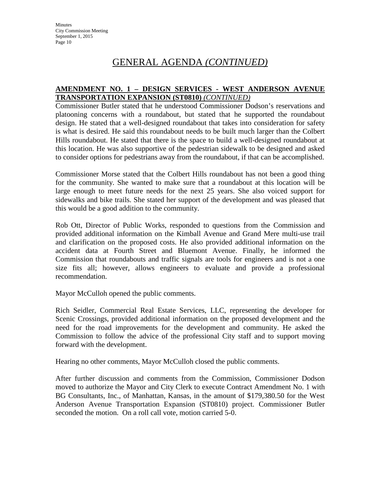#### **AMENDMENT NO. 1 – DESIGN SERVICES - WEST ANDERSON AVENUE TRANSPORTATION EXPANSION (ST0810)** *(CONTINUED)*

Commissioner Butler stated that he understood Commissioner Dodson's reservations and platooning concerns with a roundabout, but stated that he supported the roundabout design. He stated that a well-designed roundabout that takes into consideration for safety is what is desired. He said this roundabout needs to be built much larger than the Colbert Hills roundabout. He stated that there is the space to build a well-designed roundabout at this location. He was also supportive of the pedestrian sidewalk to be designed and asked to consider options for pedestrians away from the roundabout, if that can be accomplished.

Commissioner Morse stated that the Colbert Hills roundabout has not been a good thing for the community. She wanted to make sure that a roundabout at this location will be large enough to meet future needs for the next 25 years. She also voiced support for sidewalks and bike trails. She stated her support of the development and was pleased that this would be a good addition to the community.

Rob Ott, Director of Public Works, responded to questions from the Commission and provided additional information on the Kimball Avenue and Grand Mere multi-use trail and clarification on the proposed costs. He also provided additional information on the accident data at Fourth Street and Bluemont Avenue. Finally, he informed the Commission that roundabouts and traffic signals are tools for engineers and is not a one size fits all; however, allows engineers to evaluate and provide a professional recommendation.

Mayor McCulloh opened the public comments.

Rich Seidler, Commercial Real Estate Services, LLC, representing the developer for Scenic Crossings, provided additional information on the proposed development and the need for the road improvements for the development and community. He asked the Commission to follow the advice of the professional City staff and to support moving forward with the development.

Hearing no other comments, Mayor McCulloh closed the public comments.

After further discussion and comments from the Commission, Commissioner Dodson moved to authorize the Mayor and City Clerk to execute Contract Amendment No. 1 with BG Consultants, Inc., of Manhattan, Kansas, in the amount of \$179,380.50 for the West Anderson Avenue Transportation Expansion (ST0810) project. Commissioner Butler seconded the motion. On a roll call vote, motion carried 5-0.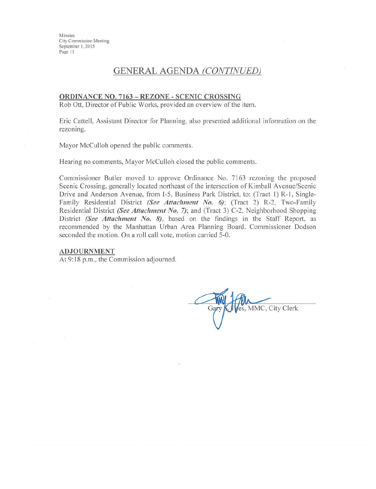Minutes City Commission Meeting September 1, 2015 Page 11

## **GENERAL AGENDA (CONTINUED)**

#### ORDINANCE NO. 7163 - REZONE - SCENIC CROSSING

Rob Ott, Director of Public Works, provided an overview of the item.

Eric Cattell, Assistant Director for Planning, also presented additional information on the rezoning.

Mayor McCulloh opened the public comments.

Hearing no comments, Mayor McCulloh closed the public comments.

Commissioner Butler moved to approve Ordinance No. 7163 rezoning the proposed Scenic Crossing, generally located northeast of the intersection of Kimball Avenue/Scenic Drive and Anderson Avenue, from I-5, Business Park District, to: (Tract 1) R-1, Single-Family Residential District (See Attachment No. 6); (Tract 2) R-2, Two-Family Residential District (See Attachment No. 7); and (Tract 3) C-2, Neighborhood Shopping District (See Attachment No. 8), based on the findings in the Staff Report, as recommended by the Manhattan Urban Area Planning Board. Commissioner Dodson seconded the motion. On a roll call vote, motion carried 5-0.

#### **ADJOURNMENT**

At 9:18 p.m., the Commission adjourned.

es, MMC, City Clerk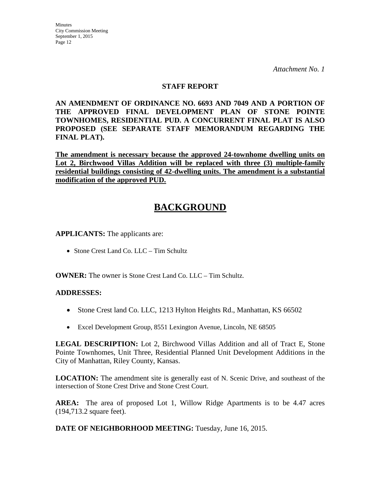#### **STAFF REPORT**

**AN AMENDMENT OF ORDINANCE NO. 6693 AND 7049 AND A PORTION OF THE APPROVED FINAL DEVELOPMENT PLAN OF STONE POINTE TOWNHOMES, RESIDENTIAL PUD. A CONCURRENT FINAL PLAT IS ALSO PROPOSED (SEE SEPARATE STAFF MEMORANDUM REGARDING THE FINAL PLAT).**

**The amendment is necessary because the approved 24-townhome dwelling units on Lot 2, Birchwood Villas Addition will be replaced with three (3) multiple-family residential buildings consisting of 42-dwelling units. The amendment is a substantial modification of the approved PUD.**

# **BACKGROUND**

**APPLICANTS:** The applicants are:

• Stone Crest Land Co. LLC – Tim Schultz

**OWNER:** The owner is Stone Crest Land Co. LLC – Tim Schultz.

#### **ADDRESSES:**

- Stone Crest land Co. LLC, 1213 Hylton Heights Rd., Manhattan, KS 66502
- Excel Development Group, 8551 Lexington Avenue, Lincoln, NE 68505

**LEGAL DESCRIPTION:** Lot 2, Birchwood Villas Addition and all of Tract E, Stone Pointe Townhomes, Unit Three, Residential Planned Unit Development Additions in the City of Manhattan, Riley County, Kansas.

**LOCATION:** The amendment site is generally east of N. Scenic Drive, and southeast of the intersection of Stone Crest Drive and Stone Crest Court.

**AREA:** The area of proposed Lot 1, Willow Ridge Apartments is to be 4.47 acres (194,713.2 square feet).

**DATE OF NEIGHBORHOOD MEETING:** Tuesday, June 16, 2015.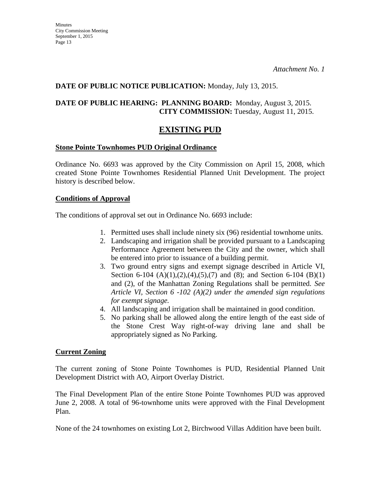#### **DATE OF PUBLIC NOTICE PUBLICATION:** Monday, July 13, 2015.

#### **DATE OF PUBLIC HEARING: PLANNING BOARD:** Monday, August 3, 2015. **CITY COMMISSION:** Tuesday, August 11, 2015.

## **EXISTING PUD**

#### **Stone Pointe Townhomes PUD Original Ordinance**

Ordinance No. 6693 was approved by the City Commission on April 15, 2008, which created Stone Pointe Townhomes Residential Planned Unit Development. The project history is described below.

#### **Conditions of Approval**

The conditions of approval set out in Ordinance No. 6693 include:

- 1. Permitted uses shall include ninety six (96) residential townhome units.
- 2. Landscaping and irrigation shall be provided pursuant to a Landscaping Performance Agreement between the City and the owner, which shall be entered into prior to issuance of a building permit.
- 3. Two ground entry signs and exempt signage described in Article VI, Section 6-104  $(A)(1),(2),(4),(5),(7)$  and  $(8)$ ; and Section 6-104  $(B)(1)$ and (2), of the Manhattan Zoning Regulations shall be permitted. *See Article VI, Section 6 -102 (A)(2) under the amended sign regulations for exempt signage.*
- 4. All landscaping and irrigation shall be maintained in good condition.
- 5. No parking shall be allowed along the entire length of the east side of the Stone Crest Way right-of-way driving lane and shall be appropriately signed as No Parking.

#### **Current Zoning**

The current zoning of Stone Pointe Townhomes is PUD, Residential Planned Unit Development District with AO, Airport Overlay District.

The Final Development Plan of the entire Stone Pointe Townhomes PUD was approved June 2, 2008. A total of 96-townhome units were approved with the Final Development Plan.

None of the 24 townhomes on existing Lot 2, Birchwood Villas Addition have been built.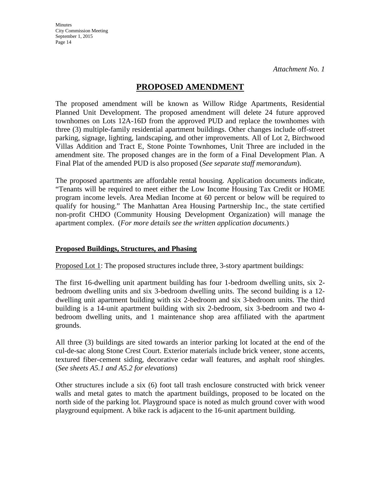## **PROPOSED AMENDMENT**

The proposed amendment will be known as Willow Ridge Apartments, Residential Planned Unit Development. The proposed amendment will delete 24 future approved townhomes on Lots 12A-16D from the approved PUD and replace the townhomes with three (3) multiple-family residential apartment buildings. Other changes include off-street parking, signage, lighting, landscaping, and other improvements. All of Lot 2, Birchwood Villas Addition and Tract E, Stone Pointe Townhomes, Unit Three are included in the amendment site. The proposed changes are in the form of a Final Development Plan. A Final Plat of the amended PUD is also proposed (*See separate staff memorandum*).

The proposed apartments are affordable rental housing. Application documents indicate, "Tenants will be required to meet either the Low Income Housing Tax Credit or HOME program income levels. Area Median Income at 60 percent or below will be required to qualify for housing." The Manhattan Area Housing Partnership Inc., the state certified non-profit CHDO (Community Housing Development Organization) will manage the apartment complex. (*For more details see the written application documents*.)

#### **Proposed Buildings, Structures, and Phasing**

Proposed Lot 1: The proposed structures include three, 3-story apartment buildings:

The first 16-dwelling unit apartment building has four 1-bedroom dwelling units, six 2 bedroom dwelling units and six 3-bedroom dwelling units. The second building is a 12 dwelling unit apartment building with six 2-bedroom and six 3-bedroom units. The third building is a 14-unit apartment building with six 2-bedroom, six 3-bedroom and two 4 bedroom dwelling units, and 1 maintenance shop area affiliated with the apartment grounds.

All three (3) buildings are sited towards an interior parking lot located at the end of the cul-de-sac along Stone Crest Court. Exterior materials include brick veneer, stone accents, textured fiber-cement siding, decorative cedar wall features, and asphalt roof shingles. (*See sheets A5.1 and A5.2 for elevations*)

Other structures include a six (6) foot tall trash enclosure constructed with brick veneer walls and metal gates to match the apartment buildings, proposed to be located on the north side of the parking lot. Playground space is noted as mulch ground cover with wood playground equipment. A bike rack is adjacent to the 16-unit apartment building.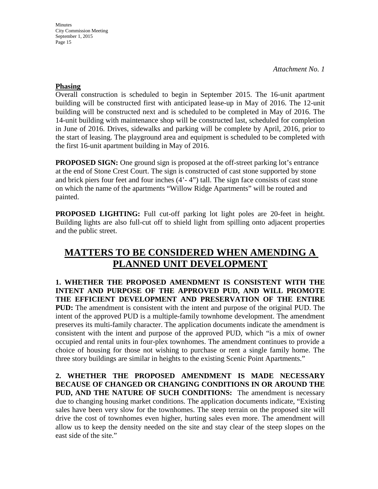**Minutes** City Commission Meeting September 1, 2015 Page 15

*Attachment No. 1* 

#### **Phasing**

Overall construction is scheduled to begin in September 2015. The 16-unit apartment building will be constructed first with anticipated lease-up in May of 2016. The 12-unit building will be constructed next and is scheduled to be completed in May of 2016. The 14-unit building with maintenance shop will be constructed last, scheduled for completion in June of 2016. Drives, sidewalks and parking will be complete by April, 2016, prior to the start of leasing. The playground area and equipment is scheduled to be completed with the first 16-unit apartment building in May of 2016.

**PROPOSED SIGN:** One ground sign is proposed at the off-street parking lot's entrance at the end of Stone Crest Court. The sign is constructed of cast stone supported by stone and brick piers four feet and four inches (4'- 4") tall. The sign face consists of cast stone on which the name of the apartments "Willow Ridge Apartments" will be routed and painted.

**PROPOSED LIGHTING:** Full cut-off parking lot light poles are 20-feet in height. Building lights are also full-cut off to shield light from spilling onto adjacent properties and the public street.

# **MATTERS TO BE CONSIDERED WHEN AMENDING A PLANNED UNIT DEVELOPMENT**

**1. WHETHER THE PROPOSED AMENDMENT IS CONSISTENT WITH THE INTENT AND PURPOSE OF THE APPROVED PUD, AND WILL PROMOTE THE EFFICIENT DEVELOPMENT AND PRESERVATION OF THE ENTIRE PUD:** The amendment is consistent with the intent and purpose of the original PUD. The intent of the approved PUD is a multiple-family townhome development. The amendment preserves its multi-family character. The application documents indicate the amendment is consistent with the intent and purpose of the approved PUD, which "is a mix of owner occupied and rental units in four-plex townhomes. The amendment continues to provide a choice of housing for those not wishing to purchase or rent a single family home. The three story buildings are similar in heights to the existing Scenic Point Apartments."

**2. WHETHER THE PROPOSED AMENDMENT IS MADE NECESSARY BECAUSE OF CHANGED OR CHANGING CONDITIONS IN OR AROUND THE PUD, AND THE NATURE OF SUCH CONDITIONS:** The amendment is necessary due to changing housing market conditions. The application documents indicate, "Existing sales have been very slow for the townhomes. The steep terrain on the proposed site will drive the cost of townhomes even higher, hurting sales even more. The amendment will allow us to keep the density needed on the site and stay clear of the steep slopes on the east side of the site."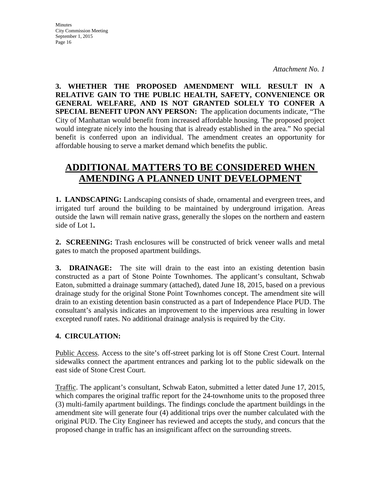**3. WHETHER THE PROPOSED AMENDMENT WILL RESULT IN A RELATIVE GAIN TO THE PUBLIC HEALTH, SAFETY, CONVENIENCE OR GENERAL WELFARE, AND IS NOT GRANTED SOLELY TO CONFER A SPECIAL BENEFIT UPON ANY PERSON:** The application documents indicate, "The City of Manhattan would benefit from increased affordable housing. The proposed project would integrate nicely into the housing that is already established in the area." No special benefit is conferred upon an individual. The amendment creates an opportunity for affordable housing to serve a market demand which benefits the public.

# **ADDITIONAL MATTERS TO BE CONSIDERED WHEN AMENDING A PLANNED UNIT DEVELOPMENT**

**1. LANDSCAPING:** Landscaping consists of shade, ornamental and evergreen trees, and irrigated turf around the building to be maintained by underground irrigation. Areas outside the lawn will remain native grass, generally the slopes on the northern and eastern side of Lot 1**.** 

**2. SCREENING:** Trash enclosures will be constructed of brick veneer walls and metal gates to match the proposed apartment buildings.

**3. DRAINAGE:** The site will drain to the east into an existing detention basin constructed as a part of Stone Pointe Townhomes. The applicant's consultant, Schwab Eaton, submitted a drainage summary (attached), dated June 18, 2015, based on a previous drainage study for the original Stone Point Townhomes concept. The amendment site will drain to an existing detention basin constructed as a part of Independence Place PUD. The consultant's analysis indicates an improvement to the impervious area resulting in lower excepted runoff rates. No additional drainage analysis is required by the City.

## **4. CIRCULATION:**

Public Access. Access to the site's off-street parking lot is off Stone Crest Court. Internal sidewalks connect the apartment entrances and parking lot to the public sidewalk on the east side of Stone Crest Court.

Traffic. The applicant's consultant, Schwab Eaton, submitted a letter dated June 17, 2015, which compares the original traffic report for the 24-townhome units to the proposed three (3) multi-family apartment buildings. The findings conclude the apartment buildings in the amendment site will generate four (4) additional trips over the number calculated with the original PUD. The City Engineer has reviewed and accepts the study, and concurs that the proposed change in traffic has an insignificant affect on the surrounding streets.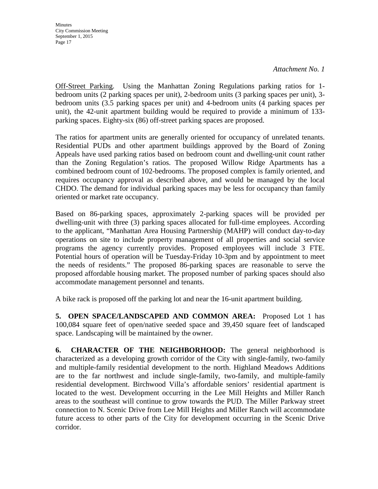Off-Street Parking. Using the Manhattan Zoning Regulations parking ratios for 1 bedroom units (2 parking spaces per unit), 2-bedroom units (3 parking spaces per unit), 3 bedroom units (3.5 parking spaces per unit) and 4-bedroom units (4 parking spaces per unit), the 42-unit apartment building would be required to provide a minimum of 133 parking spaces. Eighty-six (86) off-street parking spaces are proposed.

The ratios for apartment units are generally oriented for occupancy of unrelated tenants. Residential PUDs and other apartment buildings approved by the Board of Zoning Appeals have used parking ratios based on bedroom count and dwelling-unit count rather than the Zoning Regulation's ratios. The proposed Willow Ridge Apartments has a combined bedroom count of 102-bedrooms. The proposed complex is family oriented, and requires occupancy approval as described above, and would be managed by the local CHDO. The demand for individual parking spaces may be less for occupancy than family oriented or market rate occupancy.

Based on 86-parking spaces, approximately 2-parking spaces will be provided per dwelling-unit with three (3) parking spaces allocated for full-time employees. According to the applicant, "Manhattan Area Housing Partnership (MAHP) will conduct day-to-day operations on site to include property management of all properties and social service programs the agency currently provides. Proposed employees will include 3 FTE. Potential hours of operation will be Tuesday-Friday 10-3pm and by appointment to meet the needs of residents." The proposed 86-parking spaces are reasonable to serve the proposed affordable housing market. The proposed number of parking spaces should also accommodate management personnel and tenants.

A bike rack is proposed off the parking lot and near the 16-unit apartment building.

**5. OPEN SPACE/LANDSCAPED AND COMMON AREA:** Proposed Lot 1 has 100,084 square feet of open/native seeded space and 39,450 square feet of landscaped space. Landscaping will be maintained by the owner.

**6. CHARACTER OF THE NEIGHBORHOOD:** The general neighborhood is characterized as a developing growth corridor of the City with single-family, two-family and multiple-family residential development to the north. Highland Meadows Additions are to the far northwest and include single-family, two-family, and multiple-family residential development. Birchwood Villa's affordable seniors' residential apartment is located to the west. Development occurring in the Lee Mill Heights and Miller Ranch areas to the southeast will continue to grow towards the PUD. The Miller Parkway street connection to N. Scenic Drive from Lee Mill Heights and Miller Ranch will accommodate future access to other parts of the City for development occurring in the Scenic Drive corridor.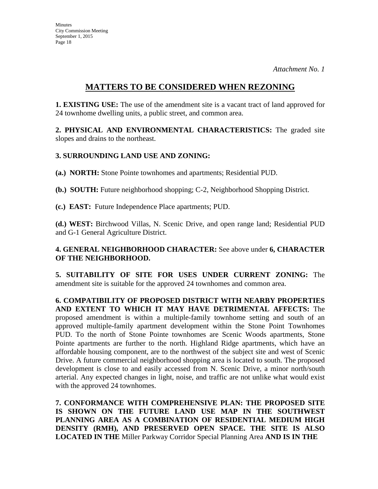## **MATTERS TO BE CONSIDERED WHEN REZONING**

**1. EXISTING USE:** The use of the amendment site is a vacant tract of land approved for 24 townhome dwelling units, a public street, and common area.

**2. PHYSICAL AND ENVIRONMENTAL CHARACTERISTICS:** The graded site slopes and drains to the northeast.

## **3. SURROUNDING LAND USE AND ZONING:**

**(a.) NORTH:** Stone Pointe townhomes and apartments; Residential PUD.

**(b.) SOUTH:** Future neighborhood shopping; C-2, Neighborhood Shopping District.

**(c.) EAST:** Future Independence Place apartments; PUD.

**(d.) WEST:** Birchwood Villas, N. Scenic Drive, and open range land; Residential PUD and G-1 General Agriculture District.

## **4. GENERAL NEIGHBORHOOD CHARACTER:** See above under **6, CHARACTER OF THE NEIGHBORHOOD.**

**5. SUITABILITY OF SITE FOR USES UNDER CURRENT ZONING:** The amendment site is suitable for the approved 24 townhomes and common area.

**6. COMPATIBILITY OF PROPOSED DISTRICT WITH NEARBY PROPERTIES AND EXTENT TO WHICH IT MAY HAVE DETRIMENTAL AFFECTS:** The proposed amendment is within a multiple-family townhome setting and south of an approved multiple-family apartment development within the Stone Point Townhomes PUD. To the north of Stone Pointe townhomes are Scenic Woods apartments, Stone Pointe apartments are further to the north. Highland Ridge apartments, which have an affordable housing component, are to the northwest of the subject site and west of Scenic Drive. A future commercial neighborhood shopping area is located to south. The proposed development is close to and easily accessed from N. Scenic Drive, a minor north/south arterial. Any expected changes in light, noise, and traffic are not unlike what would exist with the approved 24 townhomes.

**7. CONFORMANCE WITH COMPREHENSIVE PLAN: THE PROPOSED SITE IS SHOWN ON THE FUTURE LAND USE MAP IN THE SOUTHWEST PLANNING AREA AS A COMBINATION OF RESIDENTIAL MEDIUM HIGH DENSITY (RMH), AND PRESERVED OPEN SPACE. THE SITE IS ALSO LOCATED IN THE** Miller Parkway Corridor Special Planning Area **AND IS IN THE**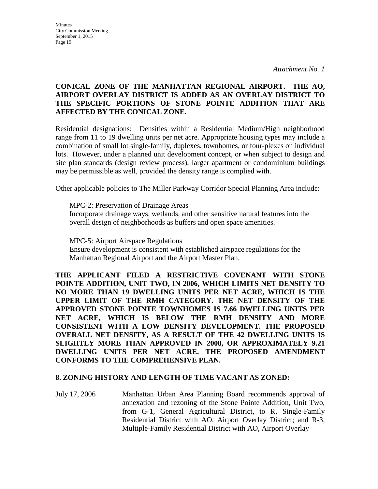#### **CONICAL ZONE OF THE MANHATTAN REGIONAL AIRPORT. THE AO, AIRPORT OVERLAY DISTRICT IS ADDED AS AN OVERLAY DISTRICT TO THE SPECIFIC PORTIONS OF STONE POINTE ADDITION THAT ARE AFFECTED BY THE CONICAL ZONE.**

Residential designations: Densities within a Residential Medium/High neighborhood range from 11 to 19 dwelling units per net acre. Appropriate housing types may include a combination of small lot single-family, duplexes, townhomes, or four-plexes on individual lots. However, under a planned unit development concept, or when subject to design and site plan standards (design review process), larger apartment or condominium buildings may be permissible as well, provided the density range is complied with.

Other applicable policies to The Miller Parkway Corridor Special Planning Area include:

MPC-2: Preservation of Drainage Areas Incorporate drainage ways, wetlands, and other sensitive natural features into the overall design of neighborhoods as buffers and open space amenities.

MPC-5: Airport Airspace Regulations Ensure development is consistent with established airspace regulations for the Manhattan Regional Airport and the Airport Master Plan.

**THE APPLICANT FILED A RESTRICTIVE COVENANT WITH STONE POINTE ADDITION, UNIT TWO, IN 2006, WHICH LIMITS NET DENSITY TO NO MORE THAN 19 DWELLING UNITS PER NET ACRE, WHICH IS THE UPPER LIMIT OF THE RMH CATEGORY. THE NET DENSITY OF THE APPROVED STONE POINTE TOWNHOMES IS 7.66 DWELLING UNITS PER NET ACRE, WHICH IS BELOW THE RMH DENSITY AND MORE CONSISTENT WITH A LOW DENSITY DEVELOPMENT. THE PROPOSED OVERALL NET DENSITY, AS A RESULT OF THE 42 DWELLING UNITS IS SLIGHTLY MORE THAN APPROVED IN 2008, OR APPROXIMATELY 9.21 DWELLING UNITS PER NET ACRE. THE PROPOSED AMENDMENT CONFORMS TO THE COMPREHENSIVE PLAN.**

#### **8. ZONING HISTORY AND LENGTH OF TIME VACANT AS ZONED:**

July 17, 2006 Manhattan Urban Area Planning Board recommends approval of annexation and rezoning of the Stone Pointe Addition, Unit Two, from G-1, General Agricultural District, to R, Single-Family Residential District with AO, Airport Overlay District; and R-3, Multiple-Family Residential District with AO, Airport Overlay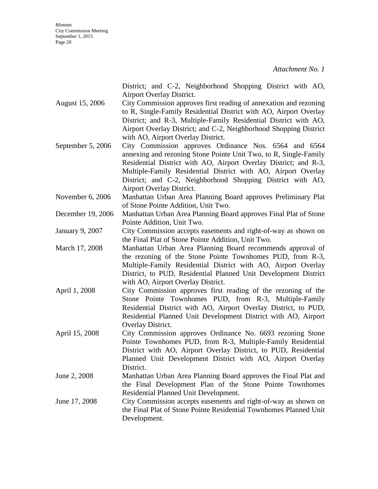|                   | District; and C-2, Neighborhood Shopping District with AO,                                                                             |
|-------------------|----------------------------------------------------------------------------------------------------------------------------------------|
|                   | Airport Overlay District.                                                                                                              |
| August 15, 2006   | City Commission approves first reading of annexation and rezoning<br>to R, Single-Family Residential District with AO, Airport Overlay |
|                   | District; and R-3, Multiple-Family Residential District with AO,                                                                       |
|                   | Airport Overlay District; and C-2, Neighborhood Shopping District                                                                      |
|                   | with AO, Airport Overlay District.                                                                                                     |
| September 5, 2006 | City Commission approves Ordinance Nos. 6564 and 6564                                                                                  |
|                   | annexing and rezoning Stone Pointe Unit Two, to R, Single-Family                                                                       |
|                   | Residential District with AO, Airport Overlay District; and R-3,                                                                       |
|                   | Multiple-Family Residential District with AO, Airport Overlay                                                                          |
|                   | District; and C-2, Neighborhood Shopping District with AO,                                                                             |
|                   | Airport Overlay District.                                                                                                              |
| November 6, 2006  | Manhattan Urban Area Planning Board approves Preliminary Plat                                                                          |
|                   | of Stone Pointe Addition, Unit Two.                                                                                                    |
| December 19, 2006 | Manhattan Urban Area Planning Board approves Final Plat of Stone                                                                       |
|                   | Pointe Addition, Unit Two.                                                                                                             |
| January 9, 2007   | City Commission accepts easements and right-of-way as shown on                                                                         |
|                   | the Final Plat of Stone Pointe Addition, Unit Two.                                                                                     |
| March 17, 2008    | Manhattan Urban Area Planning Board recommends approval of                                                                             |
|                   | the rezoning of the Stone Pointe Townhomes PUD, from R-3,                                                                              |
|                   | Multiple-Family Residential District with AO, Airport Overlay                                                                          |
|                   | District, to PUD, Residential Planned Unit Development District                                                                        |
|                   | with AO, Airport Overlay District.                                                                                                     |
| April 1, 2008     | City Commission approves first reading of the rezoning of the                                                                          |
|                   | Stone Pointe Townhomes PUD, from R-3, Multiple-Family                                                                                  |
|                   | Residential District with AO, Airport Overlay District, to PUD,                                                                        |
|                   | Residential Planned Unit Development District with AO, Airport<br>Overlay District.                                                    |
| April 15, 2008    | City Commission approves Ordinance No. 6693 rezoning Stone                                                                             |
|                   | Pointe Townhomes PUD, from R-3, Multiple-Family Residential                                                                            |
|                   | District with AO, Airport Overlay District, to PUD, Residential                                                                        |
|                   | Planned Unit Development District with AO, Airport Overlay                                                                             |
|                   | District.                                                                                                                              |
| June 2, 2008      | Manhattan Urban Area Planning Board approves the Final Plat and                                                                        |
|                   | the Final Development Plan of the Stone Pointe Townhomes                                                                               |
|                   | Residential Planned Unit Development.                                                                                                  |
| June 17, 2008     | City Commission accepts easements and right-of-way as shown on                                                                         |
|                   | the Final Plat of Stone Pointe Residential Townhomes Planned Unit                                                                      |
|                   | Development.                                                                                                                           |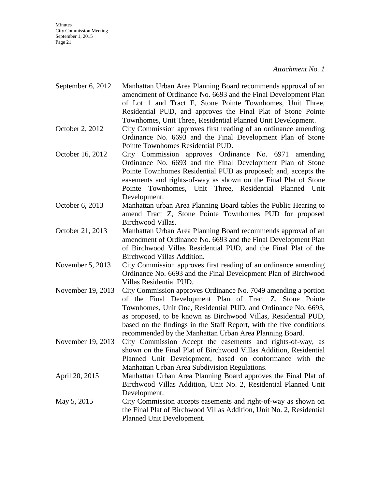**Minutes** City Commission Meeting September 1, 2015 Page 21

- September 6, 2012 Manhattan Urban Area Planning Board recommends approval of an amendment of Ordinance No. 6693 and the Final Development Plan of Lot 1 and Tract E, Stone Pointe Townhomes, Unit Three, Residential PUD, and approves the Final Plat of Stone Pointe Townhomes, Unit Three, Residential Planned Unit Development.
- October 2, 2012 City Commission approves first reading of an ordinance amending Ordinance No. 6693 and the Final Development Plan of Stone Pointe Townhomes Residential PUD.
- October 16, 2012 City Commission approves Ordinance No. 6971 amending Ordinance No. 6693 and the Final Development Plan of Stone Pointe Townhomes Residential PUD as proposed; and, accepts the easements and rights-of-way as shown on the Final Plat of Stone Pointe Townhomes, Unit Three, Residential Planned Unit Development.
- October 6, 2013 Manhattan urban Area Planning Board tables the Public Hearing to amend Tract Z, Stone Pointe Townhomes PUD for proposed Birchwood Villas.
- October 21, 2013 Manhattan Urban Area Planning Board recommends approval of an amendment of Ordinance No. 6693 and the Final Development Plan of Birchwood Villas Residential PUD, and the Final Plat of the Birchwood Villas Addition.
- November 5, 2013 City Commission approves first reading of an ordinance amending Ordinance No. 6693 and the Final Development Plan of Birchwood Villas Residential PUD.
- November 19, 2013 City Commission approves Ordinance No. 7049 amending a portion of the Final Development Plan of Tract Z, Stone Pointe Townhomes, Unit One, Residential PUD, and Ordinance No. 6693, as proposed, to be known as Birchwood Villas, Residential PUD, based on the findings in the Staff Report, with the five conditions recommended by the Manhattan Urban Area Planning Board.
- November 19, 2013 City Commission Accept the easements and rights-of-way, as shown on the Final Plat of Birchwood Villas Addition, Residential Planned Unit Development, based on conformance with the Manhattan Urban Area Subdivision Regulations.
- April 20, 2015 Manhattan Urban Area Planning Board approves the Final Plat of Birchwood Villas Addition, Unit No. 2, Residential Planned Unit Development.
- May 5, 2015 City Commission accepts easements and right-of-way as shown on the Final Plat of Birchwood Villas Addition, Unit No. 2, Residential Planned Unit Development.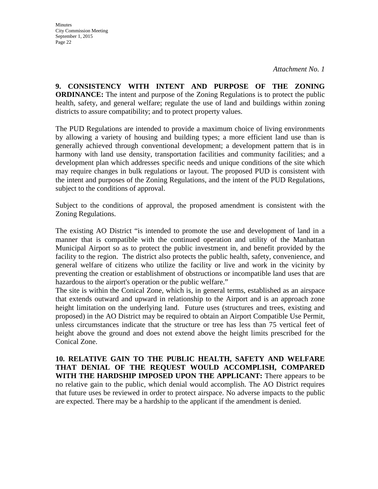**9. CONSISTENCY WITH INTENT AND PURPOSE OF THE ZONING ORDINANCE:** The intent and purpose of the Zoning Regulations is to protect the public health, safety, and general welfare; regulate the use of land and buildings within zoning districts to assure compatibility; and to protect property values.

The PUD Regulations are intended to provide a maximum choice of living environments by allowing a variety of housing and building types; a more efficient land use than is generally achieved through conventional development; a development pattern that is in harmony with land use density, transportation facilities and community facilities; and a development plan which addresses specific needs and unique conditions of the site which may require changes in bulk regulations or layout. The proposed PUD is consistent with the intent and purposes of the Zoning Regulations, and the intent of the PUD Regulations, subject to the conditions of approval.

Subject to the conditions of approval, the proposed amendment is consistent with the Zoning Regulations.

The existing AO District "is intended to promote the use and development of land in a manner that is compatible with the continued operation and utility of the Manhattan Municipal Airport so as to protect the public investment in, and benefit provided by the facility to the region. The district also protects the public health, safety, convenience, and general welfare of citizens who utilize the facility or live and work in the vicinity by preventing the creation or establishment of obstructions or incompatible land uses that are hazardous to the airport's operation or the public welfare."

The site is within the Conical Zone, which is, in general terms, established as an airspace that extends outward and upward in relationship to the Airport and is an approach zone height limitation on the underlying land. Future uses (structures and trees, existing and proposed) in the AO District may be required to obtain an Airport Compatible Use Permit, unless circumstances indicate that the structure or tree has less than 75 vertical feet of height above the ground and does not extend above the height limits prescribed for the Conical Zone.

**10. RELATIVE GAIN TO THE PUBLIC HEALTH, SAFETY AND WELFARE THAT DENIAL OF THE REQUEST WOULD ACCOMPLISH, COMPARED WITH THE HARDSHIP IMPOSED UPON THE APPLICANT:** There appears to be no relative gain to the public, which denial would accomplish. The AO District requires that future uses be reviewed in order to protect airspace. No adverse impacts to the public are expected. There may be a hardship to the applicant if the amendment is denied.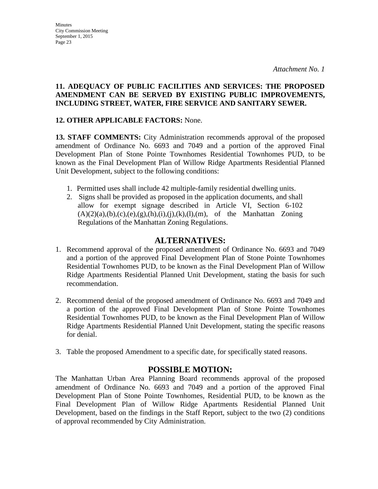#### **11. ADEQUACY OF PUBLIC FACILITIES AND SERVICES: THE PROPOSED AMENDMENT CAN BE SERVED BY EXISTING PUBLIC IMPROVEMENTS, INCLUDING STREET, WATER, FIRE SERVICE AND SANITARY SEWER.**

## **12. OTHER APPLICABLE FACTORS:** None.

**13. STAFF COMMENTS:** City Administration recommends approval of the proposed amendment of Ordinance No. 6693 and 7049 and a portion of the approved Final Development Plan of Stone Pointe Townhomes Residential Townhomes PUD, to be known as the Final Development Plan of Willow Ridge Apartments Residential Planned Unit Development, subject to the following conditions:

- 1. Permitted uses shall include 42 multiple-family residential dwelling units.
- 2. Signs shall be provided as proposed in the application documents, and shall allow for exempt signage described in Article VI, Section 6-102  $(A)(2)(a),(b),(c),(e),(g),(h),(i),(j),(k),(l),(m))$ , of the Manhattan Zoning Regulations of the Manhattan Zoning Regulations.

## **ALTERNATIVES:**

- 1. Recommend approval of the proposed amendment of Ordinance No. 6693 and 7049 and a portion of the approved Final Development Plan of Stone Pointe Townhomes Residential Townhomes PUD, to be known as the Final Development Plan of Willow Ridge Apartments Residential Planned Unit Development, stating the basis for such recommendation.
- 2. Recommend denial of the proposed amendment of Ordinance No. 6693 and 7049 and a portion of the approved Final Development Plan of Stone Pointe Townhomes Residential Townhomes PUD, to be known as the Final Development Plan of Willow Ridge Apartments Residential Planned Unit Development, stating the specific reasons for denial.
- 3. Table the proposed Amendment to a specific date, for specifically stated reasons.

## **POSSIBLE MOTION:**

The Manhattan Urban Area Planning Board recommends approval of the proposed amendment of Ordinance No. 6693 and 7049 and a portion of the approved Final Development Plan of Stone Pointe Townhomes, Residential PUD, to be known as the Final Development Plan of Willow Ridge Apartments Residential Planned Unit Development, based on the findings in the Staff Report, subject to the two (2) conditions of approval recommended by City Administration.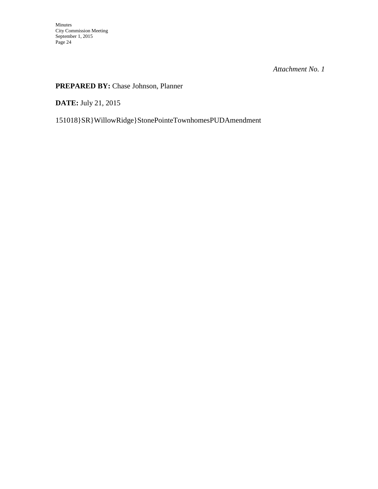## **PREPARED BY:** Chase Johnson, Planner

**DATE:** July 21, 2015

151018}SR}WillowRidge}StonePointeTownhomesPUDAmendment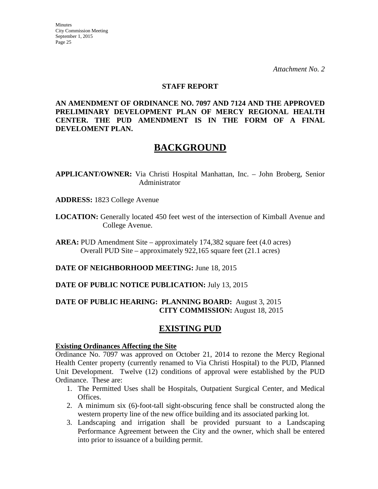#### **STAFF REPORT**

**AN AMENDMENT OF ORDINANCE NO. 7097 AND 7124 AND THE APPROVED PRELIMINARY DEVELOPMENT PLAN OF MERCY REGIONAL HEALTH CENTER. THE PUD AMENDMENT IS IN THE FORM OF A FINAL DEVELOMENT PLAN.**

# **BACKGROUND**

**APPLICANT/OWNER:** Via Christi Hospital Manhattan, Inc. – John Broberg, Senior Administrator

- **ADDRESS:** 1823 College Avenue
- **LOCATION:** Generally located 450 feet west of the intersection of Kimball Avenue and College Avenue.

**AREA:** PUD Amendment Site – approximately 174,382 square feet (4.0 acres) Overall PUD Site – approximately 922,165 square feet (21.1 acres)

**DATE OF NEIGHBORHOOD MEETING:** June 18, 2015

**DATE OF PUBLIC NOTICE PUBLICATION:** July 13, 2015

## **DATE OF PUBLIC HEARING: PLANNING BOARD:** August 3, 2015 **CITY COMMISSION:** August 18, 2015

## **EXISTING PUD**

#### **Existing Ordinances Affecting the Site**

Ordinance No. 7097 was approved on October 21, 2014 to rezone the Mercy Regional Health Center property (currently renamed to Via Christi Hospital) to the PUD, Planned Unit Development. Twelve (12) conditions of approval were established by the PUD Ordinance. These are:

- 1. The Permitted Uses shall be Hospitals, Outpatient Surgical Center, and Medical Offices.
- 2. A minimum six (6)-foot-tall sight-obscuring fence shall be constructed along the western property line of the new office building and its associated parking lot.
- 3. Landscaping and irrigation shall be provided pursuant to a Landscaping Performance Agreement between the City and the owner, which shall be entered into prior to issuance of a building permit.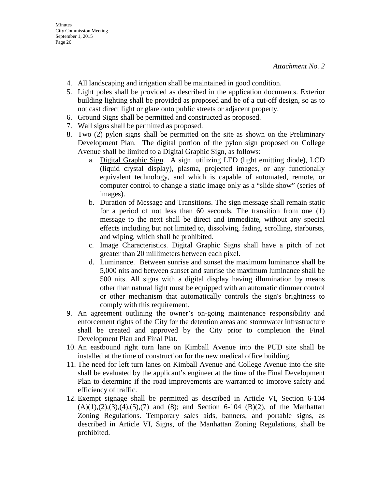- 4. All landscaping and irrigation shall be maintained in good condition.
- 5. Light poles shall be provided as described in the application documents. Exterior building lighting shall be provided as proposed and be of a cut-off design, so as to not cast direct light or glare onto public streets or adjacent property.
- 6. Ground Signs shall be permitted and constructed as proposed.
- 7. Wall signs shall be permitted as proposed.
- 8. Two (2) pylon signs shall be permitted on the site as shown on the Preliminary Development Plan. The digital portion of the pylon sign proposed on College Avenue shall be limited to a Digital Graphic Sign, as follows:
	- a. Digital Graphic Sign. A sign utilizing LED (light emitting diode), LCD (liquid crystal display), plasma, projected images, or any functionally equivalent technology, and which is capable of automated, remote, or computer control to change a static image only as a "slide show" (series of images).
	- b. Duration of Message and Transitions. The sign message shall remain static for a period of not less than 60 seconds. The transition from one (1) message to the next shall be direct and immediate, without any special effects including but not limited to, dissolving, fading, scrolling, starbursts, and wiping, which shall be prohibited.
	- c. Image Characteristics. Digital Graphic Signs shall have a pitch of not greater than 20 millimeters between each pixel.
	- d. Luminance. Between sunrise and sunset the maximum luminance shall be 5,000 nits and between sunset and sunrise the maximum luminance shall be 500 nits. All signs with a digital display having illumination by means other than natural light must be equipped with an automatic dimmer control or other mechanism that automatically controls the sign's brightness to comply with this requirement.
- 9. An agreement outlining the owner's on-going maintenance responsibility and enforcement rights of the City for the detention areas and stormwater infrastructure shall be created and approved by the City prior to completion the Final Development Plan and Final Plat.
- 10. An eastbound right turn lane on Kimball Avenue into the PUD site shall be installed at the time of construction for the new medical office building.
- 11. The need for left turn lanes on Kimball Avenue and College Avenue into the site shall be evaluated by the applicant's engineer at the time of the Final Development Plan to determine if the road improvements are warranted to improve safety and efficiency of traffic.
- 12. Exempt signage shall be permitted as described in Article VI, Section 6-104  $(A)(1),(2),(3),(4),(5),(7)$  and  $(8)$ ; and Section 6-104  $(B)(2)$ , of the Manhattan Zoning Regulations. Temporary sales aids, banners, and portable signs, as described in Article VI, Signs, of the Manhattan Zoning Regulations, shall be prohibited.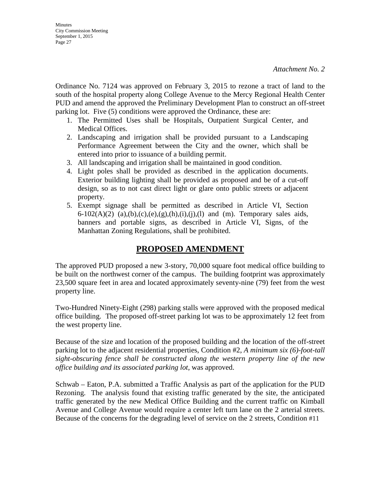Ordinance No. 7124 was approved on February 3, 2015 to rezone a tract of land to the south of the hospital property along College Avenue to the Mercy Regional Health Center PUD and amend the approved the Preliminary Development Plan to construct an off-street parking lot. Five (5) conditions were approved the Ordinance, these are:

- 1. The Permitted Uses shall be Hospitals, Outpatient Surgical Center, and Medical Offices.
- 2. Landscaping and irrigation shall be provided pursuant to a Landscaping Performance Agreement between the City and the owner, which shall be entered into prior to issuance of a building permit.
- 3. All landscaping and irrigation shall be maintained in good condition.
- 4. Light poles shall be provided as described in the application documents. Exterior building lighting shall be provided as proposed and be of a cut-off design, so as to not cast direct light or glare onto public streets or adjacent property.
- 5. Exempt signage shall be permitted as described in Article VI, Section 6-102(A)(2) (a),(b),(c),(e),(g),(h),(i),(j),(l) and (m). Temporary sales aids, banners and portable signs, as described in Article VI, Signs, of the Manhattan Zoning Regulations, shall be prohibited.

## **PROPOSED AMENDMENT**

The approved PUD proposed a new 3-story, 70,000 square foot medical office building to be built on the northwest corner of the campus. The building footprint was approximately 23,500 square feet in area and located approximately seventy-nine (79) feet from the west property line.

Two-Hundred Ninety-Eight (298) parking stalls were approved with the proposed medical office building. The proposed off-street parking lot was to be approximately 12 feet from the west property line.

Because of the size and location of the proposed building and the location of the off-street parking lot to the adjacent residential properties, Condition #2, *A minimum six (6)-foot-tall sight-obscuring fence shall be constructed along the western property line of the new office building and its associated parking lot*, was approved.

Schwab – Eaton, P.A. submitted a Traffic Analysis as part of the application for the PUD Rezoning. The analysis found that existing traffic generated by the site, the anticipated traffic generated by the new Medical Office Building and the current traffic on Kimball Avenue and College Avenue would require a center left turn lane on the 2 arterial streets. Because of the concerns for the degrading level of service on the 2 streets, Condition #11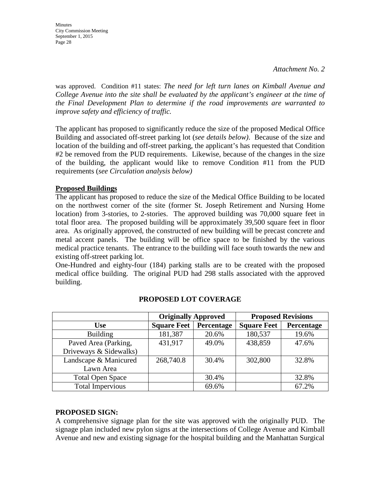**Minutes** City Commission Meeting September 1, 2015 Page 28

was approved. Condition #11 states: *The need for left turn lanes on Kimball Avenue and College Avenue into the site shall be evaluated by the applicant's engineer at the time of the Final Development Plan to determine if the road improvements are warranted to improve safety and efficiency of traffic.*

The applicant has proposed to significantly reduce the size of the proposed Medical Office Building and associated off-street parking lot (*see details below)*. Because of the size and location of the building and off-street parking, the applicant's has requested that Condition #2 be removed from the PUD requirements. Likewise, because of the changes in the size of the building, the applicant would like to remove Condition #11 from the PUD requirements (*see Circulation analysis below)* 

#### **Proposed Buildings**

The applicant has proposed to reduce the size of the Medical Office Building to be located on the northwest corner of the site (former St. Joseph Retirement and Nursing Home location) from 3-stories, to 2-stories. The approved building was 70,000 square feet in total floor area. The proposed building will be approximately 39,500 square feet in floor area. As originally approved, the constructed of new building will be precast concrete and metal accent panels. The building will be office space to be finished by the various medical practice tenants. The entrance to the building will face south towards the new and existing off-street parking lot.

One-Hundred and eighty-four (184) parking stalls are to be created with the proposed medical office building. The original PUD had 298 stalls associated with the approved building.

|                         | <b>Originally Approved</b> |            | <b>Proposed Revisions</b> |            |  |
|-------------------------|----------------------------|------------|---------------------------|------------|--|
| <b>Use</b>              | <b>Square Feet</b>         | Percentage | <b>Square Feet</b>        | Percentage |  |
| <b>Building</b>         | 181,387                    | 20.6%      | 180,537                   | 19.6%      |  |
| Paved Area (Parking,    | 431,917                    | 49.0%      | 438,859                   | 47.6%      |  |
| Driveways & Sidewalks)  |                            |            |                           |            |  |
| Landscape & Manicured   | 268,740.8                  | 30.4%      | 302,800                   | 32.8%      |  |
| Lawn Area               |                            |            |                           |            |  |
| <b>Total Open Space</b> |                            | 30.4%      |                           | 32.8%      |  |
| <b>Total Impervious</b> |                            | 69.6%      |                           | 67.2%      |  |

#### **PROPOSED LOT COVERAGE**

#### **PROPOSED SIGN:**

A comprehensive signage plan for the site was approved with the originally PUD. The signage plan included new pylon signs at the intersections of College Avenue and Kimball Avenue and new and existing signage for the hospital building and the Manhattan Surgical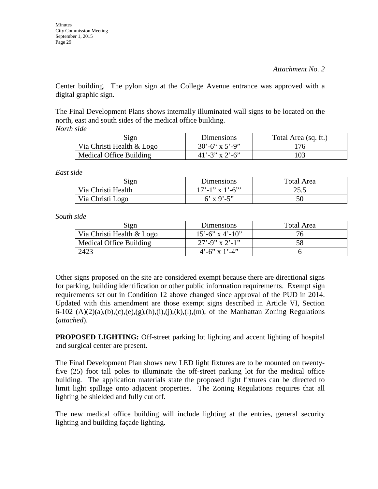Center building. The pylon sign at the College Avenue entrance was approved with a digital graphic sign.

The Final Development Plans shows internally illuminated wall signs to be located on the north, east and south sides of the medical office building. *North side* 

| Sign                      | Dimensions               | Total Area (sq. ft.) |  |  |
|---------------------------|--------------------------|----------------------|--|--|
| Via Christi Health & Logo | $30^{\circ} - 6$ x 5'-9" | 176                  |  |  |
| Medical Office Building   | $41' - 3''$ x 2'-6"      | 103                  |  |  |

*East side* 

| Sign               | Dimensions        | Total Area |  |  |
|--------------------|-------------------|------------|--|--|
| Via Christi Health | $17'$ -1" x 1'-6" | 25.5       |  |  |
| Via Christi Logo   | 6' x 9'-5"        | 50         |  |  |

*South side* 

| Sign                      | Dimensions              | Total Area |  |
|---------------------------|-------------------------|------------|--|
| Via Christi Health & Logo | $15' - 6''$ x 4'-10"    | 76         |  |
| Medical Office Building   | $27' - 9''$ x 2'-1"     |            |  |
| 2423                      | $4^{\circ}$ -6" x 1'-4" |            |  |

Other signs proposed on the site are considered exempt because there are directional signs for parking, building identification or other public information requirements. Exempt sign requirements set out in Condition 12 above changed since approval of the PUD in 2014. Updated with this amendment are those exempt signs described in Article VI, Section  $6-102$  (A)(2)(a),(b),(c),(e),(g),(h),(i),(i),(k),(l),(m), of the Manhattan Zoning Regulations (*attached*).

**PROPOSED LIGHTING:** Off-street parking lot lighting and accent lighting of hospital and surgical center are present.

The Final Development Plan shows new LED light fixtures are to be mounted on twentyfive (25) foot tall poles to illuminate the off-street parking lot for the medical office building. The application materials state the proposed light fixtures can be directed to limit light spillage onto adjacent properties. The Zoning Regulations requires that all lighting be shielded and fully cut off.

The new medical office building will include lighting at the entries, general security lighting and building façade lighting.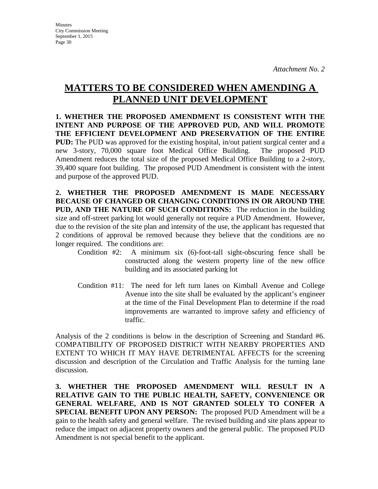# **MATTERS TO BE CONSIDERED WHEN AMENDING A PLANNED UNIT DEVELOPMENT**

**1. WHETHER THE PROPOSED AMENDMENT IS CONSISTENT WITH THE INTENT AND PURPOSE OF THE APPROVED PUD, AND WILL PROMOTE THE EFFICIENT DEVELOPMENT AND PRESERVATION OF THE ENTIRE PUD:** The PUD was approved for the existing hospital, in/out patient surgical center and a new 3-story, 70,000 square foot Medical Office Building. The proposed PUD Amendment reduces the total size of the proposed Medical Office Building to a 2-story, 39,400 square foot building. The proposed PUD Amendment is consistent with the intent and purpose of the approved PUD.

**2. WHETHER THE PROPOSED AMENDMENT IS MADE NECESSARY BECAUSE OF CHANGED OR CHANGING CONDITIONS IN OR AROUND THE PUD, AND THE NATURE OF SUCH CONDITIONS:** The reduction in the building size and off-street parking lot would generally not require a PUD Amendment. However, due to the revision of the site plan and intensity of the use, the applicant has requested that 2 conditions of approval be removed because they believe that the conditions are no longer required. The conditions are:

- Condition #2: A minimum six (6)-foot-tall sight-obscuring fence shall be constructed along the western property line of the new office building and its associated parking lot
- Condition #11: The need for left turn lanes on Kimball Avenue and College Avenue into the site shall be evaluated by the applicant's engineer at the time of the Final Development Plan to determine if the road improvements are warranted to improve safety and efficiency of traffic.

Analysis of the 2 conditions is below in the description of Screening and Standard #6. COMPATIBILITY OF PROPOSED DISTRICT WITH NEARBY PROPERTIES AND EXTENT TO WHICH IT MAY HAVE DETRIMENTAL AFFECTS for the screening discussion and description of the Circulation and Traffic Analysis for the turning lane discussion.

**3. WHETHER THE PROPOSED AMENDMENT WILL RESULT IN A RELATIVE GAIN TO THE PUBLIC HEALTH, SAFETY, CONVENIENCE OR GENERAL WELFARE, AND IS NOT GRANTED SOLELY TO CONFER A SPECIAL BENEFIT UPON ANY PERSON:** The proposed PUD Amendment will be a gain to the health safety and general welfare. The revised building and site plans appear to reduce the impact on adjacent property owners and the general public. The proposed PUD Amendment is not special benefit to the applicant.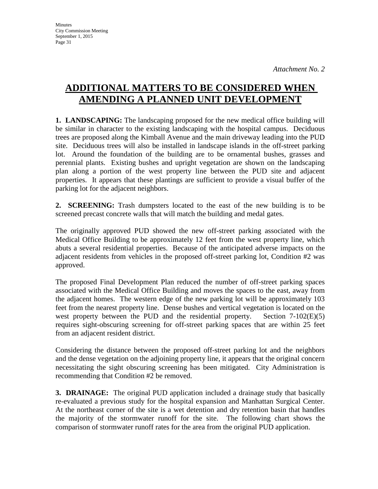# **ADDITIONAL MATTERS TO BE CONSIDERED WHEN AMENDING A PLANNED UNIT DEVELOPMENT**

**1. LANDSCAPING:** The landscaping proposed for the new medical office building will be similar in character to the existing landscaping with the hospital campus. Deciduous trees are proposed along the Kimball Avenue and the main driveway leading into the PUD site. Deciduous trees will also be installed in landscape islands in the off-street parking lot. Around the foundation of the building are to be ornamental bushes, grasses and perennial plants. Existing bushes and upright vegetation are shown on the landscaping plan along a portion of the west property line between the PUD site and adjacent properties. It appears that these plantings are sufficient to provide a visual buffer of the parking lot for the adjacent neighbors.

**2. SCREENING:** Trash dumpsters located to the east of the new building is to be screened precast concrete walls that will match the building and medal gates.

The originally approved PUD showed the new off-street parking associated with the Medical Office Building to be approximately 12 feet from the west property line, which abuts a several residential properties. Because of the anticipated adverse impacts on the adjacent residents from vehicles in the proposed off-street parking lot, Condition #2 was approved.

The proposed Final Development Plan reduced the number of off-street parking spaces associated with the Medical Office Building and moves the spaces to the east, away from the adjacent homes. The western edge of the new parking lot will be approximately 103 feet from the nearest property line. Dense bushes and vertical vegetation is located on the west property between the PUD and the residential property. Section 7-102(E)(5) requires sight-obscuring screening for off-street parking spaces that are within 25 feet from an adjacent resident district.

Considering the distance between the proposed off-street parking lot and the neighbors and the dense vegetation on the adjoining property line, it appears that the original concern necessitating the sight obscuring screening has been mitigated. City Administration is recommending that Condition #2 be removed.

**3. DRAINAGE:** The original PUD application included a drainage study that basically re-evaluated a previous study for the hospital expansion and Manhattan Surgical Center. At the northeast corner of the site is a wet detention and dry retention basin that handles the majority of the stormwater runoff for the site. The following chart shows the comparison of stormwater runoff rates for the area from the original PUD application.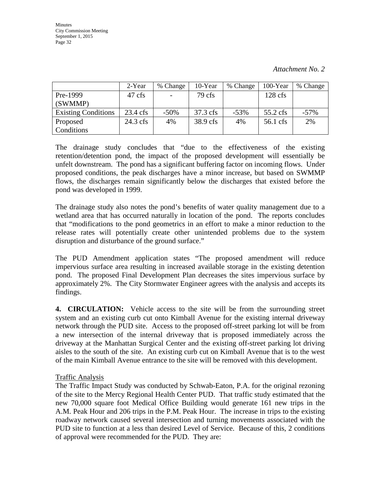|                            | 2-Year             | % Change                 | 10-Year  | % Change | 100-Year  | % Change |
|----------------------------|--------------------|--------------------------|----------|----------|-----------|----------|
| Pre-1999                   | 47 cfs             | $\overline{\phantom{0}}$ | 79 cfs   |          | $128$ cfs |          |
| (SWMMP)                    |                    |                          |          |          |           |          |
| <b>Existing Conditions</b> | $23.4 \text{ cfs}$ | $-50\%$                  | 37.3 cfs | $-53%$   | 55.2 cfs  | $-57\%$  |
| Proposed                   | $24.3$ cfs         | 4%                       | 38.9 cfs | 4%       | 56.1 cfs  | 2%       |
| Conditions                 |                    |                          |          |          |           |          |

The drainage study concludes that "due to the effectiveness of the existing retention/detention pond, the impact of the proposed development will essentially be unfelt downstream. The pond has a significant buffering factor on incoming flows. Under proposed conditions, the peak discharges have a minor increase, but based on SWMMP flows, the discharges remain significantly below the discharges that existed before the pond was developed in 1999.

The drainage study also notes the pond's benefits of water quality management due to a wetland area that has occurred naturally in location of the pond. The reports concludes that "modifications to the pond geometrics in an effort to make a minor reduction to the release rates will potentially create other unintended problems due to the system disruption and disturbance of the ground surface."

The PUD Amendment application states "The proposed amendment will reduce impervious surface area resulting in increased available storage in the existing detention pond. The proposed Final Development Plan decreases the sites impervious surface by approximately 2%. The City Stormwater Engineer agrees with the analysis and accepts its findings.

**4. CIRCULATION:** Vehicle access to the site will be from the surrounding street system and an existing curb cut onto Kimball Avenue for the existing internal driveway network through the PUD site. Access to the proposed off-street parking lot will be from a new intersection of the internal driveway that is proposed immediately across the driveway at the Manhattan Surgical Center and the existing off-street parking lot driving aisles to the south of the site. An existing curb cut on Kimball Avenue that is to the west of the main Kimball Avenue entrance to the site will be removed with this development.

#### Traffic Analysis

The Traffic Impact Study was conducted by Schwab-Eaton, P.A. for the original rezoning of the site to the Mercy Regional Health Center PUD. That traffic study estimated that the new 70,000 square foot Medical Office Building would generate 161 new trips in the A.M. Peak Hour and 206 trips in the P.M. Peak Hour. The increase in trips to the existing roadway network caused several intersection and turning movements associated with the PUD site to function at a less than desired Level of Service. Because of this, 2 conditions of approval were recommended for the PUD. They are: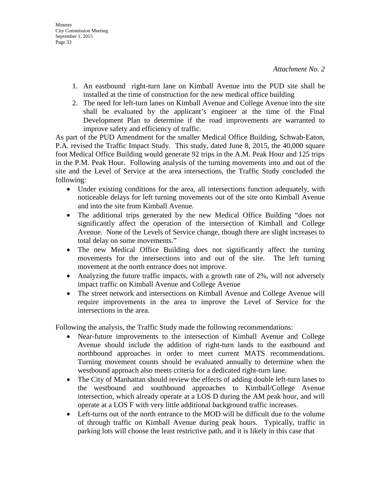- 1. An eastbound right-turn lane on Kimball Avenue into the PUD site shall be installed at the time of construction for the new medical office building
- 2. The need for left-turn lanes on Kimball Avenue and College Avenue into the site shall be evaluated by the applicant's engineer at the time of the Final Development Plan to determine if the road improvements are warranted to improve safety and efficiency of traffic.

As part of the PUD Amendment for the smaller Medical Office Building, Schwab-Eaton, P.A. revised the Traffic Impact Study. This study, dated June 8, 2015, the 40,000 square foot Medical Office Building would generate 92 trips in the A.M. Peak Hour and 125 trips in the P.M. Peak Hour. Following analysis of the turning movements into and out of the site and the Level of Service at the area intersections, the Traffic Study concluded the following:

- Under existing conditions for the area, all intersections function adequately, with noticeable delays for left turning movements out of the site onto Kimball Avenue and into the site from Kimball Avenue.
- The additional trips generated by the new Medical Office Building "does not significantly affect the operation of the intersection of Kimball and College Avenue. None of the Levels of Service change, though there are slight increases to total delay on some movements."
- The new Medical Office Building does not significantly affect the turning movements for the intersections into and out of the site. The left turning movement at the north entrance does not improve.
- Analyzing the future traffic impacts, with a growth rate of 2%, will not adversely impact traffic on Kimball Avenue and College Avenue
- The street network and intersections on Kimball Avenue and College Avenue will require improvements in the area to improve the Level of Service for the intersections in the area.

Following the analysis, the Traffic Study made the following recommendations:

- Near-future improvements to the intersection of Kimball Avenue and College Avenue should include the addition of right-turn lands to the eastbound and northbound approaches in order to meet current MATS recommendations. Turning movement counts should be evaluated annually to determine when the westbound approach also meets criteria for a dedicated right-turn lane.
- The City of Manhattan should review the effects of adding double left-turn lanes to the westbound and southbound approaches to Kimball/College Avenue intersection, which already operate at a LOS D during the AM peak hour, and will operate at a LOS F with very little additional background traffic increases.
- Left-turns out of the north entrance to the MOD will be difficult due to the volume of through traffic on Kimball Avenue during peak hours. Typically, traffic in parking lots will choose the least restrictive path, and it is likely in this case that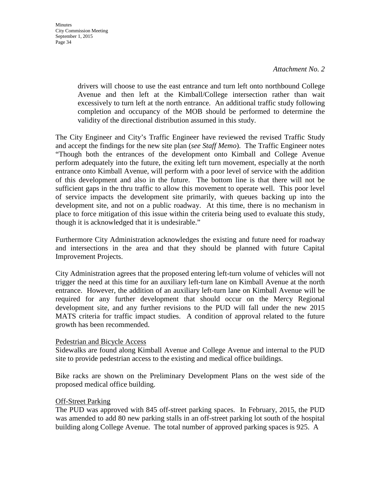drivers will choose to use the east entrance and turn left onto northbound College Avenue and then left at the Kimball/College intersection rather than wait excessively to turn left at the north entrance. An additional traffic study following completion and occupancy of the MOB should be performed to determine the validity of the directional distribution assumed in this study.

The City Engineer and City's Traffic Engineer have reviewed the revised Traffic Study and accept the findings for the new site plan (*see Staff Memo*). The Traffic Engineer notes "Though both the entrances of the development onto Kimball and College Avenue perform adequately into the future, the exiting left turn movement, especially at the north entrance onto Kimball Avenue, will perform with a poor level of service with the addition of this development and also in the future. The bottom line is that there will not be sufficient gaps in the thru traffic to allow this movement to operate well. This poor level of service impacts the development site primarily, with queues backing up into the development site, and not on a public roadway. At this time, there is no mechanism in place to force mitigation of this issue within the criteria being used to evaluate this study, though it is acknowledged that it is undesirable."

Furthermore City Administration acknowledges the existing and future need for roadway and intersections in the area and that they should be planned with future Capital Improvement Projects.

City Administration agrees that the proposed entering left-turn volume of vehicles will not trigger the need at this time for an auxiliary left-turn lane on Kimball Avenue at the north entrance. However, the addition of an auxiliary left-turn lane on Kimball Avenue will be required for any further development that should occur on the Mercy Regional development site, and any further revisions to the PUD will fall under the new 2015 MATS criteria for traffic impact studies. A condition of approval related to the future growth has been recommended.

#### Pedestrian and Bicycle Access

Sidewalks are found along Kimball Avenue and College Avenue and internal to the PUD site to provide pedestrian access to the existing and medical office buildings.

Bike racks are shown on the Preliminary Development Plans on the west side of the proposed medical office building.

#### Off-Street Parking

The PUD was approved with 845 off-street parking spaces. In February, 2015, the PUD was amended to add 80 new parking stalls in an off-street parking lot south of the hospital building along College Avenue. The total number of approved parking spaces is 925. A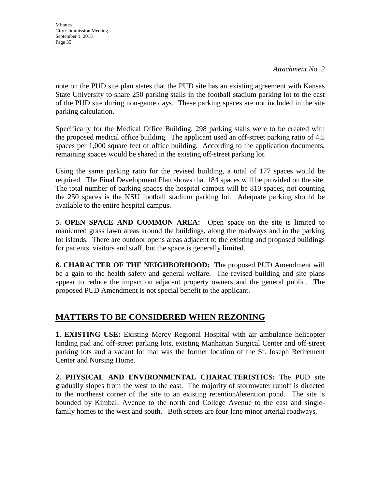**Minutes** City Commission Meeting September 1, 2015 Page 35

*Attachment No. 2* 

note on the PUD site plan states that the PUD site has an existing agreement with Kansas State University to share 250 parking stalls in the football stadium parking lot to the east of the PUD site during non-game days. These parking spaces are not included in the site parking calculation.

Specifically for the Medical Office Building, 298 parking stalls were to be created with the proposed medical office building. The applicant used an off-street parking ratio of 4.5 spaces per 1,000 square feet of office building. According to the application documents, remaining spaces would be shared in the existing off-street parking lot.

Using the same parking ratio for the revised building, a total of 177 spaces would be required. The Final Development Plan shows that 184 spaces will be provided on the site. The total number of parking spaces the hospital campus will be 810 spaces, not counting the 250 spaces is the KSU football stadium parking lot. Adequate parking should be available to the entire hospital campus.

**5. OPEN SPACE AND COMMON AREA:** Open space on the site is limited to manicured grass lawn areas around the buildings, along the roadways and in the parking lot islands. There are outdoor opens areas adjacent to the existing and proposed buildings for patients, visitors and staff, but the space is generally limited.

**6. CHARACTER OF THE NEIGHBORHOOD:** The proposed PUD Amendment will be a gain to the health safety and general welfare. The revised building and site plans appear to reduce the impact on adjacent property owners and the general public. The proposed PUD Amendment is not special benefit to the applicant.

## **MATTERS TO BE CONSIDERED WHEN REZONING**

**1. EXISTING USE:** Existing Mercy Regional Hospital with air ambulance helicopter landing pad and off-street parking lots, existing Manhattan Surgical Center and off-street parking lots and a vacant lot that was the former location of the St. Joseph Retirement Center and Nursing Home.

**2. PHYSICAL AND ENVIRONMENTAL CHARACTERISTICS:** The PUD site gradually slopes from the west to the east. The majority of stormwater runoff is directed to the northeast corner of the site to an existing retention/detention pond. The site is bounded by Kimball Avenue to the north and College Avenue to the east and singlefamily homes to the west and south. Both streets are four-lane minor arterial roadways.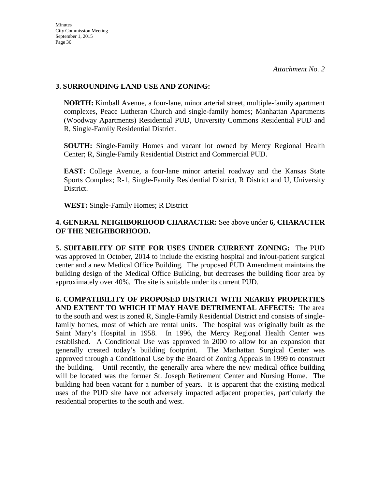#### **3. SURROUNDING LAND USE AND ZONING:**

**NORTH:** Kimball Avenue, a four-lane, minor arterial street, multiple-family apartment complexes, Peace Lutheran Church and single-family homes; Manhattan Apartments (Woodway Apartments) Residential PUD, University Commons Residential PUD and R, Single-Family Residential District.

**SOUTH:** Single-Family Homes and vacant lot owned by Mercy Regional Health Center; R, Single-Family Residential District and Commercial PUD.

**EAST:** College Avenue, a four-lane minor arterial roadway and the Kansas State Sports Complex; R-1, Single-Family Residential District, R District and U, University District.

**WEST:** Single-Family Homes; R District

### **4. GENERAL NEIGHBORHOOD CHARACTER:** See above under **6, CHARACTER OF THE NEIGHBORHOOD.**

**5. SUITABILITY OF SITE FOR USES UNDER CURRENT ZONING:** The PUD was approved in October, 2014 to include the existing hospital and in/out-patient surgical center and a new Medical Office Building. The proposed PUD Amendment maintains the building design of the Medical Office Building, but decreases the building floor area by approximately over 40%. The site is suitable under its current PUD.

**6. COMPATIBILITY OF PROPOSED DISTRICT WITH NEARBY PROPERTIES AND EXTENT TO WHICH IT MAY HAVE DETRIMENTAL AFFECTS:** The area to the south and west is zoned R, Single-Family Residential District and consists of singlefamily homes, most of which are rental units. The hospital was originally built as the Saint Mary's Hospital in 1958. In 1996, the Mercy Regional Health Center was established. A Conditional Use was approved in 2000 to allow for an expansion that generally created today's building footprint. The Manhattan Surgical Center was approved through a Conditional Use by the Board of Zoning Appeals in 1999 to construct the building. Until recently, the generally area where the new medical office building will be located was the former St. Joseph Retirement Center and Nursing Home. The building had been vacant for a number of years. It is apparent that the existing medical uses of the PUD site have not adversely impacted adjacent properties, particularly the residential properties to the south and west.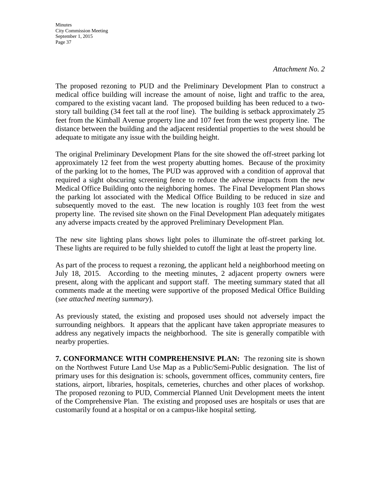#### *Attachment No. 2*

The proposed rezoning to PUD and the Preliminary Development Plan to construct a medical office building will increase the amount of noise, light and traffic to the area, compared to the existing vacant land. The proposed building has been reduced to a twostory tall building (34 feet tall at the roof line). The building is setback approximately 25 feet from the Kimball Avenue property line and 107 feet from the west property line. The distance between the building and the adjacent residential properties to the west should be adequate to mitigate any issue with the building height.

The original Preliminary Development Plans for the site showed the off-street parking lot approximately 12 feet from the west property abutting homes. Because of the proximity of the parking lot to the homes, The PUD was approved with a condition of approval that required a sight obscuring screening fence to reduce the adverse impacts from the new Medical Office Building onto the neighboring homes. The Final Development Plan shows the parking lot associated with the Medical Office Building to be reduced in size and subsequently moved to the east. The new location is roughly 103 feet from the west property line. The revised site shown on the Final Development Plan adequately mitigates any adverse impacts created by the approved Preliminary Development Plan.

The new site lighting plans shows light poles to illuminate the off-street parking lot. These lights are required to be fully shielded to cutoff the light at least the property line.

As part of the process to request a rezoning, the applicant held a neighborhood meeting on July 18, 2015. According to the meeting minutes, 2 adjacent property owners were present, along with the applicant and support staff. The meeting summary stated that all comments made at the meeting were supportive of the proposed Medical Office Building (*see attached meeting summary*).

As previously stated, the existing and proposed uses should not adversely impact the surrounding neighbors. It appears that the applicant have taken appropriate measures to address any negatively impacts the neighborhood. The site is generally compatible with nearby properties.

**7. CONFORMANCE WITH COMPREHENSIVE PLAN:** The rezoning site is shown on the Northwest Future Land Use Map as a Public/Semi-Public designation. The list of primary uses for this designation is: schools, government offices, community centers, fire stations, airport, libraries, hospitals, cemeteries, churches and other places of workshop. The proposed rezoning to PUD, Commercial Planned Unit Development meets the intent of the Comprehensive Plan. The existing and proposed uses are hospitals or uses that are customarily found at a hospital or on a campus-like hospital setting.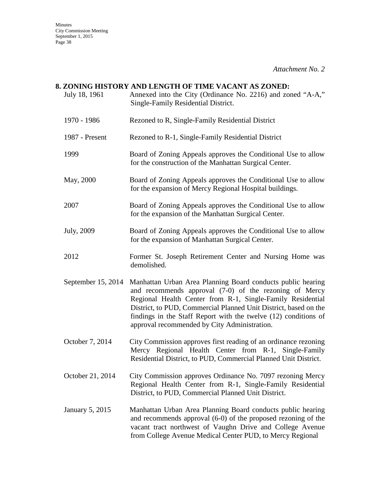# *Attachment No. 2*  **8. ZONING HISTORY AND LENGTH OF TIME VACANT AS ZONED:** July 18, 1961 Annexed into the City (Ordinance No. 2216) and zoned "A-A," Single-Family Residential District. 1970 - 1986 Rezoned to R, Single-Family Residential District 1987 - Present Rezoned to R-1, Single-Family Residential District 1999 Board of Zoning Appeals approves the Conditional Use to allow for the construction of the Manhattan Surgical Center. May, 2000 Board of Zoning Appeals approves the Conditional Use to allow for the expansion of Mercy Regional Hospital buildings. 2007 Board of Zoning Appeals approves the Conditional Use to allow for the expansion of the Manhattan Surgical Center. July, 2009 Board of Zoning Appeals approves the Conditional Use to allow for the expansion of Manhattan Surgical Center. 2012 Former St. Joseph Retirement Center and Nursing Home was demolished. September 15, 2014 Manhattan Urban Area Planning Board conducts public hearing and recommends approval (7-0) of the rezoning of Mercy Regional Health Center from R-1, Single-Family Residential District, to PUD, Commercial Planned Unit District, based on the findings in the Staff Report with the twelve (12) conditions of approval recommended by City Administration. October 7, 2014 City Commission approves first reading of an ordinance rezoning Mercy Regional Health Center from R-1, Single-Family Residential District, to PUD, Commercial Planned Unit District. October 21, 2014 City Commission approves Ordinance No. 7097 rezoning Mercy Regional Health Center from R-1, Single-Family Residential District, to PUD, Commercial Planned Unit District. January 5, 2015 Manhattan Urban Area Planning Board conducts public hearing and recommends approval (6-0) of the proposed rezoning of the vacant tract northwest of Vaughn Drive and College Avenue from College Avenue Medical Center PUD, to Mercy Regional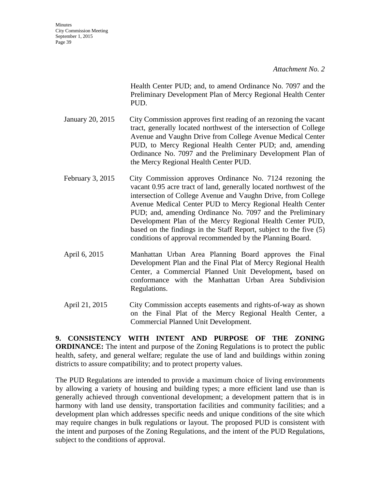*Attachment No. 2* 

Health Center PUD; and, to amend Ordinance No. 7097 and the Preliminary Development Plan of Mercy Regional Health Center PUD.

- January 20, 2015 City Commission approves first reading of an rezoning the vacant tract, generally located northwest of the intersection of College Avenue and Vaughn Drive from College Avenue Medical Center PUD, to Mercy Regional Health Center PUD; and, amending Ordinance No. 7097 and the Preliminary Development Plan of the Mercy Regional Health Center PUD.
- February 3, 2015 City Commission approves Ordinance No. 7124 rezoning the vacant 0.95 acre tract of land, generally located northwest of the intersection of College Avenue and Vaughn Drive, from College Avenue Medical Center PUD to Mercy Regional Health Center PUD; and, amending Ordinance No. 7097 and the Preliminary Development Plan of the Mercy Regional Health Center PUD, based on the findings in the Staff Report, subject to the five (5) conditions of approval recommended by the Planning Board.
- April 6, 2015 Manhattan Urban Area Planning Board approves the Final Development Plan and the Final Plat of Mercy Regional Health Center, a Commercial Planned Unit Development**,** based on conformance with the Manhattan Urban Area Subdivision Regulations.
- April 21, 2015 City Commission accepts easements and rights-of-way as shown on the Final Plat of the Mercy Regional Health Center, a Commercial Planned Unit Development.

**9. CONSISTENCY WITH INTENT AND PURPOSE OF THE ZONING ORDINANCE:** The intent and purpose of the Zoning Regulations is to protect the public health, safety, and general welfare; regulate the use of land and buildings within zoning districts to assure compatibility; and to protect property values.

The PUD Regulations are intended to provide a maximum choice of living environments by allowing a variety of housing and building types; a more efficient land use than is generally achieved through conventional development; a development pattern that is in harmony with land use density, transportation facilities and community facilities; and a development plan which addresses specific needs and unique conditions of the site which may require changes in bulk regulations or layout. The proposed PUD is consistent with the intent and purposes of the Zoning Regulations, and the intent of the PUD Regulations, subject to the conditions of approval.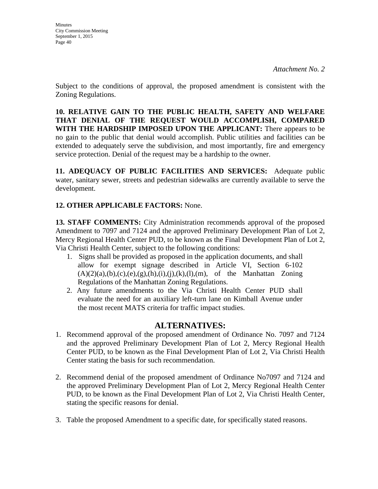Subject to the conditions of approval, the proposed amendment is consistent with the Zoning Regulations.

**10. RELATIVE GAIN TO THE PUBLIC HEALTH, SAFETY AND WELFARE THAT DENIAL OF THE REQUEST WOULD ACCOMPLISH, COMPARED WITH THE HARDSHIP IMPOSED UPON THE APPLICANT:** There appears to be no gain to the public that denial would accomplish. Public utilities and facilities can be extended to adequately serve the subdivision, and most importantly, fire and emergency service protection. Denial of the request may be a hardship to the owner.

**11. ADEQUACY OF PUBLIC FACILITIES AND SERVICES:** Adequate public water, sanitary sewer, streets and pedestrian sidewalks are currently available to serve the development.

# **12. OTHER APPLICABLE FACTORS:** None.

**13. STAFF COMMENTS:** City Administration recommends approval of the proposed Amendment to 7097 and 7124 and the approved Preliminary Development Plan of Lot 2, Mercy Regional Health Center PUD, to be known as the Final Development Plan of Lot 2, Via Christi Health Center, subject to the following conditions:

- 1. Signs shall be provided as proposed in the application documents, and shall allow for exempt signage described in Article VI, Section 6-102  $(A)(2)(a),(b),(c),(e),(g),(h),(i),(j),(k),(l),(m))$ , of the Manhattan Zoning Regulations of the Manhattan Zoning Regulations.
- 2. Any future amendments to the Via Christi Health Center PUD shall evaluate the need for an auxiliary left-turn lane on Kimball Avenue under the most recent MATS criteria for traffic impact studies.

# **ALTERNATIVES:**

- 1. Recommend approval of the proposed amendment of Ordinance No. 7097 and 7124 and the approved Preliminary Development Plan of Lot 2, Mercy Regional Health Center PUD, to be known as the Final Development Plan of Lot 2, Via Christi Health Center stating the basis for such recommendation.
- 2. Recommend denial of the proposed amendment of Ordinance No7097 and 7124 and the approved Preliminary Development Plan of Lot 2, Mercy Regional Health Center PUD, to be known as the Final Development Plan of Lot 2, Via Christi Health Center, stating the specific reasons for denial.
- 3. Table the proposed Amendment to a specific date, for specifically stated reasons.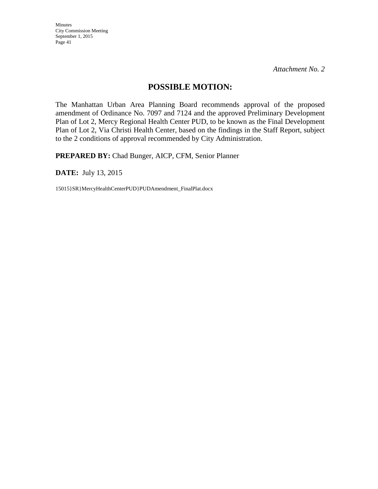*Attachment No. 2* 

# **POSSIBLE MOTION:**

The Manhattan Urban Area Planning Board recommends approval of the proposed amendment of Ordinance No. 7097 and 7124 and the approved Preliminary Development Plan of Lot 2, Mercy Regional Health Center PUD, to be known as the Final Development Plan of Lot 2, Via Christi Health Center, based on the findings in the Staff Report, subject to the 2 conditions of approval recommended by City Administration.

**PREPARED BY:** Chad Bunger, AICP, CFM, Senior Planner

**DATE:** July 13, 2015

15015}SR}MercyHealthCenterPUD}PUDAmendment\_FinalPlat.docx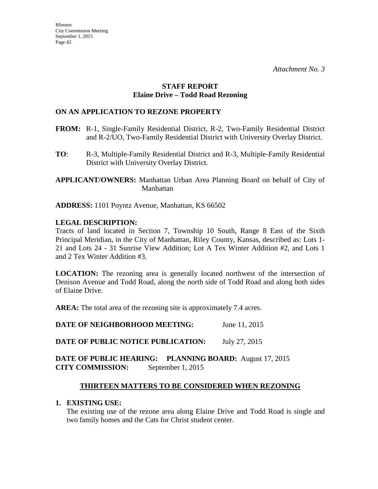#### **STAFF REPORT Elaine Drive – Todd Road Rezoning**

### **ON AN APPLICATION TO REZONE PROPERTY**

- **FROM:** R-1, Single-Family Residential District, R-2, Two-Family Residential District and R-2/UO, Two-Family Residential District with University Overlay District.
- **TO**: R-3, Multiple-Family Residential District and R-3, Multiple-Family Residential District with University Overlay District.

**APPLICANT/OWNERS:** Manhattan Urban Area Planning Board on behalf of City of Manhattan

**ADDRESS:** 1101 Poyntz Avenue, Manhattan, KS 66502

### **LEGAL DESCRIPTION:**

Tracts of land located in Section 7, Township 10 South, Range 8 East of the Sixth Principal Meridian, in the City of Manhattan, Riley County, Kansas, described as: Lots 1- 21 and Lots 24 - 31 Sunrise View Addition; Lot A Tex Winter Addition #2, and Lots 1 and 2 Tex Winter Addition #3.

**LOCATION:** The rezoning area is generally located northwest of the intersection of Denison Avenue and Todd Road, along the north side of Todd Road and along both sides of Elaine Drive.

**AREA:** The total area of the rezoning site is approximately 7.4 acres.

**DATE OF NEIGHBORHOOD MEETING:** June 11, 2015

**DATE OF PUBLIC NOTICE PUBLICATION:** July 27, 2015

### **DATE OF PUBLIC HEARING: PLANNING BOARD:** August 17, 2015 **CITY COMMISSION:** September 1, 2015

# **THIRTEEN MATTERS TO BE CONSIDERED WHEN REZONING**

### **1. EXISTING USE:**

The existing use of the rezone area along Elaine Drive and Todd Road is single and two family homes and the Cats for Christ student center.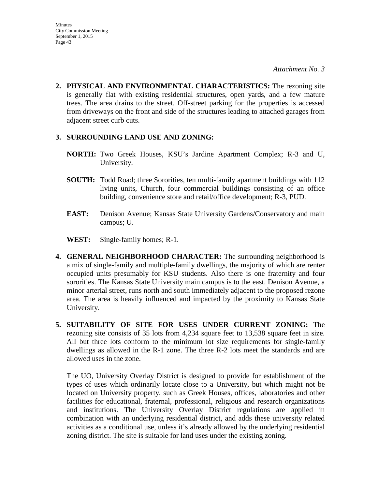**2. PHYSICAL AND ENVIRONMENTAL CHARACTERISTICS:** The rezoning site is generally flat with existing residential structures, open yards, and a few mature trees. The area drains to the street. Off-street parking for the properties is accessed from driveways on the front and side of the structures leading to attached garages from adjacent street curb cuts.

#### **3. SURROUNDING LAND USE AND ZONING:**

- **NORTH:** Two Greek Houses, KSU's Jardine Apartment Complex; R-3 and U, University.
- **SOUTH:** Todd Road; three Sororities, ten multi-family apartment buildings with 112 living units, Church, four commercial buildings consisting of an office building, convenience store and retail/office development; R-3, PUD.
- **EAST:** Denison Avenue; Kansas State University Gardens/Conservatory and main campus; U.
- **WEST:** Single-family homes; R-1.
- **4. GENERAL NEIGHBORHOOD CHARACTER:** The surrounding neighborhood is a mix of single-family and multiple-family dwellings, the majority of which are renter occupied units presumably for KSU students. Also there is one fraternity and four sororities. The Kansas State University main campus is to the east. Denison Avenue, a minor arterial street, runs north and south immediately adjacent to the proposed rezone area. The area is heavily influenced and impacted by the proximity to Kansas State University.
- **5. SUITABILITY OF SITE FOR USES UNDER CURRENT ZONING:** The rezoning site consists of 35 lots from 4,234 square feet to 13,538 square feet in size. All but three lots conform to the minimum lot size requirements for single-family dwellings as allowed in the R-1 zone. The three R-2 lots meet the standards and are allowed uses in the zone.

The UO, University Overlay District is designed to provide for establishment of the types of uses which ordinarily locate close to a University, but which might not be located on University property, such as Greek Houses, offices, laboratories and other facilities for educational, fraternal, professional, religious and research organizations and institutions. The University Overlay District regulations are applied in combination with an underlying residential district, and adds these university related activities as a conditional use, unless it's already allowed by the underlying residential zoning district. The site is suitable for land uses under the existing zoning.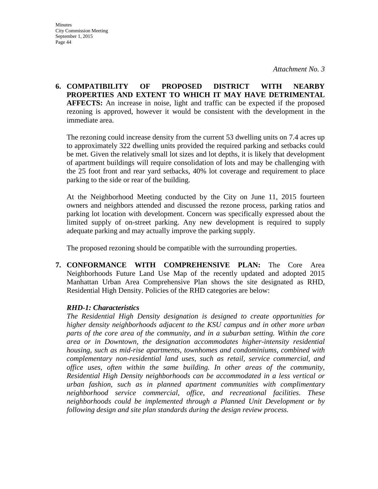**6. COMPATIBILITY OF PROPOSED DISTRICT WITH NEARBY PROPERTIES AND EXTENT TO WHICH IT MAY HAVE DETRIMENTAL AFFECTS:** An increase in noise, light and traffic can be expected if the proposed rezoning is approved, however it would be consistent with the development in the immediate area.

The rezoning could increase density from the current 53 dwelling units on 7.4 acres up to approximately 322 dwelling units provided the required parking and setbacks could be met. Given the relatively small lot sizes and lot depths, it is likely that development of apartment buildings will require consolidation of lots and may be challenging with the 25 foot front and rear yard setbacks, 40% lot coverage and requirement to place parking to the side or rear of the building.

At the Neighborhood Meeting conducted by the City on June 11, 2015 fourteen owners and neighbors attended and discussed the rezone process, parking ratios and parking lot location with development. Concern was specifically expressed about the limited supply of on-street parking. Any new development is required to supply adequate parking and may actually improve the parking supply.

The proposed rezoning should be compatible with the surrounding properties.

**7. CONFORMANCE WITH COMPREHENSIVE PLAN:** The Core Area Neighborhoods Future Land Use Map of the recently updated and adopted 2015 Manhattan Urban Area Comprehensive Plan shows the site designated as RHD, Residential High Density. Policies of the RHD categories are below:

### *RHD-1: Characteristics*

*The Residential High Density designation is designed to create opportunities for higher density neighborhoods adjacent to the KSU campus and in other more urban parts of the core area of the community, and in a suburban setting. Within the core area or in Downtown, the designation accommodates higher-intensity residential housing, such as mid-rise apartments, townhomes and condominiums, combined with complementary non-residential land uses, such as retail, service commercial, and office uses, often within the same building. In other areas of the community, Residential High Density neighborhoods can be accommodated in a less vertical or urban fashion, such as in planned apartment communities with complimentary neighborhood service commercial, office, and recreational facilities. These neighborhoods could be implemented through a Planned Unit Development or by following design and site plan standards during the design review process.*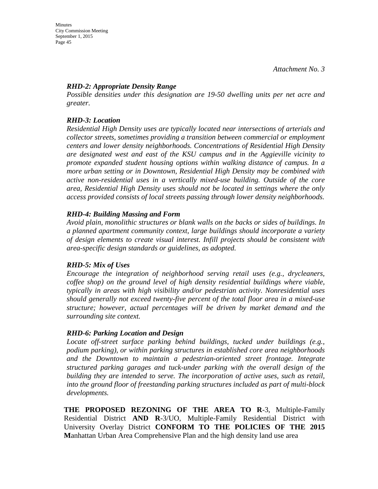#### *RHD-2: Appropriate Density Range*

*Possible densities under this designation are 19-50 dwelling units per net acre and greater.*

### *RHD-3: Location*

*Residential High Density uses are typically located near intersections of arterials and collector streets, sometimes providing a transition between commercial or employment centers and lower density neighborhoods. Concentrations of Residential High Density are designated west and east of the KSU campus and in the Aggieville vicinity to promote expanded student housing options within walking distance of campus. In a more urban setting or in Downtown, Residential High Density may be combined with active non-residential uses in a vertically mixed-use building. Outside of the core area, Residential High Density uses should not be located in settings where the only access provided consists of local streets passing through lower density neighborhoods.* 

#### *RHD-4: Building Massing and Form*

*Avoid plain, monolithic structures or blank walls on the backs or sides of buildings. In a planned apartment community context, large buildings should incorporate a variety of design elements to create visual interest. Infill projects should be consistent with area-specific design standards or guidelines, as adopted.* 

### *RHD-5: Mix of Uses*

*Encourage the integration of neighborhood serving retail uses (e.g., drycleaners, coffee shop) on the ground level of high density residential buildings where viable, typically in areas with high visibility and/or pedestrian activity. Nonresidential uses should generally not exceed twenty-five percent of the total floor area in a mixed-use structure; however, actual percentages will be driven by market demand and the surrounding site context.* 

### *RHD-6: Parking Location and Design*

Locate off-street surface parking behind buildings, tucked under buildings (e.g., *podium parking), or within parking structures in established core area neighborhoods and the Downtown to maintain a pedestrian-oriented street frontage. Integrate structured parking garages and tuck-under parking with the overall design of the building they are intended to serve. The incorporation of active uses, such as retail, into the ground floor of freestanding parking structures included as part of multi-block developments.*

**THE PROPOSED REZONING OF THE AREA TO R**-3, Multiple-Family Residential District **AND R**-3/UO, Multiple-Family Residential District with University Overlay District **CONFORM TO THE POLICIES OF THE 2015 M**anhattan Urban Area Comprehensive Plan and the high density land use area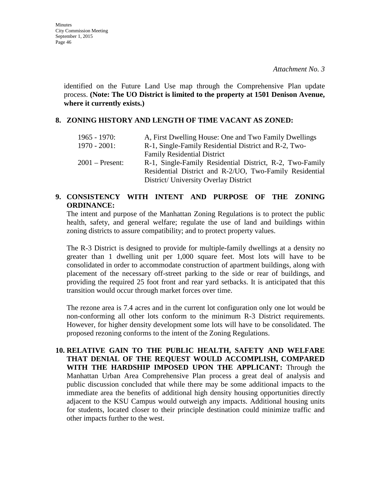identified on the Future Land Use map through the Comprehensive Plan update process. **(Note: The UO District is limited to the property at 1501 Denison Avenue, where it currently exists.)**

#### **8. ZONING HISTORY AND LENGTH OF TIME VACANT AS ZONED:**

| $1965 - 1970$ :   | A, First Dwelling House: One and Two Family Dwellings                                                                                                        |
|-------------------|--------------------------------------------------------------------------------------------------------------------------------------------------------------|
| $1970 - 2001$ :   | R-1, Single-Family Residential District and R-2, Two-                                                                                                        |
|                   | <b>Family Residential District</b>                                                                                                                           |
| $2001$ – Present: | R-1, Single-Family Residential District, R-2, Two-Family<br>Residential District and R-2/UO, Two-Family Residential<br>District/ University Overlay District |

### **9. CONSISTENCY WITH INTENT AND PURPOSE OF THE ZONING ORDINANCE:**

The intent and purpose of the Manhattan Zoning Regulations is to protect the public health, safety, and general welfare; regulate the use of land and buildings within zoning districts to assure compatibility; and to protect property values.

The R-3 District is designed to provide for multiple-family dwellings at a density no greater than 1 dwelling unit per 1,000 square feet. Most lots will have to be consolidated in order to accommodate construction of apartment buildings, along with placement of the necessary off-street parking to the side or rear of buildings, and providing the required 25 foot front and rear yard setbacks. It is anticipated that this transition would occur through market forces over time.

The rezone area is 7.4 acres and in the current lot configuration only one lot would be non-conforming all other lots conform to the minimum R-3 District requirements. However, for higher density development some lots will have to be consolidated. The proposed rezoning conforms to the intent of the Zoning Regulations.

**10. RELATIVE GAIN TO THE PUBLIC HEALTH, SAFETY AND WELFARE THAT DENIAL OF THE REQUEST WOULD ACCOMPLISH, COMPARED WITH THE HARDSHIP IMPOSED UPON THE APPLICANT:** Through the Manhattan Urban Area Comprehensive Plan process a great deal of analysis and public discussion concluded that while there may be some additional impacts to the immediate area the benefits of additional high density housing opportunities directly adjacent to the KSU Campus would outweigh any impacts. Additional housing units for students, located closer to their principle destination could minimize traffic and other impacts further to the west.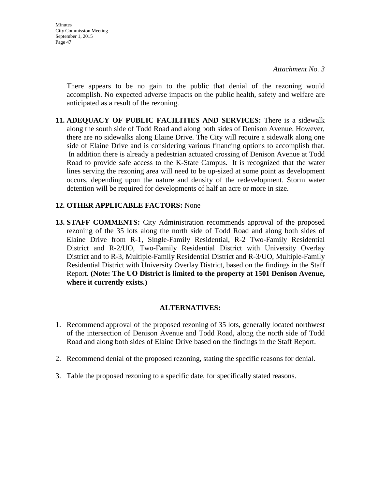*Attachment No. 3* 

There appears to be no gain to the public that denial of the rezoning would accomplish. No expected adverse impacts on the public health, safety and welfare are anticipated as a result of the rezoning.

**11. ADEQUACY OF PUBLIC FACILITIES AND SERVICES:** There is a sidewalk along the south side of Todd Road and along both sides of Denison Avenue. However, there are no sidewalks along Elaine Drive. The City will require a sidewalk along one side of Elaine Drive and is considering various financing options to accomplish that. In addition there is already a pedestrian actuated crossing of Denison Avenue at Todd Road to provide safe access to the K-State Campus. It is recognized that the water lines serving the rezoning area will need to be up-sized at some point as development occurs, depending upon the nature and density of the redevelopment. Storm water detention will be required for developments of half an acre or more in size.

### **12. OTHER APPLICABLE FACTORS:** None

**13. STAFF COMMENTS:** City Administration recommends approval of the proposed rezoning of the 35 lots along the north side of Todd Road and along both sides of Elaine Drive from R-1, Single-Family Residential, R-2 Two-Family Residential District and R-2/UO, Two-Family Residential District with University Overlay District and to R-3, Multiple-Family Residential District and R-3/UO, Multiple-Family Residential District with University Overlay District, based on the findings in the Staff Report. **(Note: The UO District is limited to the property at 1501 Denison Avenue, where it currently exists.)**

#### **ALTERNATIVES:**

- 1. Recommend approval of the proposed rezoning of 35 lots, generally located northwest of the intersection of Denison Avenue and Todd Road, along the north side of Todd Road and along both sides of Elaine Drive based on the findings in the Staff Report.
- 2. Recommend denial of the proposed rezoning, stating the specific reasons for denial.
- 3. Table the proposed rezoning to a specific date, for specifically stated reasons.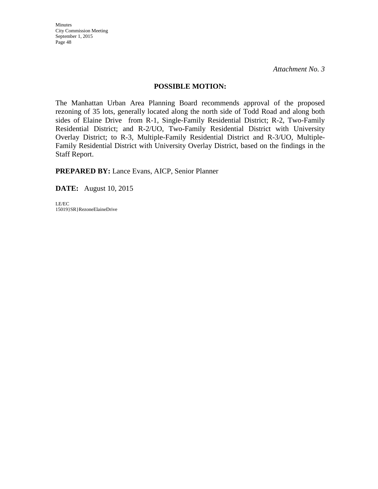#### **POSSIBLE MOTION:**

The Manhattan Urban Area Planning Board recommends approval of the proposed rezoning of 35 lots, generally located along the north side of Todd Road and along both sides of Elaine Drive from R-1, Single-Family Residential District; R-2, Two-Family Residential District; and R-2/UO, Two-Family Residential District with University Overlay District; to R-3, Multiple-Family Residential District and R-3/UO, Multiple-Family Residential District with University Overlay District, based on the findings in the Staff Report.

**PREPARED BY:** Lance Evans, AICP, Senior Planner

**DATE:** August 10, 2015

LE/EC 15019}SR}RezoneElaineDrive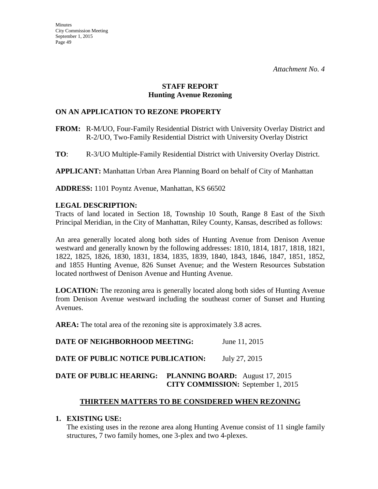#### **STAFF REPORT Hunting Avenue Rezoning**

### **ON AN APPLICATION TO REZONE PROPERTY**

- **FROM:** R-M/UO, Four-Family Residential District with University Overlay District and R-2/UO, Two-Family Residential District with University Overlay District
- **TO**: R-3/UO Multiple-Family Residential District with University Overlay District.

**APPLICANT:** Manhattan Urban Area Planning Board on behalf of City of Manhattan

**ADDRESS:** 1101 Poyntz Avenue, Manhattan, KS 66502

### **LEGAL DESCRIPTION:**

Tracts of land located in Section 18, Township 10 South, Range 8 East of the Sixth Principal Meridian, in the City of Manhattan, Riley County, Kansas, described as follows:

An area generally located along both sides of Hunting Avenue from Denison Avenue westward and generally known by the following addresses: 1810, 1814, 1817, 1818, 1821, 1822, 1825, 1826, 1830, 1831, 1834, 1835, 1839, 1840, 1843, 1846, 1847, 1851, 1852, and 1855 Hunting Avenue, 826 Sunset Avenue; and the Western Resources Substation located northwest of Denison Avenue and Hunting Avenue.

**LOCATION:** The rezoning area is generally located along both sides of Hunting Avenue from Denison Avenue westward including the southeast corner of Sunset and Hunting Avenues.

AREA: The total area of the rezoning site is approximately 3.8 acres.

**DATE OF NEIGHBORHOOD MEETING:** June 11, 2015

**DATE OF PUBLIC NOTICE PUBLICATION:** July 27, 2015

# **DATE OF PUBLIC HEARING: PLANNING BOARD:** August 17, 2015  **CITY COMMISSION:** September 1, 2015

# **THIRTEEN MATTERS TO BE CONSIDERED WHEN REZONING**

### **1. EXISTING USE:**

The existing uses in the rezone area along Hunting Avenue consist of 11 single family structures, 7 two family homes, one 3-plex and two 4-plexes.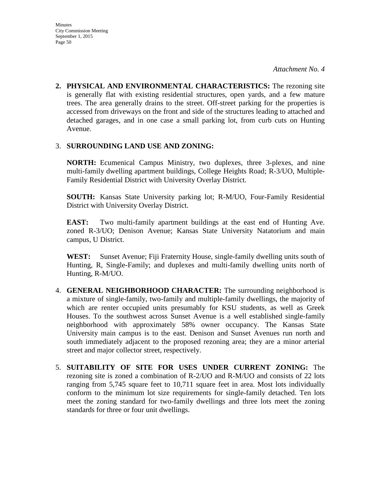**2. PHYSICAL AND ENVIRONMENTAL CHARACTERISTICS:** The rezoning site is generally flat with existing residential structures, open yards, and a few mature trees. The area generally drains to the street. Off-street parking for the properties is accessed from driveways on the front and side of the structures leading to attached and detached garages, and in one case a small parking lot, from curb cuts on Hunting Avenue.

#### 3. **SURROUNDING LAND USE AND ZONING:**

**NORTH:** Ecumenical Campus Ministry, two duplexes, three 3-plexes, and nine multi-family dwelling apartment buildings, College Heights Road; R-3/UO, Multiple-Family Residential District with University Overlay District.

**SOUTH:** Kansas State University parking lot; R-M/UO, Four-Family Residential District with University Overlay District.

**EAST:** Two multi-family apartment buildings at the east end of Hunting Ave. zoned R-3/UO; Denison Avenue; Kansas State University Natatorium and main campus, U District.

**WEST:** Sunset Avenue; Fiji Fraternity House, single-family dwelling units south of Hunting, R, Single-Family; and duplexes and multi-family dwelling units north of Hunting, R-M/UO.

- 4. **GENERAL NEIGHBORHOOD CHARACTER:** The surrounding neighborhood is a mixture of single-family, two-family and multiple-family dwellings, the majority of which are renter occupied units presumably for KSU students, as well as Greek Houses. To the southwest across Sunset Avenue is a well established single-family neighborhood with approximately 58% owner occupancy. The Kansas State University main campus is to the east. Denison and Sunset Avenues run north and south immediately adjacent to the proposed rezoning area; they are a minor arterial street and major collector street, respectively.
- 5. **SUITABILITY OF SITE FOR USES UNDER CURRENT ZONING:** The rezoning site is zoned a combination of R-2/UO and R-M/UO and consists of 22 lots ranging from 5,745 square feet to 10,711 square feet in area. Most lots individually conform to the minimum lot size requirements for single-family detached. Ten lots meet the zoning standard for two-family dwellings and three lots meet the zoning standards for three or four unit dwellings.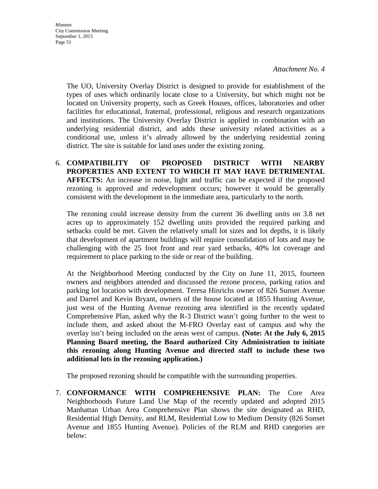Minutes City Commission Meeting September 1, 2015 Page 51

> The UO, University Overlay District is designed to provide for establishment of the types of uses which ordinarily locate close to a University, but which might not be located on University property, such as Greek Houses, offices, laboratories and other facilities for educational, fraternal, professional, religious and research organizations and institutions. The University Overlay District is applied in combination with an underlying residential district, and adds these university related activities as a conditional use, unless it's already allowed by the underlying residential zoning district. The site is suitable for land uses under the existing zoning.

6. **COMPATIBILITY OF PROPOSED DISTRICT WITH NEARBY PROPERTIES AND EXTENT TO WHICH IT MAY HAVE DETRIMENTAL AFFECTS:** An increase in noise, light and traffic can be expected if the proposed rezoning is approved and redevelopment occurs; however it would be generally consistent with the development in the immediate area, particularly to the north.

The rezoning could increase density from the current 36 dwelling units on 3.8 net acres up to approximately 152 dwelling units provided the required parking and setbacks could be met. Given the relatively small lot sizes and lot depths, it is likely that development of apartment buildings will require consolidation of lots and may be challenging with the 25 foot front and rear yard setbacks, 40% lot coverage and requirement to place parking to the side or rear of the building.

At the Neighborhood Meeting conducted by the City on June 11, 2015, fourteen owners and neighbors attended and discussed the rezone process, parking ratios and parking lot location with development. Teresa Hinrichs owner of 826 Sunset Avenue and Darrel and Kevin Bryant, owners of the house located at 1855 Hunting Avenue, just west of the Hunting Avenue rezoning area identified in the recently updated Comprehensive Plan, asked why the R-3 District wasn't going further to the west to include them, and asked about the M-FRO Overlay east of campus and why the overlay isn't being included on the areas west of campus. **(Note: At the July 6, 2015 Planning Board meeting, the Board authorized City Administration to initiate this rezoning along Hunting Avenue and directed staff to include these two additional lots in the rezoning application.)** 

The proposed rezoning should be compatible with the surrounding properties.

7. **CONFORMANCE WITH COMPREHENSIVE PLAN:** The Core Area Neighborhoods Future Land Use Map of the recently updated and adopted 2015 Manhattan Urban Area Comprehensive Plan shows the site designated as RHD, Residential High Density, and RLM, Residential Low to Medium Density (826 Sunset Avenue and 1855 Hunting Avenue). Policies of the RLM and RHD categories are below: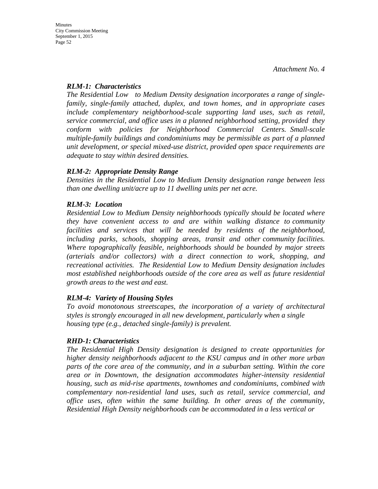### *RLM-1: Characteristics*

*The Residential Low to Medium Density designation incorporates a range of singlefamily, single-family attached, duplex, and town homes, and in appropriate cases include complementary neighborhood-scale supporting land uses, such as retail, service commercial, and office uses in a planned neighborhood setting, provided they conform with policies for Neighborhood Commercial Centers. Small-scale multiple-family buildings and condominiums may be permissible as part of a planned unit development, or special mixed-use district, provided open space requirements are adequate to stay within desired densities.* 

### *RLM-2: Appropriate Density Range*

*Densities in the Residential Low to Medium Density designation range between less than one dwelling unit/acre up to 11 dwelling units per net acre.*

# *RLM-3: Location*

*Residential Low to Medium Density neighborhoods typically should be located where they have convenient access to and are within walking distance to community facilities and services that will be needed by residents of the neighborhood, including parks, schools, shopping areas, transit and other community facilities. Where topographically feasible, neighborhoods should be bounded by major streets (arterials and/or collectors) with a direct connection to work, shopping, and recreational activities. The Residential Low to Medium Density designation includes most established neighborhoods outside of the core area as well as future residential growth areas to the west and east.* 

### *RLM-4: Variety of Housing Styles*

*To avoid monotonous streetscapes, the incorporation of a variety of architectural styles is strongly encouraged in all new development, particularly when a single housing type (e.g., detached single-family) is prevalent.*

### *RHD-1: Characteristics*

*The Residential High Density designation is designed to create opportunities for higher density neighborhoods adjacent to the KSU campus and in other more urban parts of the core area of the community, and in a suburban setting. Within the core area or in Downtown, the designation accommodates higher-intensity residential housing, such as mid-rise apartments, townhomes and condominiums, combined with complementary non-residential land uses, such as retail, service commercial, and office uses, often within the same building. In other areas of the community, Residential High Density neighborhoods can be accommodated in a less vertical or*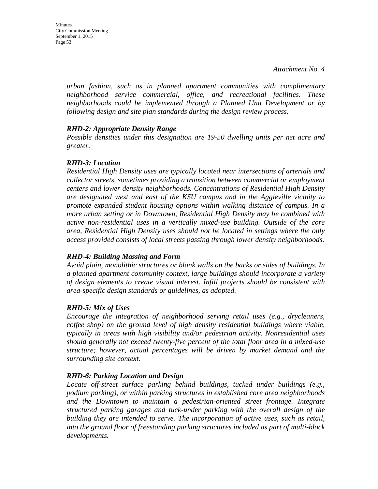*urban fashion, such as in planned apartment communities with complimentary neighborhood service commercial, office, and recreational facilities. These neighborhoods could be implemented through a Planned Unit Development or by following design and site plan standards during the design review process.* 

#### *RHD-2: Appropriate Density Range*

*Possible densities under this designation are 19-50 dwelling units per net acre and greater.*

#### *RHD-3: Location*

*Residential High Density uses are typically located near intersections of arterials and collector streets, sometimes providing a transition between commercial or employment centers and lower density neighborhoods. Concentrations of Residential High Density are designated west and east of the KSU campus and in the Aggieville vicinity to promote expanded student housing options within walking distance of campus. In a more urban setting or in Downtown, Residential High Density may be combined with active non-residential uses in a vertically mixed-use building. Outside of the core area, Residential High Density uses should not be located in settings where the only access provided consists of local streets passing through lower density neighborhoods.* 

### *RHD-4: Building Massing and Form*

*Avoid plain, monolithic structures or blank walls on the backs or sides of buildings. In a planned apartment community context, large buildings should incorporate a variety of design elements to create visual interest. Infill projects should be consistent with area-specific design standards or guidelines, as adopted.* 

### *RHD-5: Mix of Uses*

*Encourage the integration of neighborhood serving retail uses (e.g., drycleaners, coffee shop) on the ground level of high density residential buildings where viable, typically in areas with high visibility and/or pedestrian activity. Nonresidential uses should generally not exceed twenty-five percent of the total floor area in a mixed-use structure; however, actual percentages will be driven by market demand and the surrounding site context.* 

### *RHD-6: Parking Location and Design*

*Locate off-street surface parking behind buildings, tucked under buildings (e.g., podium parking), or within parking structures in established core area neighborhoods and the Downtown to maintain a pedestrian-oriented street frontage. Integrate structured parking garages and tuck-under parking with the overall design of the building they are intended to serve. The incorporation of active uses, such as retail, into the ground floor of freestanding parking structures included as part of multi-block developments.*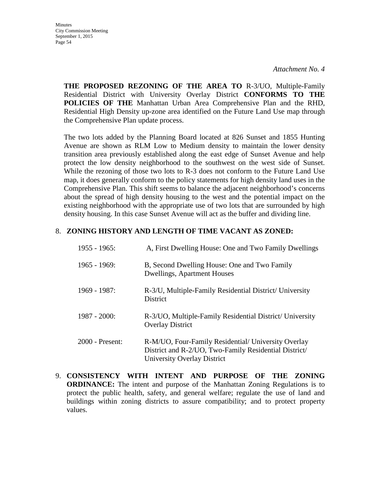*Attachment No. 4* 

**THE PROPOSED REZONING OF THE AREA TO** R-3/UO, Multiple-Family Residential District with University Overlay District **CONFORMS TO THE POLICIES OF THE** Manhattan Urban Area Comprehensive Plan and the RHD, Residential High Density up-zone area identified on the Future Land Use map through the Comprehensive Plan update process.

The two lots added by the Planning Board located at 826 Sunset and 1855 Hunting Avenue are shown as RLM Low to Medium density to maintain the lower density transition area previously established along the east edge of Sunset Avenue and help protect the low density neighborhood to the southwest on the west side of Sunset. While the rezoning of those two lots to R-3 does not conform to the Future Land Use map, it does generally conform to the policy statements for high density land uses in the Comprehensive Plan. This shift seems to balance the adjacent neighborhood's concerns about the spread of high density housing to the west and the potential impact on the existing neighborhood with the appropriate use of two lots that are surrounded by high density housing. In this case Sunset Avenue will act as the buffer and dividing line.

#### 8. **ZONING HISTORY AND LENGTH OF TIME VACANT AS ZONED:**

| $1955 - 1965$ : | A, First Dwelling House: One and Two Family Dwellings                                                                                       |
|-----------------|---------------------------------------------------------------------------------------------------------------------------------------------|
| $1965 - 1969$ : | B, Second Dwelling House: One and Two Family<br><b>Dwellings, Apartment Houses</b>                                                          |
| 1969 - 1987:    | R-3/U, Multiple-Family Residential District/ University<br><b>District</b>                                                                  |
| $1987 - 2000$ : | R-3/UO, Multiple-Family Residential District/ University<br><b>Overlay District</b>                                                         |
| 2000 - Present: | R-M/UO, Four-Family Residential/ University Overlay<br>District and R-2/UO, Two-Family Residential District/<br>University Overlay District |

9. **CONSISTENCY WITH INTENT AND PURPOSE OF THE ZONING ORDINANCE:** The intent and purpose of the Manhattan Zoning Regulations is to protect the public health, safety, and general welfare; regulate the use of land and buildings within zoning districts to assure compatibility; and to protect property values.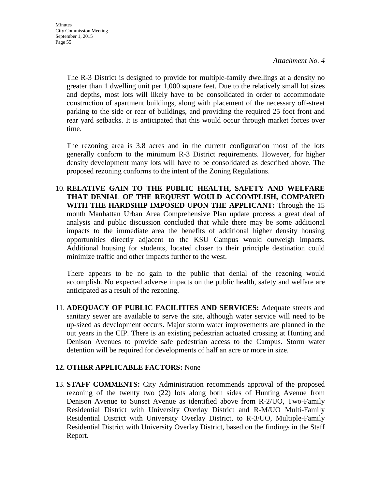The R-3 District is designed to provide for multiple-family dwellings at a density no greater than 1 dwelling unit per 1,000 square feet. Due to the relatively small lot sizes and depths, most lots will likely have to be consolidated in order to accommodate construction of apartment buildings, along with placement of the necessary off-street parking to the side or rear of buildings, and providing the required 25 foot front and rear yard setbacks. It is anticipated that this would occur through market forces over time.

The rezoning area is 3.8 acres and in the current configuration most of the lots generally conform to the minimum R-3 District requirements. However, for higher density development many lots will have to be consolidated as described above. The proposed rezoning conforms to the intent of the Zoning Regulations.

10. **RELATIVE GAIN TO THE PUBLIC HEALTH, SAFETY AND WELFARE THAT DENIAL OF THE REQUEST WOULD ACCOMPLISH, COMPARED WITH THE HARDSHIP IMPOSED UPON THE APPLICANT:** Through the 15 month Manhattan Urban Area Comprehensive Plan update process a great deal of analysis and public discussion concluded that while there may be some additional impacts to the immediate area the benefits of additional higher density housing opportunities directly adjacent to the KSU Campus would outweigh impacts. Additional housing for students, located closer to their principle destination could minimize traffic and other impacts further to the west.

There appears to be no gain to the public that denial of the rezoning would accomplish. No expected adverse impacts on the public health, safety and welfare are anticipated as a result of the rezoning.

11. **ADEQUACY OF PUBLIC FACILITIES AND SERVICES:** Adequate streets and sanitary sewer are available to serve the site, although water service will need to be up-sized as development occurs. Major storm water improvements are planned in the out years in the CIP. There is an existing pedestrian actuated crossing at Hunting and Denison Avenues to provide safe pedestrian access to the Campus. Storm water detention will be required for developments of half an acre or more in size.

### **12. OTHER APPLICABLE FACTORS:** None

13. **STAFF COMMENTS:** City Administration recommends approval of the proposed rezoning of the twenty two (22) lots along both sides of Hunting Avenue from Denison Avenue to Sunset Avenue as identified above from R-2/UO, Two-Family Residential District with University Overlay District and R-M/UO Multi-Family Residential District with University Overlay District, to R-3/UO, Multiple-Family Residential District with University Overlay District, based on the findings in the Staff Report.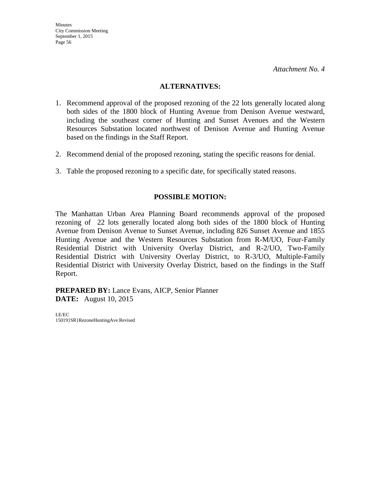#### **ALTERNATIVES:**

- 1. Recommend approval of the proposed rezoning of the 22 lots generally located along both sides of the 1800 block of Hunting Avenue from Denison Avenue westward, including the southeast corner of Hunting and Sunset Avenues and the Western Resources Substation located northwest of Denison Avenue and Hunting Avenue based on the findings in the Staff Report.
- 2. Recommend denial of the proposed rezoning, stating the specific reasons for denial.
- 3. Table the proposed rezoning to a specific date, for specifically stated reasons.

#### **POSSIBLE MOTION:**

The Manhattan Urban Area Planning Board recommends approval of the proposed rezoning of 22 lots generally located along both sides of the 1800 block of Hunting Avenue from Denison Avenue to Sunset Avenue, including 826 Sunset Avenue and 1855 Hunting Avenue and the Western Resources Substation from R-M/UO, Four-Family Residential District with University Overlay District, and R-2/UO, Two-Family Residential District with University Overlay District, to R-3/UO, Multiple-Family Residential District with University Overlay District, based on the findings in the Staff Report.

**PREPARED BY:** Lance Evans, AICP, Senior Planner **DATE:** August 10, 2015

LE/EC 15019}SR}RezoneHuntingAve Revised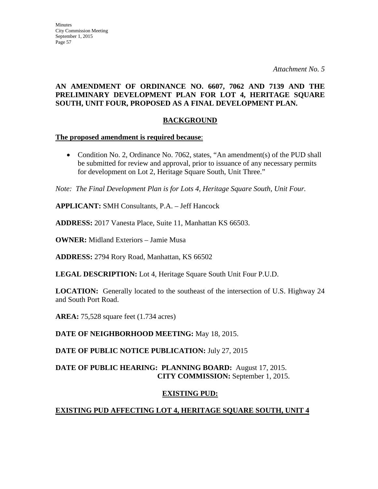### **AN AMENDMENT OF ORDINANCE NO. 6607, 7062 AND 7139 AND THE PRELIMINARY DEVELOPMENT PLAN FOR LOT 4, HERITAGE SQUARE SOUTH, UNIT FOUR, PROPOSED AS A FINAL DEVELOPMENT PLAN.**

### **BACKGROUND**

#### **The proposed amendment is required because**:

• Condition No. 2, Ordinance No. 7062, states, "An amendment(s) of the PUD shall be submitted for review and approval, prior to issuance of any necessary permits for development on Lot 2, Heritage Square South, Unit Three."

*Note: The Final Development Plan is for Lots 4, Heritage Square South, Unit Four.* 

**APPLICANT:** SMH Consultants, P.A. – Jeff Hancock

**ADDRESS:** 2017 Vanesta Place, Suite 11, Manhattan KS 66503.

**OWNER:** Midland Exteriors – Jamie Musa

**ADDRESS:** 2794 Rory Road, Manhattan, KS 66502

**LEGAL DESCRIPTION:** Lot 4, Heritage Square South Unit Four P.U.D.

**LOCATION:** Generally located to the southeast of the intersection of U.S. Highway 24 and South Port Road.

**AREA:** 75,528 square feet (1.734 acres)

**DATE OF NEIGHBORHOOD MEETING:** May 18, 2015.

**DATE OF PUBLIC NOTICE PUBLICATION:** July 27, 2015

### **DATE OF PUBLIC HEARING: PLANNING BOARD:** August 17, 2015. **CITY COMMISSION:** September 1, 2015.

### **EXISTING PUD:**

# **EXISTING PUD AFFECTING LOT 4, HERITAGE SQUARE SOUTH, UNIT 4**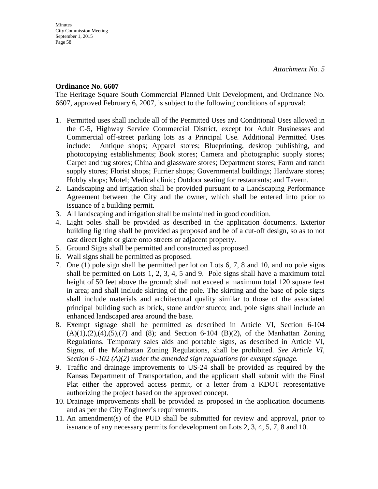#### **Ordinance No. 6607**

The Heritage Square South Commercial Planned Unit Development, and Ordinance No. 6607, approved February 6, 2007, is subject to the following conditions of approval:

- 1. Permitted uses shall include all of the Permitted Uses and Conditional Uses allowed in the C-5, Highway Service Commercial District, except for Adult Businesses and Commercial off-street parking lots as a Principal Use. Additional Permitted Uses include: Antique shops; Apparel stores; Blueprinting, desktop publishing, and photocopying establishments; Book stores; Camera and photographic supply stores; Carpet and rug stores; China and glassware stores; Department stores; Farm and ranch supply stores; Florist shops; Furrier shops; Governmental buildings; Hardware stores; Hobby shops; Motel; Medical clinic; Outdoor seating for restaurants; and Tavern.
- 2. Landscaping and irrigation shall be provided pursuant to a Landscaping Performance Agreement between the City and the owner, which shall be entered into prior to issuance of a building permit.
- 3. All landscaping and irrigation shall be maintained in good condition.
- 4. Light poles shall be provided as described in the application documents. Exterior building lighting shall be provided as proposed and be of a cut-off design, so as to not cast direct light or glare onto streets or adjacent property.
- 5. Ground Signs shall be permitted and constructed as proposed.
- 6. Wall signs shall be permitted as proposed.
- 7. One (1) pole sign shall be permitted per lot on Lots 6, 7, 8 and 10, and no pole signs shall be permitted on Lots 1, 2, 3, 4, 5 and 9. Pole signs shall have a maximum total height of 50 feet above the ground; shall not exceed a maximum total 120 square feet in area; and shall include skirting of the pole. The skirting and the base of pole signs shall include materials and architectural quality similar to those of the associated principal building such as brick, stone and/or stucco; and, pole signs shall include an enhanced landscaped area around the base.
- 8. Exempt signage shall be permitted as described in Article VI, Section 6-104  $(A)(1),(2),(4),(5),(7)$  and  $(8)$ ; and Section 6-104  $(B)(2)$ , of the Manhattan Zoning Regulations. Temporary sales aids and portable signs, as described in Article VI, Signs, of the Manhattan Zoning Regulations, shall be prohibited. *See Article VI, Section 6 -102 (A)(2) under the amended sign regulations for exempt signage.*
- 9. Traffic and drainage improvements to US-24 shall be provided as required by the Kansas Department of Transportation, and the applicant shall submit with the Final Plat either the approved access permit, or a letter from a KDOT representative authorizing the project based on the approved concept.
- 10. Drainage improvements shall be provided as proposed in the application documents and as per the City Engineer's requirements.
- 11. An amendment(s) of the PUD shall be submitted for review and approval, prior to issuance of any necessary permits for development on Lots 2, 3, 4, 5, 7, 8 and 10.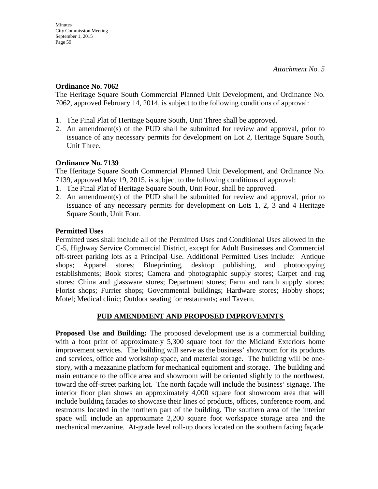#### **Ordinance No. 7062**

The Heritage Square South Commercial Planned Unit Development, and Ordinance No. 7062, approved February 14, 2014, is subject to the following conditions of approval:

- 1. The Final Plat of Heritage Square South, Unit Three shall be approved.
- 2. An amendment(s) of the PUD shall be submitted for review and approval, prior to issuance of any necessary permits for development on Lot 2, Heritage Square South, Unit Three.

#### **Ordinance No. 7139**

The Heritage Square South Commercial Planned Unit Development, and Ordinance No. 7139, approved May 19, 2015, is subject to the following conditions of approval:

- 1. The Final Plat of Heritage Square South, Unit Four, shall be approved.
- 2. An amendment(s) of the PUD shall be submitted for review and approval, prior to issuance of any necessary permits for development on Lots 1, 2, 3 and 4 Heritage Square South, Unit Four.

### **Permitted Uses**

Permitted uses shall include all of the Permitted Uses and Conditional Uses allowed in the C-5, Highway Service Commercial District, except for Adult Businesses and Commercial off-street parking lots as a Principal Use. Additional Permitted Uses include: Antique shops; Apparel stores; Blueprinting, desktop publishing, and photocopying establishments; Book stores; Camera and photographic supply stores; Carpet and rug stores; China and glassware stores; Department stores; Farm and ranch supply stores; Florist shops; Furrier shops; Governmental buildings; Hardware stores; Hobby shops; Motel; Medical clinic; Outdoor seating for restaurants; and Tavern.

### **PUD AMENDMENT AND PROPOSED IMPROVEMNTS**

**Proposed Use and Building:** The proposed development use is a commercial building with a foot print of approximately 5,300 square foot for the Midland Exteriors home improvement services. The building will serve as the business' showroom for its products and services, office and workshop space, and material storage. The building will be onestory, with a mezzanine platform for mechanical equipment and storage. The building and main entrance to the office area and showroom will be oriented slightly to the northwest, toward the off-street parking lot. The north façade will include the business' signage. The interior floor plan shows an approximately 4,000 square foot showroom area that will include building facades to showcase their lines of products, offices, conference room, and restrooms located in the northern part of the building. The southern area of the interior space will include an approximate 2,200 square foot workspace storage area and the mechanical mezzanine. At-grade level roll-up doors located on the southern facing façade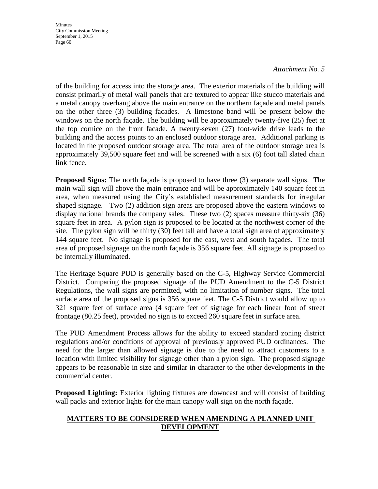#### *Attachment No. 5*

of the building for access into the storage area. The exterior materials of the building will consist primarily of metal wall panels that are textured to appear like stucco materials and a metal canopy overhang above the main entrance on the northern façade and metal panels on the other three (3) building facades. A limestone band will be present below the windows on the north façade. The building will be approximately twenty-five (25) feet at the top cornice on the front facade. A twenty-seven (27) foot-wide drive leads to the building and the access points to an enclosed outdoor storage area. Additional parking is located in the proposed outdoor storage area. The total area of the outdoor storage area is approximately 39,500 square feet and will be screened with a six (6) foot tall slated chain link fence.

**Proposed Signs:** The north façade is proposed to have three (3) separate wall signs. The main wall sign will above the main entrance and will be approximately 140 square feet in area, when measured using the City's established measurement standards for irregular shaped signage. Two (2) addition sign areas are proposed above the eastern windows to display national brands the company sales. These two (2) spaces measure thirty-six (36) square feet in area. A pylon sign is proposed to be located at the northwest corner of the site. The pylon sign will be thirty (30) feet tall and have a total sign area of approximately 144 square feet. No signage is proposed for the east, west and south façades. The total area of proposed signage on the north façade is 356 square feet. All signage is proposed to be internally illuminated.

The Heritage Square PUD is generally based on the C-5, Highway Service Commercial District. Comparing the proposed signage of the PUD Amendment to the C-5 District Regulations, the wall signs are permitted, with no limitation of number signs. The total surface area of the proposed signs is 356 square feet. The C-5 District would allow up to 321 square feet of surface area (4 square feet of signage for each linear foot of street frontage (80.25 feet), provided no sign is to exceed 260 square feet in surface area.

The PUD Amendment Process allows for the ability to exceed standard zoning district regulations and/or conditions of approval of previously approved PUD ordinances. The need for the larger than allowed signage is due to the need to attract customers to a location with limited visibility for signage other than a pylon sign. The proposed signage appears to be reasonable in size and similar in character to the other developments in the commercial center.

**Proposed Lighting:** Exterior lighting fixtures are downcast and will consist of building wall packs and exterior lights for the main canopy wall sign on the north façade.

### **MATTERS TO BE CONSIDERED WHEN AMENDING A PLANNED UNIT DEVELOPMENT**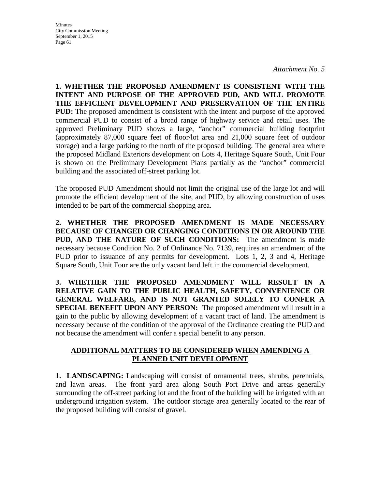**Minutes** City Commission Meeting September 1, 2015 Page 61

**1. WHETHER THE PROPOSED AMENDMENT IS CONSISTENT WITH THE INTENT AND PURPOSE OF THE APPROVED PUD, AND WILL PROMOTE THE EFFICIENT DEVELOPMENT AND PRESERVATION OF THE ENTIRE PUD:** The proposed amendment is consistent with the intent and purpose of the approved commercial PUD to consist of a broad range of highway service and retail uses. The approved Preliminary PUD shows a large, "anchor" commercial building footprint (approximately 87,000 square feet of floor/lot area and 21,000 square feet of outdoor storage) and a large parking to the north of the proposed building. The general area where the proposed Midland Exteriors development on Lots 4, Heritage Square South, Unit Four is shown on the Preliminary Development Plans partially as the "anchor" commercial building and the associated off-street parking lot.

The proposed PUD Amendment should not limit the original use of the large lot and will promote the efficient development of the site, and PUD, by allowing construction of uses intended to be part of the commercial shopping area.

**2. WHETHER THE PROPOSED AMENDMENT IS MADE NECESSARY BECAUSE OF CHANGED OR CHANGING CONDITIONS IN OR AROUND THE PUD, AND THE NATURE OF SUCH CONDITIONS:** The amendment is made necessary because Condition No. 2 of Ordinance No. 7139, requires an amendment of the PUD prior to issuance of any permits for development. Lots 1, 2, 3 and 4, Heritage Square South, Unit Four are the only vacant land left in the commercial development.

**3. WHETHER THE PROPOSED AMENDMENT WILL RESULT IN A RELATIVE GAIN TO THE PUBLIC HEALTH, SAFETY, CONVENIENCE OR GENERAL WELFARE, AND IS NOT GRANTED SOLELY TO CONFER A SPECIAL BENEFIT UPON ANY PERSON:** The proposed amendment will result in a gain to the public by allowing development of a vacant tract of land. The amendment is necessary because of the condition of the approval of the Ordinance creating the PUD and not because the amendment will confer a special benefit to any person.

### **ADDITIONAL MATTERS TO BE CONSIDERED WHEN AMENDING A PLANNED UNIT DEVELOPMENT**

**1. LANDSCAPING:** Landscaping will consist of ornamental trees, shrubs, perennials, and lawn areas. The front yard area along South Port Drive and areas generally surrounding the off-street parking lot and the front of the building will be irrigated with an underground irrigation system. The outdoor storage area generally located to the rear of the proposed building will consist of gravel.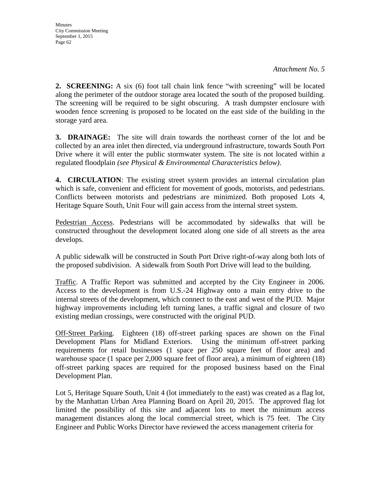**2. SCREENING:** A six (6) foot tall chain link fence "with screening" will be located along the perimeter of the outdoor storage area located the south of the proposed building. The screening will be required to be sight obscuring. A trash dumpster enclosure with wooden fence screening is proposed to be located on the east side of the building in the storage yard area.

**3. DRAINAGE:** The site will drain towards the northeast corner of the lot and be collected by an area inlet then directed, via underground infrastructure, towards South Port Drive where it will enter the public stormwater system. The site is not located within a regulated floodplain *(see Physical & Environmental Characteristics below)*.

**4. CIRCULATION**: The existing street system provides an internal circulation plan which is safe, convenient and efficient for movement of goods, motorists, and pedestrians. Conflicts between motorists and pedestrians are minimized. Both proposed Lots 4, Heritage Square South, Unit Four will gain access from the internal street system.

Pedestrian Access. Pedestrians will be accommodated by sidewalks that will be constructed throughout the development located along one side of all streets as the area develops.

A public sidewalk will be constructed in South Port Drive right-of-way along both lots of the proposed subdivision. A sidewalk from South Port Drive will lead to the building.

Traffic. A Traffic Report was submitted and accepted by the City Engineer in 2006. Access to the development is from U.S.-24 Highway onto a main entry drive to the internal streets of the development, which connect to the east and west of the PUD. Major highway improvements including left turning lanes, a traffic signal and closure of two existing median crossings, were constructed with the original PUD.

Off-Street Parking. Eighteen (18) off-street parking spaces are shown on the Final Development Plans for Midland Exteriors. Using the minimum off-street parking requirements for retail businesses (1 space per 250 square feet of floor area) and warehouse space (1 space per 2,000 square feet of floor area), a minimum of eighteen (18) off-street parking spaces are required for the proposed business based on the Final Development Plan.

Lot 5, Heritage Square South, Unit 4 (lot immediately to the east) was created as a flag lot, by the Manhattan Urban Area Planning Board on April 20, 2015. The approved flag lot limited the possibility of this site and adjacent lots to meet the minimum access management distances along the local commercial street, which is 75 feet. The City Engineer and Public Works Director have reviewed the access management criteria for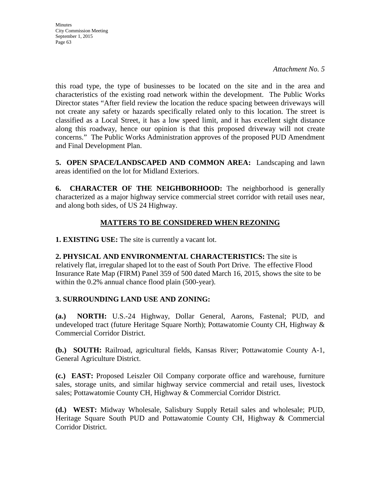**Minutes** City Commission Meeting September 1, 2015 Page 63

this road type, the type of businesses to be located on the site and in the area and characteristics of the existing road network within the development. The Public Works Director states "After field review the location the reduce spacing between driveways will not create any safety or hazards specifically related only to this location. The street is classified as a Local Street, it has a low speed limit, and it has excellent sight distance along this roadway, hence our opinion is that this proposed driveway will not create concerns." The Public Works Administration approves of the proposed PUD Amendment and Final Development Plan.

**5. OPEN SPACE/LANDSCAPED AND COMMON AREA:** Landscaping and lawn areas identified on the lot for Midland Exteriors.

**6. CHARACTER OF THE NEIGHBORHOOD:** The neighborhood is generally characterized as a major highway service commercial street corridor with retail uses near, and along both sides, of US 24 Highway.

# **MATTERS TO BE CONSIDERED WHEN REZONING**

**1. EXISTING USE:** The site is currently a vacant lot.

**2. PHYSICAL AND ENVIRONMENTAL CHARACTERISTICS:** The site is relatively flat, irregular shaped lot to the east of South Port Drive. The effective Flood Insurance Rate Map (FIRM) Panel 359 of 500 dated March 16, 2015, shows the site to be within the 0.2% annual chance flood plain (500-year).

### **3. SURROUNDING LAND USE AND ZONING:**

**(a.) NORTH:** U.S.-24 Highway, Dollar General, Aarons, Fastenal; PUD, and undeveloped tract (future Heritage Square North); Pottawatomie County CH, Highway & Commercial Corridor District.

**(b.) SOUTH:** Railroad, agricultural fields, Kansas River; Pottawatomie County A-1, General Agriculture District.

**(c.) EAST:** Proposed Leiszler Oil Company corporate office and warehouse, furniture sales, storage units, and similar highway service commercial and retail uses, livestock sales; Pottawatomie County CH, Highway & Commercial Corridor District.

**(d.) WEST:** Midway Wholesale, Salisbury Supply Retail sales and wholesale; PUD, Heritage Square South PUD and Pottawatomie County CH, Highway & Commercial Corridor District.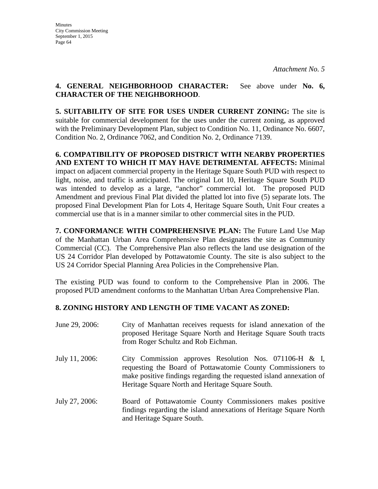### **4. GENERAL NEIGHBORHOOD CHARACTER:** See above under **No. 6, CHARACTER OF THE NEIGHBORHOOD**.

**5. SUITABILITY OF SITE FOR USES UNDER CURRENT ZONING:** The site is suitable for commercial development for the uses under the current zoning, as approved with the Preliminary Development Plan, subject to Condition No. 11, Ordinance No. 6607, Condition No. 2, Ordinance 7062, and Condition No. 2, Ordinance 7139.

**6. COMPATIBILITY OF PROPOSED DISTRICT WITH NEARBY PROPERTIES AND EXTENT TO WHICH IT MAY HAVE DETRIMENTAL AFFECTS:** Minimal impact on adjacent commercial property in the Heritage Square South PUD with respect to light, noise, and traffic is anticipated. The original Lot 10, Heritage Square South PUD was intended to develop as a large, "anchor" commercial lot. The proposed PUD Amendment and previous Final Plat divided the platted lot into five (5) separate lots. The proposed Final Development Plan for Lots 4, Heritage Square South, Unit Four creates a commercial use that is in a manner similar to other commercial sites in the PUD.

**7. CONFORMANCE WITH COMPREHENSIVE PLAN:** The Future Land Use Map of the Manhattan Urban Area Comprehensive Plan designates the site as Community Commercial (CC). The Comprehensive Plan also reflects the land use designation of the US 24 Corridor Plan developed by Pottawatomie County. The site is also subject to the US 24 Corridor Special Planning Area Policies in the Comprehensive Plan.

The existing PUD was found to conform to the Comprehensive Plan in 2006. The proposed PUD amendment conforms to the Manhattan Urban Area Comprehensive Plan.

# **8. ZONING HISTORY AND LENGTH OF TIME VACANT AS ZONED:**

| June 29, 2006: | City of Manhattan receives requests for island annexation of the<br>proposed Heritage Square North and Heritage Square South tracts<br>from Roger Schultz and Rob Eichman.                                                                           |
|----------------|------------------------------------------------------------------------------------------------------------------------------------------------------------------------------------------------------------------------------------------------------|
| July 11, 2006: | City Commission approves Resolution Nos. 071106-H $\&$ I,<br>requesting the Board of Pottawatomie County Commissioners to<br>make positive findings regarding the requested island annexation of<br>Heritage Square North and Heritage Square South. |
| July 27, 2006: | Board of Pottawatomie County Commissioners makes positive<br>findings regarding the island annexations of Heritage Square North<br>and Heritage Square South.                                                                                        |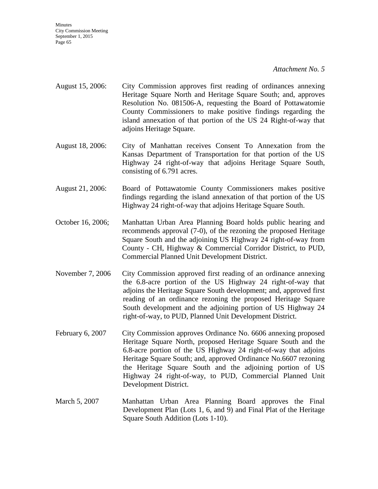*Attachment No. 5* 

- August 15, 2006: City Commission approves first reading of ordinances annexing Heritage Square North and Heritage Square South; and, approves Resolution No. 081506-A, requesting the Board of Pottawatomie County Commissioners to make positive findings regarding the island annexation of that portion of the US 24 Right-of-way that adjoins Heritage Square.
- August 18, 2006: City of Manhattan receives Consent To Annexation from the Kansas Department of Transportation for that portion of the US Highway 24 right-of-way that adjoins Heritage Square South, consisting of 6.791 acres.
- August 21, 2006: Board of Pottawatomie County Commissioners makes positive findings regarding the island annexation of that portion of the US Highway 24 right-of-way that adjoins Heritage Square South.
- October 16, 2006; Manhattan Urban Area Planning Board holds public hearing and recommends approval (7-0), of the rezoning the proposed Heritage Square South and the adjoining US Highway 24 right-of-way from County - CH, Highway & Commercial Corridor District, to PUD, Commercial Planned Unit Development District.
- November 7, 2006 City Commission approved first reading of an ordinance annexing the 6.8-acre portion of the US Highway 24 right-of-way that adjoins the Heritage Square South development; and, approved first reading of an ordinance rezoning the proposed Heritage Square South development and the adjoining portion of US Highway 24 right-of-way, to PUD, Planned Unit Development District.
- February 6, 2007 City Commission approves Ordinance No. 6606 annexing proposed Heritage Square North, proposed Heritage Square South and the 6.8-acre portion of the US Highway 24 right-of-way that adjoins Heritage Square South; and, approved Ordinance No.6607 rezoning the Heritage Square South and the adjoining portion of US Highway 24 right-of-way, to PUD, Commercial Planned Unit Development District.
- March 5, 2007 Manhattan Urban Area Planning Board approves the Final Development Plan (Lots 1, 6, and 9) and Final Plat of the Heritage Square South Addition (Lots 1-10).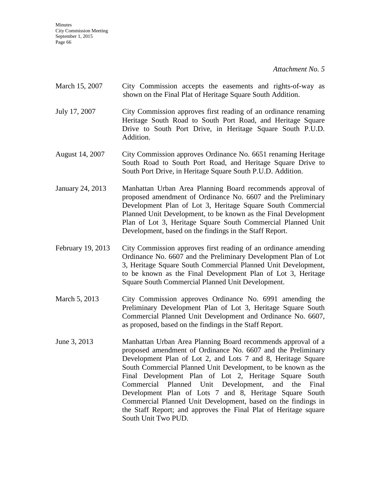- March 15, 2007 City Commission accepts the easements and rights-of-way as shown on the Final Plat of Heritage Square South Addition.
- July 17, 2007 City Commission approves first reading of an ordinance renaming Heritage South Road to South Port Road, and Heritage Square Drive to South Port Drive, in Heritage Square South P.U.D. Addition.
- August 14, 2007 City Commission approves Ordinance No. 6651 renaming Heritage South Road to South Port Road, and Heritage Square Drive to South Port Drive, in Heritage Square South P.U.D. Addition.
- January 24, 2013 Manhattan Urban Area Planning Board recommends approval of proposed amendment of Ordinance No. 6607 and the Preliminary Development Plan of Lot 3, Heritage Square South Commercial Planned Unit Development, to be known as the Final Development Plan of Lot 3, Heritage Square South Commercial Planned Unit Development, based on the findings in the Staff Report.
- February 19, 2013 City Commission approves first reading of an ordinance amending Ordinance No. 6607 and the Preliminary Development Plan of Lot 3, Heritage Square South Commercial Planned Unit Development, to be known as the Final Development Plan of Lot 3, Heritage Square South Commercial Planned Unit Development.
- March 5, 2013 City Commission approves Ordinance No. 6991 amending the Preliminary Development Plan of Lot 3, Heritage Square South Commercial Planned Unit Development and Ordinance No. 6607, as proposed, based on the findings in the Staff Report.
- June 3, 2013 Manhattan Urban Area Planning Board recommends approval of a proposed amendment of Ordinance No. 6607 and the Preliminary Development Plan of Lot 2, and Lots 7 and 8, Heritage Square South Commercial Planned Unit Development, to be known as the Final Development Plan of Lot 2, Heritage Square South Commercial Planned Unit Development, and the Final Development Plan of Lots 7 and 8, Heritage Square South Commercial Planned Unit Development, based on the findings in the Staff Report; and approves the Final Plat of Heritage square South Unit Two PUD.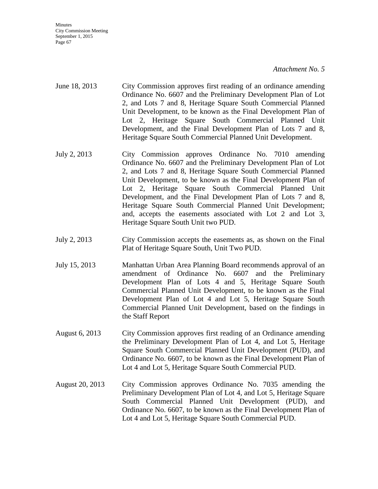#### *Attachment No. 5*

- June 18, 2013 City Commission approves first reading of an ordinance amending Ordinance No. 6607 and the Preliminary Development Plan of Lot 2, and Lots 7 and 8, Heritage Square South Commercial Planned Unit Development, to be known as the Final Development Plan of Lot 2, Heritage Square South Commercial Planned Unit Development, and the Final Development Plan of Lots 7 and 8, Heritage Square South Commercial Planned Unit Development.
- July 2, 2013 City Commission approves Ordinance No. 7010 amending Ordinance No. 6607 and the Preliminary Development Plan of Lot 2, and Lots 7 and 8, Heritage Square South Commercial Planned Unit Development, to be known as the Final Development Plan of Lot 2, Heritage Square South Commercial Planned Unit Development, and the Final Development Plan of Lots 7 and 8, Heritage Square South Commercial Planned Unit Development; and, accepts the easements associated with Lot 2 and Lot 3, Heritage Square South Unit two PUD.
- July 2, 2013 City Commission accepts the easements as, as shown on the Final Plat of Heritage Square South, Unit Two PUD.
- July 15, 2013 Manhattan Urban Area Planning Board recommends approval of an amendment of Ordinance No. 6607 and the Preliminary Development Plan of Lots 4 and 5, Heritage Square South Commercial Planned Unit Development, to be known as the Final Development Plan of Lot 4 and Lot 5, Heritage Square South Commercial Planned Unit Development, based on the findings in the Staff Report
- August 6, 2013 City Commission approves first reading of an Ordinance amending the Preliminary Development Plan of Lot 4, and Lot 5, Heritage Square South Commercial Planned Unit Development (PUD), and Ordinance No. 6607, to be known as the Final Development Plan of Lot 4 and Lot 5, Heritage Square South Commercial PUD.
- August 20, 2013 City Commission approves Ordinance No. 7035 amending the Preliminary Development Plan of Lot 4, and Lot 5, Heritage Square South Commercial Planned Unit Development (PUD), and Ordinance No. 6607, to be known as the Final Development Plan of Lot 4 and Lot 5, Heritage Square South Commercial PUD.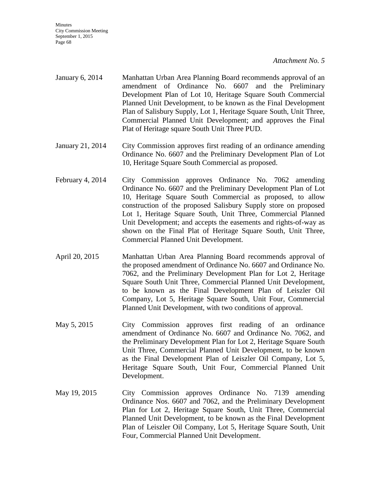- January 6, 2014 Manhattan Urban Area Planning Board recommends approval of an amendment of Ordinance No. 6607 and the Preliminary Development Plan of Lot 10, Heritage Square South Commercial Planned Unit Development, to be known as the Final Development Plan of Salisbury Supply, Lot 1, Heritage Square South, Unit Three, Commercial Planned Unit Development; and approves the Final Plat of Heritage square South Unit Three PUD.
- January 21, 2014 City Commission approves first reading of an ordinance amending Ordinance No. 6607 and the Preliminary Development Plan of Lot 10, Heritage Square South Commercial as proposed.
- February 4, 2014 City Commission approves Ordinance No. 7062 amending Ordinance No. 6607 and the Preliminary Development Plan of Lot 10, Heritage Square South Commercial as proposed, to allow construction of the proposed Salisbury Supply store on proposed Lot 1, Heritage Square South, Unit Three, Commercial Planned Unit Development; and accepts the easements and rights-of-way as shown on the Final Plat of Heritage Square South, Unit Three, Commercial Planned Unit Development.
- April 20, 2015 Manhattan Urban Area Planning Board recommends approval of the proposed amendment of Ordinance No. 6607 and Ordinance No. 7062, and the Preliminary Development Plan for Lot 2, Heritage Square South Unit Three, Commercial Planned Unit Development, to be known as the Final Development Plan of Leiszler Oil Company, Lot 5, Heritage Square South, Unit Four, Commercial Planned Unit Development, with two conditions of approval.
- May 5, 2015 City Commission approves first reading of an ordinance amendment of Ordinance No. 6607 and Ordinance No. 7062, and the Preliminary Development Plan for Lot 2, Heritage Square South Unit Three, Commercial Planned Unit Development, to be known as the Final Development Plan of Leiszler Oil Company, Lot 5, Heritage Square South, Unit Four, Commercial Planned Unit Development.
- May 19, 2015 City Commission approves Ordinance No. 7139 amending Ordinance Nos. 6607 and 7062, and the Preliminary Development Plan for Lot 2, Heritage Square South, Unit Three, Commercial Planned Unit Development, to be known as the Final Development Plan of Leiszler Oil Company, Lot 5, Heritage Square South, Unit Four, Commercial Planned Unit Development.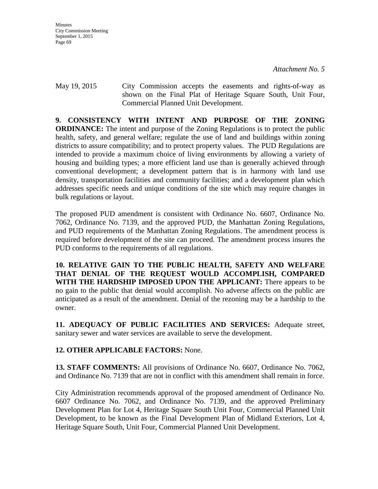May 19, 2015 City Commission accepts the easements and rights-of-way as shown on the Final Plat of Heritage Square South, Unit Four, Commercial Planned Unit Development.

**9. CONSISTENCY WITH INTENT AND PURPOSE OF THE ZONING ORDINANCE:** The intent and purpose of the Zoning Regulations is to protect the public health, safety, and general welfare; regulate the use of land and buildings within zoning districts to assure compatibility; and to protect property values. The PUD Regulations are intended to provide a maximum choice of living environments by allowing a variety of housing and building types; a more efficient land use than is generally achieved through conventional development; a development pattern that is in harmony with land use density, transportation facilities and community facilities; and a development plan which addresses specific needs and unique conditions of the site which may require changes in bulk regulations or layout.

The proposed PUD amendment is consistent with Ordinance No. 6607, Ordinance No. 7062, Ordinance No. 7139, and the approved PUD, the Manhattan Zoning Regulations, and PUD requirements of the Manhattan Zoning Regulations. The amendment process is required before development of the site can proceed. The amendment process insures the PUD conforms to the requirements of all regulations.

**10. RELATIVE GAIN TO THE PUBLIC HEALTH, SAFETY AND WELFARE THAT DENIAL OF THE REQUEST WOULD ACCOMPLISH, COMPARED WITH THE HARDSHIP IMPOSED UPON THE APPLICANT:** There appears to be no gain to the public that denial would accomplish. No adverse affects on the public are anticipated as a result of the amendment. Denial of the rezoning may be a hardship to the owner.

**11. ADEQUACY OF PUBLIC FACILITIES AND SERVICES:** Adequate street, sanitary sewer and water services are available to serve the development.

# **12. OTHER APPLICABLE FACTORS:** None.

**13. STAFF COMMENTS:** All provisions of Ordinance No. 6607, Ordinance No. 7062, and Ordinance No. 7139 that are not in conflict with this amendment shall remain in force.

City Administration recommends approval of the proposed amendment of Ordinance No. 6607 Ordinance No. 7062, and Ordinance No. 7139, and the approved Preliminary Development Plan for Lot 4, Heritage Square South Unit Four, Commercial Planned Unit Development, to be known as the Final Development Plan of Midland Exteriors, Lot 4, Heritage Square South, Unit Four, Commercial Planned Unit Development.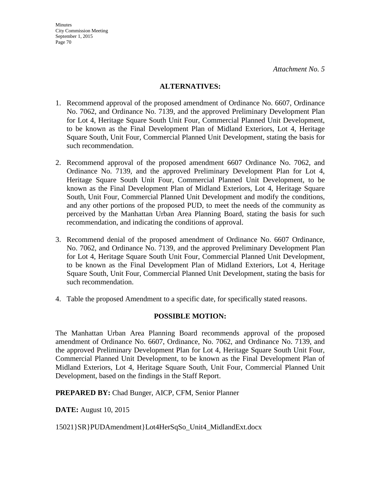#### **ALTERNATIVES:**

- 1. Recommend approval of the proposed amendment of Ordinance No. 6607, Ordinance No. 7062, and Ordinance No. 7139, and the approved Preliminary Development Plan for Lot 4, Heritage Square South Unit Four, Commercial Planned Unit Development, to be known as the Final Development Plan of Midland Exteriors, Lot 4, Heritage Square South, Unit Four, Commercial Planned Unit Development, stating the basis for such recommendation.
- 2. Recommend approval of the proposed amendment 6607 Ordinance No. 7062, and Ordinance No. 7139, and the approved Preliminary Development Plan for Lot 4, Heritage Square South Unit Four, Commercial Planned Unit Development, to be known as the Final Development Plan of Midland Exteriors, Lot 4, Heritage Square South, Unit Four, Commercial Planned Unit Development and modify the conditions, and any other portions of the proposed PUD, to meet the needs of the community as perceived by the Manhattan Urban Area Planning Board, stating the basis for such recommendation, and indicating the conditions of approval.
- 3. Recommend denial of the proposed amendment of Ordinance No. 6607 Ordinance, No. 7062, and Ordinance No. 7139, and the approved Preliminary Development Plan for Lot 4, Heritage Square South Unit Four, Commercial Planned Unit Development, to be known as the Final Development Plan of Midland Exteriors, Lot 4, Heritage Square South, Unit Four, Commercial Planned Unit Development, stating the basis for such recommendation.
- 4. Table the proposed Amendment to a specific date, for specifically stated reasons.

### **POSSIBLE MOTION:**

The Manhattan Urban Area Planning Board recommends approval of the proposed amendment of Ordinance No. 6607, Ordinance, No. 7062, and Ordinance No. 7139, and the approved Preliminary Development Plan for Lot 4, Heritage Square South Unit Four, Commercial Planned Unit Development, to be known as the Final Development Plan of Midland Exteriors, Lot 4, Heritage Square South, Unit Four, Commercial Planned Unit Development, based on the findings in the Staff Report.

**PREPARED BY:** Chad Bunger, AICP, CFM, Senior Planner

**DATE:** August 10, 2015

15021}SR}PUDAmendment}Lot4HerSqSo\_Unit4\_MidlandExt.docx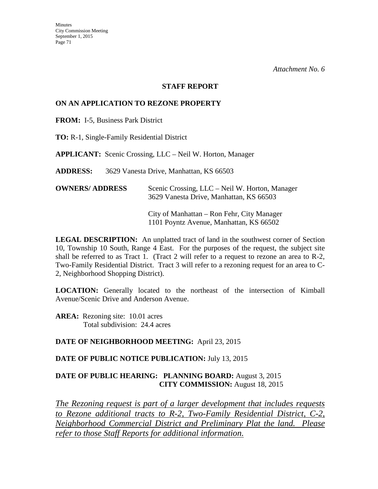#### **STAFF REPORT**

#### **ON AN APPLICATION TO REZONE PROPERTY**

**FROM:** I-5, Business Park District

**TO:** R-1, Single-Family Residential District

**APPLICANT:** Scenic Crossing, LLC – Neil W. Horton, Manager

**ADDRESS:** 3629 Vanesta Drive, Manhattan, KS 66503

| <b>OWNERS/ ADDRESS</b> | Scenic Crossing, LLC – Neil W. Horton, Manager |
|------------------------|------------------------------------------------|
|                        | 3629 Vanesta Drive, Manhattan, KS 66503        |

 City of Manhattan – Ron Fehr, City Manager 1101 Poyntz Avenue, Manhattan, KS 66502

**LEGAL DESCRIPTION:** An unplatted tract of land in the southwest corner of Section 10, Township 10 South, Range 4 East. For the purposes of the request, the subject site shall be referred to as Tract 1. (Tract 2 will refer to a request to rezone an area to R-2, Two-Family Residential District. Tract 3 will refer to a rezoning request for an area to C-2, Neighborhood Shopping District).

**LOCATION:** Generally located to the northeast of the intersection of Kimball Avenue/Scenic Drive and Anderson Avenue.

**AREA:** Rezoning site: 10.01 acres Total subdivision: 24.4 acres

#### **DATE OF NEIGHBORHOOD MEETING:** April 23, 2015

#### **DATE OF PUBLIC NOTICE PUBLICATION:** July 13, 2015

### **DATE OF PUBLIC HEARING: PLANNING BOARD:** August 3, 2015 **CITY COMMISSION:** August 18, 2015

*The Rezoning request is part of a larger development that includes requests to Rezone additional tracts to R-2, Two-Family Residential District, C-2, Neighborhood Commercial District and Preliminary Plat the land. Please refer to those Staff Reports for additional information.*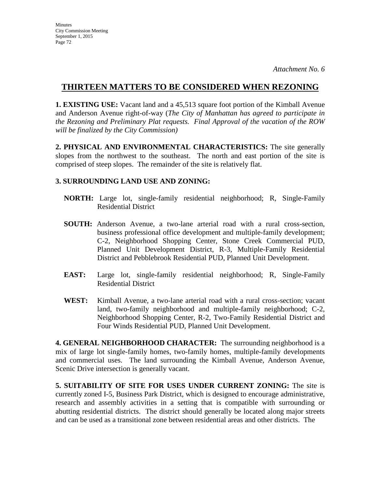# **THIRTEEN MATTERS TO BE CONSIDERED WHEN REZONING**

**1. EXISTING USE:** Vacant land and a 45,513 square foot portion of the Kimball Avenue and Anderson Avenue right-of-way (*The City of Manhattan has agreed to participate in the Rezoning and Preliminary Plat requests. Final Approval of the vacation of the ROW will be finalized by the City Commission)* 

**2. PHYSICAL AND ENVIRONMENTAL CHARACTERISTICS:** The site generally slopes from the northwest to the southeast. The north and east portion of the site is comprised of steep slopes. The remainder of the site is relatively flat.

# **3. SURROUNDING LAND USE AND ZONING:**

- **NORTH:** Large lot, single-family residential neighborhood; R, Single-Family Residential District
- **SOUTH:** Anderson Avenue, a two-lane arterial road with a rural cross-section, business professional office development and multiple-family development; C-2, Neighborhood Shopping Center, Stone Creek Commercial PUD, Planned Unit Development District, R-3, Multiple-Family Residential District and Pebblebrook Residential PUD, Planned Unit Development.
- **EAST:** Large lot, single-family residential neighborhood; R, Single-Family Residential District
- **WEST:** Kimball Avenue, a two-lane arterial road with a rural cross-section; vacant land, two-family neighborhood and multiple-family neighborhood; C-2, Neighborhood Shopping Center, R-2, Two-Family Residential District and Four Winds Residential PUD, Planned Unit Development.

**4. GENERAL NEIGHBORHOOD CHARACTER:** The surrounding neighborhood is a mix of large lot single-family homes, two-family homes, multiple-family developments and commercial uses. The land surrounding the Kimball Avenue, Anderson Avenue, Scenic Drive intersection is generally vacant.

**5. SUITABILITY OF SITE FOR USES UNDER CURRENT ZONING:** The site is currently zoned I-5, Business Park District, which is designed to encourage administrative, research and assembly activities in a setting that is compatible with surrounding or abutting residential districts. The district should generally be located along major streets and can be used as a transitional zone between residential areas and other districts. The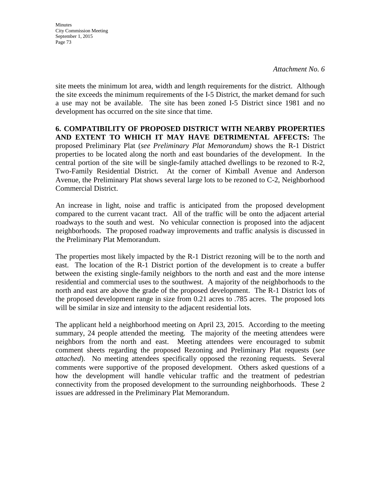**Minutes** City Commission Meeting September 1, 2015 Page 73

site meets the minimum lot area, width and length requirements for the district. Although the site exceeds the minimum requirements of the I-5 District, the market demand for such a use may not be available. The site has been zoned I-5 District since 1981 and no development has occurred on the site since that time.

**6. COMPATIBILITY OF PROPOSED DISTRICT WITH NEARBY PROPERTIES AND EXTENT TO WHICH IT MAY HAVE DETRIMENTAL AFFECTS:** The proposed Preliminary Plat (*see Preliminary Plat Memorandum)* shows the R-1 District properties to be located along the north and east boundaries of the development. In the central portion of the site will be single-family attached dwellings to be rezoned to R-2, Two-Family Residential District. At the corner of Kimball Avenue and Anderson Avenue, the Preliminary Plat shows several large lots to be rezoned to C-2, Neighborhood Commercial District.

An increase in light, noise and traffic is anticipated from the proposed development compared to the current vacant tract. All of the traffic will be onto the adjacent arterial roadways to the south and west. No vehicular connection is proposed into the adjacent neighborhoods. The proposed roadway improvements and traffic analysis is discussed in the Preliminary Plat Memorandum.

The properties most likely impacted by the R-1 District rezoning will be to the north and east. The location of the R-1 District portion of the development is to create a buffer between the existing single-family neighbors to the north and east and the more intense residential and commercial uses to the southwest. A majority of the neighborhoods to the north and east are above the grade of the proposed development. The R-1 District lots of the proposed development range in size from 0.21 acres to .785 acres. The proposed lots will be similar in size and intensity to the adjacent residential lots.

The applicant held a neighborhood meeting on April 23, 2015. According to the meeting summary, 24 people attended the meeting. The majority of the meeting attendees were neighbors from the north and east. Meeting attendees were encouraged to submit comment sheets regarding the proposed Rezoning and Preliminary Plat requests (*see attached*). No meeting attendees specifically opposed the rezoning requests. Several comments were supportive of the proposed development. Others asked questions of a how the development will handle vehicular traffic and the treatment of pedestrian connectivity from the proposed development to the surrounding neighborhoods. These 2 issues are addressed in the Preliminary Plat Memorandum.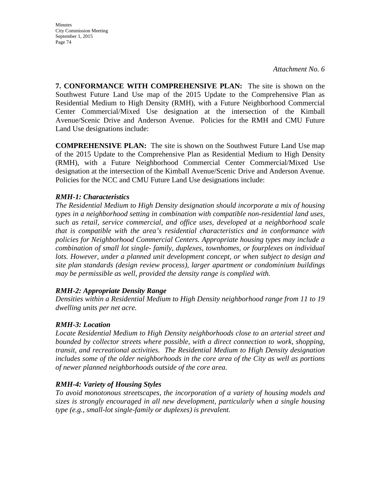Minutes City Commission Meeting September 1, 2015 Page 74

*Attachment No. 6* 

**7. CONFORMANCE WITH COMPREHENSIVE PLAN:** The site is shown on the Southwest Future Land Use map of the 2015 Update to the Comprehensive Plan as Residential Medium to High Density (RMH), with a Future Neighborhood Commercial Center Commercial/Mixed Use designation at the intersection of the Kimball Avenue/Scenic Drive and Anderson Avenue. Policies for the RMH and CMU Future Land Use designations include:

**COMPREHENSIVE PLAN:** The site is shown on the Southwest Future Land Use map of the 2015 Update to the Comprehensive Plan as Residential Medium to High Density (RMH), with a Future Neighborhood Commercial Center Commercial/Mixed Use designation at the intersection of the Kimball Avenue/Scenic Drive and Anderson Avenue. Policies for the NCC and CMU Future Land Use designations include:

#### *RMH-1: Characteristics*

*The Residential Medium to High Density designation should incorporate a mix of housing types in a neighborhood setting in combination with compatible non-residential land uses, such as retail, service commercial, and office uses, developed at a neighborhood scale that is compatible with the area's residential characteristics and in conformance with policies for Neighborhood Commercial Centers. Appropriate housing types may include a combination of small lot single- family, duplexes, townhomes, or fourplexes on individual*  lots. However, under a planned unit development concept, or when subject to design and *site plan standards (design review process), larger apartment or condominium buildings may be permissible as well, provided the density range is complied with.* 

#### *RMH-2: Appropriate Density Range*

*Densities within a Residential Medium to High Density neighborhood range from 11 to 19 dwelling units per net acre.*

#### *RMH-3: Location*

*Locate Residential Medium to High Density neighborhoods close to an arterial street and bounded by collector streets where possible, with a direct connection to work, shopping, transit, and recreational activities. The Residential Medium to High Density designation includes some of the older neighborhoods in the core area of the City as well as portions of newer planned neighborhoods outside of the core area.* 

### *RMH-4: Variety of Housing Styles*

*To avoid monotonous streetscapes, the incorporation of a variety of housing models and sizes is strongly encouraged in all new development, particularly when a single housing type (e.g., small-lot single-family or duplexes) is prevalent.*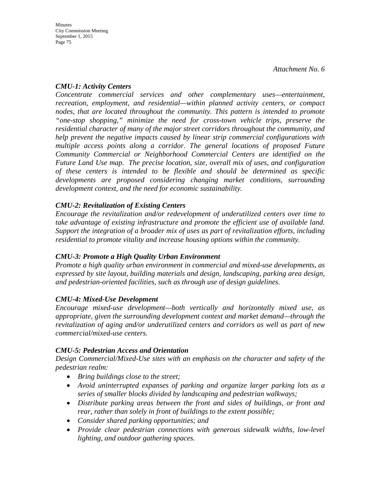### *CMU-1: Activity Centers*

*Concentrate commercial services and other complementary uses—entertainment, recreation, employment, and residential—within planned activity centers, or compact nodes, that are located throughout the community. This pattern is intended to promote "one-stop shopping," minimize the need for cross-town vehicle trips, preserve the residential character of many of the major street corridors throughout the community, and help prevent the negative impacts caused by linear strip commercial configurations with multiple access points along a corridor. The general locations of proposed Future Community Commercial or Neighborhood Commercial Centers are identified on the Future Land Use map. The precise location, size, overall mix of uses, and configuration of these centers is intended to be flexible and should be determined as specific developments are proposed considering changing market conditions, surrounding development context, and the need for economic sustainability.* 

## *CMU-2: Revitalization of Existing Centers*

*Encourage the revitalization and/or redevelopment of underutilized centers over time to take advantage of existing infrastructure and promote the efficient use of available land. Support the integration of a broader mix of uses as part of revitalization efforts, including residential to promote vitality and increase housing options within the community.* 

## *CMU-3: Promote a High Quality Urban Environment*

*Promote a high quality urban environment in commercial and mixed-use developments, as expressed by site layout, building materials and design, landscaping, parking area design, and pedestrian-oriented facilities, such as through use of design guidelines.* 

## *CMU-4: Mixed-Use Development*

*Encourage mixed-use development—both vertically and horizontally mixed use, as appropriate, given the surrounding development context and market demand—through the revitalization of aging and/or underutilized centers and corridors as well as part of new commercial/mixed-use centers.*

## *CMU-5: Pedestrian Access and Orientation*

*Design Commercial/Mixed-Use sites with an emphasis on the character and safety of the pedestrian realm:* 

- *Bring buildings close to the street;*
- *Avoid uninterrupted expanses of parking and organize larger parking lots as a series of smaller blocks divided by landscaping and pedestrian walkways;*
- *Distribute parking areas between the front and sides of buildings, or front and rear, rather than solely in front of buildings to the extent possible;*
- *Consider shared parking opportunities; and*
- *Provide clear pedestrian connections with generous sidewalk widths, low-level lighting, and outdoor gathering spaces.*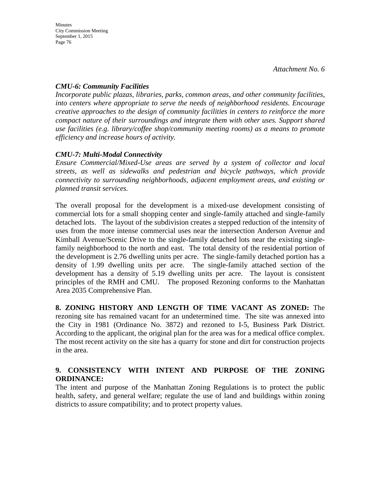## *CMU-6: Community Facilities*

*Incorporate public plazas, libraries, parks, common areas, and other community facilities, into centers where appropriate to serve the needs of neighborhood residents. Encourage creative approaches to the design of community facilities in centers to reinforce the more compact nature of their surroundings and integrate them with other uses. Support shared use facilities (e.g. library/coffee shop/community meeting rooms) as a means to promote efficiency and increase hours of activity.*

## *CMU-7: Multi-Modal Connectivity*

*Ensure Commercial/Mixed-Use areas are served by a system of collector and local streets, as well as sidewalks and pedestrian and bicycle pathways, which provide connectivity to surrounding neighborhoods, adjacent employment areas, and existing or planned transit services.* 

The overall proposal for the development is a mixed-use development consisting of commercial lots for a small shopping center and single-family attached and single-family detached lots. The layout of the subdivision creates a stepped reduction of the intensity of uses from the more intense commercial uses near the intersection Anderson Avenue and Kimball Avenue/Scenic Drive to the single-family detached lots near the existing singlefamily neighborhood to the north and east. The total density of the residential portion of the development is 2.76 dwelling units per acre. The single-family detached portion has a density of 1.99 dwelling units per acre. The single-family attached section of the development has a density of 5.19 dwelling units per acre. The layout is consistent principles of the RMH and CMU. The proposed Rezoning conforms to the Manhattan Area 2035 Comprehensive Plan.

**8. ZONING HISTORY AND LENGTH OF TIME VACANT AS ZONED:** The rezoning site has remained vacant for an undetermined time. The site was annexed into the City in 1981 (Ordinance No. 3872) and rezoned to I-5, Business Park District. According to the applicant, the original plan for the area was for a medical office complex. The most recent activity on the site has a quarry for stone and dirt for construction projects in the area.

## **9. CONSISTENCY WITH INTENT AND PURPOSE OF THE ZONING ORDINANCE:**

The intent and purpose of the Manhattan Zoning Regulations is to protect the public health, safety, and general welfare; regulate the use of land and buildings within zoning districts to assure compatibility; and to protect property values.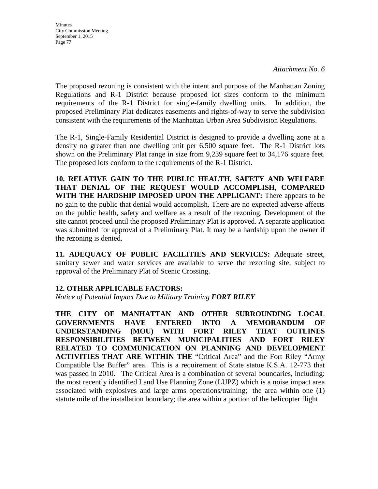The proposed rezoning is consistent with the intent and purpose of the Manhattan Zoning Regulations and R-1 District because proposed lot sizes conform to the minimum requirements of the R-1 District for single-family dwelling units. In addition, the proposed Preliminary Plat dedicates easements and rights-of-way to serve the subdivision consistent with the requirements of the Manhattan Urban Area Subdivision Regulations.

The R-1, Single-Family Residential District is designed to provide a dwelling zone at a density no greater than one dwelling unit per 6,500 square feet. The R-1 District lots shown on the Preliminary Plat range in size from 9,239 square feet to 34,176 square feet. The proposed lots conform to the requirements of the R-1 District.

**10. RELATIVE GAIN TO THE PUBLIC HEALTH, SAFETY AND WELFARE THAT DENIAL OF THE REQUEST WOULD ACCOMPLISH, COMPARED WITH THE HARDSHIP IMPOSED UPON THE APPLICANT:** There appears to be no gain to the public that denial would accomplish. There are no expected adverse affects on the public health, safety and welfare as a result of the rezoning. Development of the site cannot proceed until the proposed Preliminary Plat is approved. A separate application was submitted for approval of a Preliminary Plat. It may be a hardship upon the owner if the rezoning is denied.

**11. ADEQUACY OF PUBLIC FACILITIES AND SERVICES:** Adequate street, sanitary sewer and water services are available to serve the rezoning site, subject to approval of the Preliminary Plat of Scenic Crossing.

### **12. OTHER APPLICABLE FACTORS:**

*Notice of Potential Impact Due to Military Training FORT RILEY* 

**THE CITY OF MANHATTAN AND OTHER SURROUNDING LOCAL GOVERNMENTS HAVE ENTERED INTO A MEMORANDUM OF UNDERSTANDING (MOU) WITH FORT RILEY THAT OUTLINES RESPONSIBILITIES BETWEEN MUNICIPALITIES AND FORT RILEY RELATED TO COMMUNICATION ON PLANNING AND DEVELOPMENT ACTIVITIES THAT ARE WITHIN THE** "Critical Area" and the Fort Riley "Army Compatible Use Buffer" area. This is a requirement of State statue K.S.A. 12-773 that was passed in 2010. The Critical Area is a combination of several boundaries, including: the most recently identified Land Use Planning Zone (LUPZ) which is a noise impact area associated with explosives and large arms operations/training; the area within one (1) statute mile of the installation boundary; the area within a portion of the helicopter flight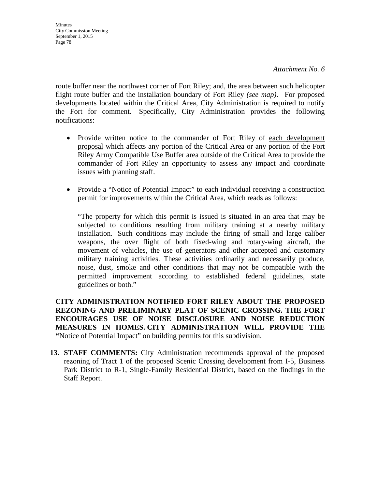route buffer near the northwest corner of Fort Riley; and, the area between such helicopter flight route buffer and the installation boundary of Fort Riley *(see map)*. For proposed developments located within the Critical Area, City Administration is required to notify the Fort for comment. Specifically, City Administration provides the following notifications:

- Provide written notice to the commander of Fort Riley of each development proposal which affects any portion of the Critical Area or any portion of the Fort Riley Army Compatible Use Buffer area outside of the Critical Area to provide the commander of Fort Riley an opportunity to assess any impact and coordinate issues with planning staff.
- Provide a "Notice of Potential Impact" to each individual receiving a construction permit for improvements within the Critical Area, which reads as follows:

"The property for which this permit is issued is situated in an area that may be subjected to conditions resulting from military training at a nearby military installation. Such conditions may include the firing of small and large caliber weapons, the over flight of both fixed-wing and rotary-wing aircraft, the movement of vehicles, the use of generators and other accepted and customary military training activities. These activities ordinarily and necessarily produce, noise, dust, smoke and other conditions that may not be compatible with the permitted improvement according to established federal guidelines, state guidelines or both."

**CITY ADMINISTRATION NOTIFIED FORT RILEY ABOUT THE PROPOSED REZONING AND PRELIMINARY PLAT OF SCENIC CROSSING. THE FORT ENCOURAGES USE OF NOISE DISCLOSURE AND NOISE REDUCTION MEASURES IN HOMES. CITY ADMINISTRATION WILL PROVIDE THE "**Notice of Potential Impact" on building permits for this subdivision.

**13. STAFF COMMENTS:** City Administration recommends approval of the proposed rezoning of Tract 1 of the proposed Scenic Crossing development from I-5, Business Park District to R-1, Single-Family Residential District, based on the findings in the Staff Report.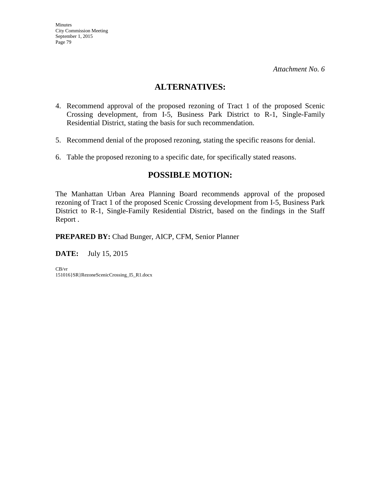## **ALTERNATIVES:**

- 4. Recommend approval of the proposed rezoning of Tract 1 of the proposed Scenic Crossing development, from I-5, Business Park District to R-1, Single-Family Residential District, stating the basis for such recommendation.
- 5. Recommend denial of the proposed rezoning, stating the specific reasons for denial.
- 6. Table the proposed rezoning to a specific date, for specifically stated reasons.

# **POSSIBLE MOTION:**

The Manhattan Urban Area Planning Board recommends approval of the proposed rezoning of Tract 1 of the proposed Scenic Crossing development from I-5, Business Park District to R-1, Single-Family Residential District, based on the findings in the Staff Report .

**PREPARED BY:** Chad Bunger, AICP, CFM, Senior Planner

**DATE:** July 15, 2015

CB/vr 151016}SR}RezoneScenicCrossing\_I5\_R1.docx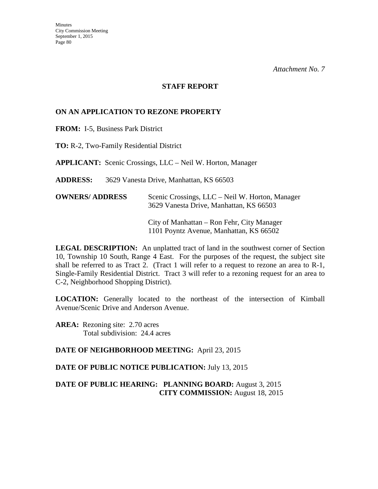#### **STAFF REPORT**

### **ON AN APPLICATION TO REZONE PROPERTY**

**FROM:** I-5, Business Park District

**TO:** R-2, Two-Family Residential District

**APPLICANT:** Scenic Crossings, LLC – Neil W. Horton, Manager

**ADDRESS:** 3629 Vanesta Drive, Manhattan, KS 66503

| <b>OWNERS/ ADDRESS</b> | Scenic Crossings, LLC – Neil W. Horton, Manager<br>3629 Vanesta Drive, Manhattan, KS 66503 |
|------------------------|--------------------------------------------------------------------------------------------|
|                        | City of Manhattan – Ron Fehr, City Manager<br>1101 Poyntz Avenue, Manhattan, KS 66502      |

**LEGAL DESCRIPTION:** An unplatted tract of land in the southwest corner of Section 10, Township 10 South, Range 4 East. For the purposes of the request, the subject site shall be referred to as Tract 2. (Tract 1 will refer to a request to rezone an area to R-1, Single-Family Residential District. Tract 3 will refer to a rezoning request for an area to C-2, Neighborhood Shopping District).

**LOCATION:** Generally located to the northeast of the intersection of Kimball Avenue/Scenic Drive and Anderson Avenue.

**AREA:** Rezoning site: 2.70 acres Total subdivision: 24.4 acres

**DATE OF NEIGHBORHOOD MEETING:** April 23, 2015

**DATE OF PUBLIC NOTICE PUBLICATION:** July 13, 2015

**DATE OF PUBLIC HEARING: PLANNING BOARD:** August 3, 2015 **CITY COMMISSION:** August 18, 2015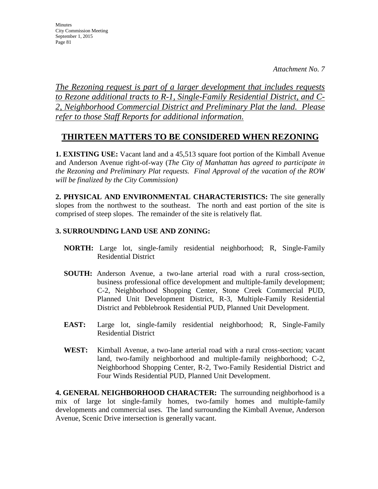**Minutes** City Commission Meeting September 1, 2015 Page 81

*The Rezoning request is part of a larger development that includes requests to Rezone additional tracts to R-1, Single-Family Residential District, and C-2, Neighborhood Commercial District and Preliminary Plat the land. Please refer to those Staff Reports for additional information.*

# **THIRTEEN MATTERS TO BE CONSIDERED WHEN REZONING**

**1. EXISTING USE:** Vacant land and a 45,513 square foot portion of the Kimball Avenue and Anderson Avenue right-of-way (*The City of Manhattan has agreed to participate in the Rezoning and Preliminary Plat requests. Final Approval of the vacation of the ROW will be finalized by the City Commission)* 

**2. PHYSICAL AND ENVIRONMENTAL CHARACTERISTICS:** The site generally slopes from the northwest to the southeast. The north and east portion of the site is comprised of steep slopes. The remainder of the site is relatively flat.

## **3. SURROUNDING LAND USE AND ZONING:**

- **NORTH:** Large lot, single-family residential neighborhood; R, Single-Family Residential District
- **SOUTH:** Anderson Avenue, a two-lane arterial road with a rural cross-section, business professional office development and multiple-family development; C-2, Neighborhood Shopping Center, Stone Creek Commercial PUD, Planned Unit Development District, R-3, Multiple-Family Residential District and Pebblebrook Residential PUD, Planned Unit Development.
- **EAST:** Large lot, single-family residential neighborhood; R, Single-Family Residential District
- **WEST:** Kimball Avenue, a two-lane arterial road with a rural cross-section; vacant land, two-family neighborhood and multiple-family neighborhood; C-2, Neighborhood Shopping Center, R-2, Two-Family Residential District and Four Winds Residential PUD, Planned Unit Development.

**4. GENERAL NEIGHBORHOOD CHARACTER:** The surrounding neighborhood is a mix of large lot single-family homes, two-family homes and multiple-family developments and commercial uses. The land surrounding the Kimball Avenue, Anderson Avenue, Scenic Drive intersection is generally vacant.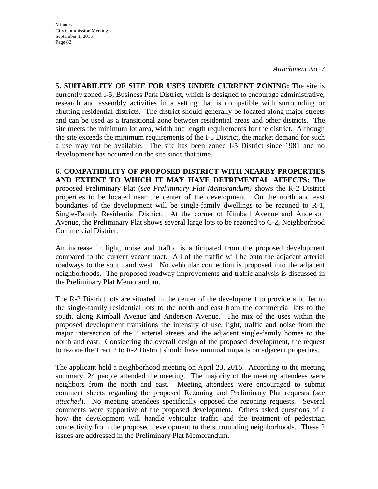**Minutes** City Commission Meeting September 1, 2015 Page 82

*Attachment No. 7* 

**5. SUITABILITY OF SITE FOR USES UNDER CURRENT ZONING:** The site is currently zoned I-5, Business Park District, which is designed to encourage administrative, research and assembly activities in a setting that is compatible with surrounding or abutting residential districts. The district should generally be located along major streets and can be used as a transitional zone between residential areas and other districts. The site meets the minimum lot area, width and length requirements for the district. Although the site exceeds the minimum requirements of the I-5 District, the market demand for such a use may not be available. The site has been zoned I-5 District since 1981 and no development has occurred on the site since that time.

**6. COMPATIBILITY OF PROPOSED DISTRICT WITH NEARBY PROPERTIES AND EXTENT TO WHICH IT MAY HAVE DETRIMENTAL AFFECTS:** The proposed Preliminary Plat (*see Preliminary Plat Memorandum)* shows the R-2 District properties to be located near the center of the development. On the north and east boundaries of the development will be single-family dwellings to be rezoned to R-1, Single-Family Residential District. At the corner of Kimball Avenue and Anderson Avenue, the Preliminary Plat shows several large lots to be rezoned to C-2, Neighborhood Commercial District.

An increase in light, noise and traffic is anticipated from the proposed development compared to the current vacant tract. All of the traffic will be onto the adjacent arterial roadways to the south and west. No vehicular connection is proposed into the adjacent neighborhoods. The proposed roadway improvements and traffic analysis is discussed in the Preliminary Plat Memorandum.

The R-2 District lots are situated in the center of the development to provide a buffer to the single-family residential lots to the north and east from the commercial lots to the south, along Kimball Avenue and Anderson Avenue. The mix of the uses within the proposed development transitions the intensity of use, light, traffic and noise from the major intersection of the 2 arterial streets and the adjacent single-family homes to the north and east. Considering the overall design of the proposed development, the request to rezone the Tract 2 to R-2 District should have minimal impacts on adjacent properties.

The applicant held a neighborhood meeting on April 23, 2015. According to the meeting summary, 24 people attended the meeting. The majority of the meeting attendees were neighbors from the north and east. Meeting attendees were encouraged to submit comment sheets regarding the proposed Rezoning and Preliminary Plat requests (*see attached*). No meeting attendees specifically opposed the rezoning requests. Several comments were supportive of the proposed development. Others asked questions of a how the development will handle vehicular traffic and the treatment of pedestrian connectivity from the proposed development to the surrounding neighborhoods. These 2 issues are addressed in the Preliminary Plat Memorandum.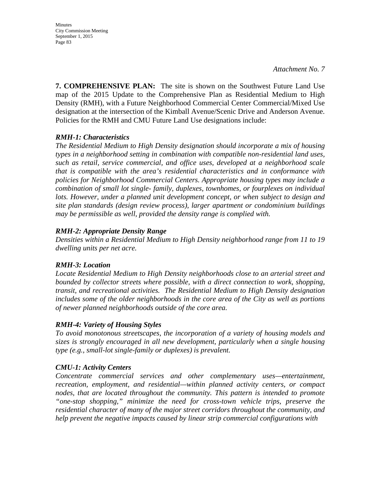Minutes City Commission Meeting September 1, 2015 Page 83

**7. COMPREHENSIVE PLAN:** The site is shown on the Southwest Future Land Use map of the 2015 Update to the Comprehensive Plan as Residential Medium to High Density (RMH), with a Future Neighborhood Commercial Center Commercial/Mixed Use designation at the intersection of the Kimball Avenue/Scenic Drive and Anderson Avenue. Policies for the RMH and CMU Future Land Use designations include:

### *RMH-1: Characteristics*

*The Residential Medium to High Density designation should incorporate a mix of housing types in a neighborhood setting in combination with compatible non-residential land uses, such as retail, service commercial, and office uses, developed at a neighborhood scale that is compatible with the area's residential characteristics and in conformance with policies for Neighborhood Commercial Centers. Appropriate housing types may include a combination of small lot single- family, duplexes, townhomes, or fourplexes on individual*  lots. However, under a planned unit development concept, or when subject to design and *site plan standards (design review process), larger apartment or condominium buildings may be permissible as well, provided the density range is complied with.* 

### *RMH-2: Appropriate Density Range*

*Densities within a Residential Medium to High Density neighborhood range from 11 to 19 dwelling units per net acre.* 

#### *RMH-3: Location*

*Locate Residential Medium to High Density neighborhoods close to an arterial street and bounded by collector streets where possible, with a direct connection to work, shopping, transit, and recreational activities. The Residential Medium to High Density designation includes some of the older neighborhoods in the core area of the City as well as portions of newer planned neighborhoods outside of the core area.*

### *RMH-4: Variety of Housing Styles*

*To avoid monotonous streetscapes, the incorporation of a variety of housing models and sizes is strongly encouraged in all new development, particularly when a single housing type (e.g., small-lot single-family or duplexes) is prevalent.* 

#### *CMU-1: Activity Centers*

*Concentrate commercial services and other complementary uses—entertainment, recreation, employment, and residential—within planned activity centers, or compact nodes, that are located throughout the community. This pattern is intended to promote "one-stop shopping," minimize the need for cross-town vehicle trips, preserve the residential character of many of the major street corridors throughout the community, and help prevent the negative impacts caused by linear strip commercial configurations with*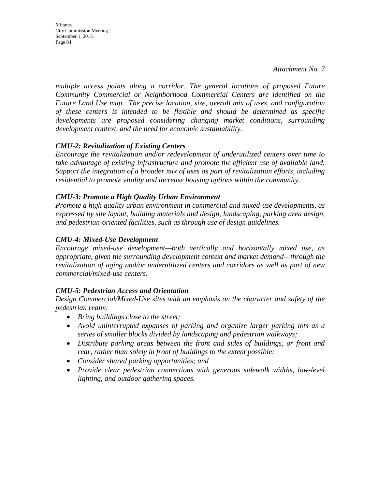**Minutes** City Commission Meeting September 1, 2015 Page 84

*multiple access points along a corridor. The general locations of proposed Future Community Commercial or Neighborhood Commercial Centers are identified on the Future Land Use map. The precise location, size, overall mix of uses, and configuration of these centers is intended to be flexible and should be determined as specific developments are proposed considering changing market conditions, surrounding development context, and the need for economic sustainability.* 

### *CMU-2: Revitalization of Existing Centers*

*Encourage the revitalization and/or redevelopment of underutilized centers over time to take advantage of existing infrastructure and promote the efficient use of available land. Support the integration of a broader mix of uses as part of revitalization efforts, including residential to promote vitality and increase housing options within the community.* 

#### *CMU-3: Promote a High Quality Urban Environment*

*Promote a high quality urban environment in commercial and mixed-use developments, as expressed by site layout, building materials and design, landscaping, parking area design, and pedestrian-oriented facilities, such as through use of design guidelines.* 

### *CMU-4: Mixed-Use Development*

*Encourage mixed-use development—both vertically and horizontally mixed use, as appropriate, given the surrounding development context and market demand—through the revitalization of aging and/or underutilized centers and corridors as well as part of new commercial/mixed-use centers.*

#### *CMU-5: Pedestrian Access and Orientation*

*Design Commercial/Mixed-Use sites with an emphasis on the character and safety of the pedestrian realm:* 

- *Bring buildings close to the street;*
- *Avoid uninterrupted expanses of parking and organize larger parking lots as a series of smaller blocks divided by landscaping and pedestrian walkways;*
- *Distribute parking areas between the front and sides of buildings, or front and rear, rather than solely in front of buildings to the extent possible;*
- *Consider shared parking opportunities; and*
- *Provide clear pedestrian connections with generous sidewalk widths, low-level lighting, and outdoor gathering spaces.*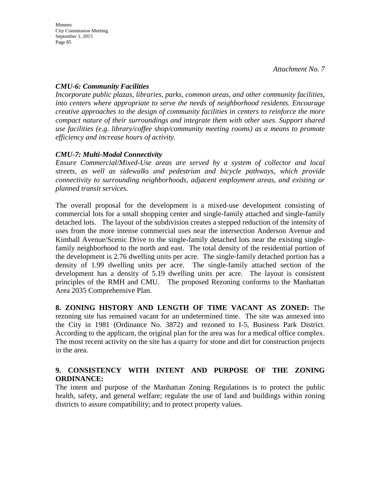## *CMU-6: Community Facilities*

*Incorporate public plazas, libraries, parks, common areas, and other community facilities, into centers where appropriate to serve the needs of neighborhood residents. Encourage creative approaches to the design of community facilities in centers to reinforce the more compact nature of their surroundings and integrate them with other uses. Support shared use facilities (e.g. library/coffee shop/community meeting rooms) as a means to promote efficiency and increase hours of activity.*

## *CMU-7: Multi-Modal Connectivity*

*Ensure Commercial/Mixed-Use areas are served by a system of collector and local streets, as well as sidewalks and pedestrian and bicycle pathways, which provide connectivity to surrounding neighborhoods, adjacent employment areas, and existing or planned transit services.* 

The overall proposal for the development is a mixed-use development consisting of commercial lots for a small shopping center and single-family attached and single-family detached lots. The layout of the subdivision creates a stepped reduction of the intensity of uses from the more intense commercial uses near the intersection Anderson Avenue and Kimball Avenue/Scenic Drive to the single-family detached lots near the existing singlefamily neighborhood to the north and east. The total density of the residential portion of the development is 2.76 dwelling units per acre. The single-family detached portion has a density of 1.99 dwelling units per acre. The single-family attached section of the development has a density of 5.19 dwelling units per acre. The layout is consistent principles of the RMH and CMU. The proposed Rezoning conforms to the Manhattan Area 2035 Comprehensive Plan.

**8. ZONING HISTORY AND LENGTH OF TIME VACANT AS ZONED:** The rezoning site has remained vacant for an undetermined time. The site was annexed into the City in 1981 (Ordinance No. 3872) and rezoned to I-5, Business Park District. According to the applicant, the original plan for the area was for a medical office complex. The most recent activity on the site has a quarry for stone and dirt for construction projects in the area.

## **9. CONSISTENCY WITH INTENT AND PURPOSE OF THE ZONING ORDINANCE:**

The intent and purpose of the Manhattan Zoning Regulations is to protect the public health, safety, and general welfare; regulate the use of land and buildings within zoning districts to assure compatibility; and to protect property values.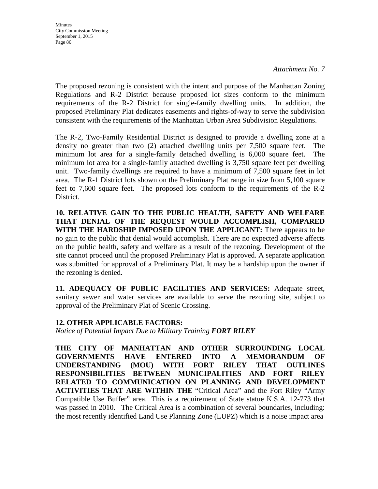**Minutes** City Commission Meeting September 1, 2015 Page 86

*Attachment No. 7* 

The proposed rezoning is consistent with the intent and purpose of the Manhattan Zoning Regulations and R-2 District because proposed lot sizes conform to the minimum requirements of the R-2 District for single-family dwelling units. In addition, the proposed Preliminary Plat dedicates easements and rights-of-way to serve the subdivision consistent with the requirements of the Manhattan Urban Area Subdivision Regulations.

The R-2, Two-Family Residential District is designed to provide a dwelling zone at a density no greater than two (2) attached dwelling units per 7,500 square feet. The minimum lot area for a single-family detached dwelling is 6,000 square feet. The minimum lot area for a single-family attached dwelling is 3,750 square feet per dwelling unit. Two-family dwellings are required to have a minimum of 7,500 square feet in lot area. The R-1 District lots shown on the Preliminary Plat range in size from 5,100 square feet to 7,600 square feet. The proposed lots conform to the requirements of the R-2 District.

**10. RELATIVE GAIN TO THE PUBLIC HEALTH, SAFETY AND WELFARE THAT DENIAL OF THE REQUEST WOULD ACCOMPLISH, COMPARED WITH THE HARDSHIP IMPOSED UPON THE APPLICANT:** There appears to be no gain to the public that denial would accomplish. There are no expected adverse affects on the public health, safety and welfare as a result of the rezoning. Development of the site cannot proceed until the proposed Preliminary Plat is approved. A separate application was submitted for approval of a Preliminary Plat. It may be a hardship upon the owner if the rezoning is denied.

**11. ADEQUACY OF PUBLIC FACILITIES AND SERVICES:** Adequate street, sanitary sewer and water services are available to serve the rezoning site, subject to approval of the Preliminary Plat of Scenic Crossing.

### **12. OTHER APPLICABLE FACTORS:**

*Notice of Potential Impact Due to Military Training FORT RILEY* 

**THE CITY OF MANHATTAN AND OTHER SURROUNDING LOCAL GOVERNMENTS HAVE ENTERED INTO A MEMORANDUM OF UNDERSTANDING (MOU) WITH FORT RILEY THAT OUTLINES RESPONSIBILITIES BETWEEN MUNICIPALITIES AND FORT RILEY RELATED TO COMMUNICATION ON PLANNING AND DEVELOPMENT ACTIVITIES THAT ARE WITHIN THE** "Critical Area" and the Fort Riley "Army Compatible Use Buffer" area. This is a requirement of State statue K.S.A. 12-773 that was passed in 2010. The Critical Area is a combination of several boundaries, including: the most recently identified Land Use Planning Zone (LUPZ) which is a noise impact area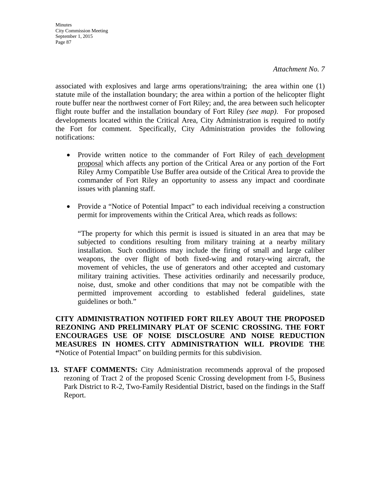**Minutes** City Commission Meeting September 1, 2015 Page 87

associated with explosives and large arms operations/training; the area within one (1) statute mile of the installation boundary; the area within a portion of the helicopter flight route buffer near the northwest corner of Fort Riley; and, the area between such helicopter flight route buffer and the installation boundary of Fort Riley *(see map)*. For proposed developments located within the Critical Area, City Administration is required to notify the Fort for comment. Specifically, City Administration provides the following notifications:

- Provide written notice to the commander of Fort Riley of each development proposal which affects any portion of the Critical Area or any portion of the Fort Riley Army Compatible Use Buffer area outside of the Critical Area to provide the commander of Fort Riley an opportunity to assess any impact and coordinate issues with planning staff.
- Provide a "Notice of Potential Impact" to each individual receiving a construction permit for improvements within the Critical Area, which reads as follows:

"The property for which this permit is issued is situated in an area that may be subjected to conditions resulting from military training at a nearby military installation. Such conditions may include the firing of small and large caliber weapons, the over flight of both fixed-wing and rotary-wing aircraft, the movement of vehicles, the use of generators and other accepted and customary military training activities. These activities ordinarily and necessarily produce, noise, dust, smoke and other conditions that may not be compatible with the permitted improvement according to established federal guidelines, state guidelines or both."

**CITY ADMINISTRATION NOTIFIED FORT RILEY ABOUT THE PROPOSED REZONING AND PRELIMINARY PLAT OF SCENIC CROSSING. THE FORT ENCOURAGES USE OF NOISE DISCLOSURE AND NOISE REDUCTION MEASURES IN HOMES. CITY ADMINISTRATION WILL PROVIDE THE "**Notice of Potential Impact" on building permits for this subdivision.

**13. STAFF COMMENTS:** City Administration recommends approval of the proposed rezoning of Tract 2 of the proposed Scenic Crossing development from I-5, Business Park District to R-2, Two-Family Residential District, based on the findings in the Staff Report.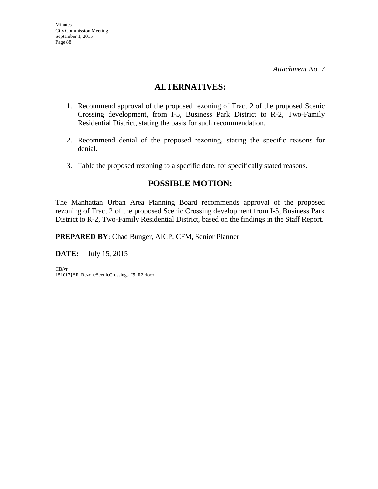# **ALTERNATIVES:**

- 1. Recommend approval of the proposed rezoning of Tract 2 of the proposed Scenic Crossing development, from I-5, Business Park District to R-2, Two-Family Residential District, stating the basis for such recommendation.
- 2. Recommend denial of the proposed rezoning, stating the specific reasons for denial.
- 3. Table the proposed rezoning to a specific date, for specifically stated reasons.

# **POSSIBLE MOTION:**

The Manhattan Urban Area Planning Board recommends approval of the proposed rezoning of Tract 2 of the proposed Scenic Crossing development from I-5, Business Park District to R-2, Two-Family Residential District, based on the findings in the Staff Report.

**PREPARED BY:** Chad Bunger, AICP, CFM, Senior Planner

**DATE:** July 15, 2015

CB/vr 151017}SR}RezoneScenicCrossings\_I5\_R2.docx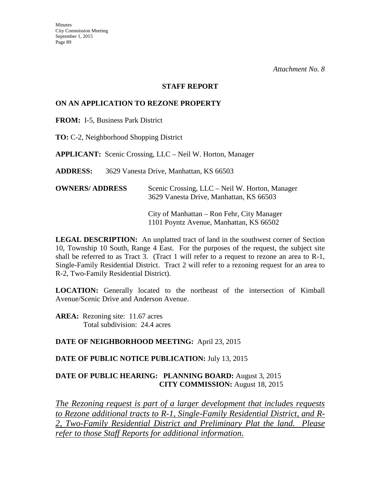#### **STAFF REPORT**

### **ON AN APPLICATION TO REZONE PROPERTY**

**FROM:** I-5, Business Park District

**TO:** C-2, Neighborhood Shopping District

**APPLICANT:** Scenic Crossing, LLC – Neil W. Horton, Manager

**ADDRESS:** 3629 Vanesta Drive, Manhattan, KS 66503

| <b>OWNERS/ ADDRESS</b> | Scenic Crossing, LLC – Neil W. Horton, Manager |
|------------------------|------------------------------------------------|
|                        | 3629 Vanesta Drive, Manhattan, KS 66503        |

 City of Manhattan – Ron Fehr, City Manager 1101 Poyntz Avenue, Manhattan, KS 66502

**LEGAL DESCRIPTION:** An unplatted tract of land in the southwest corner of Section 10, Township 10 South, Range 4 East. For the purposes of the request, the subject site shall be referred to as Tract 3. (Tract 1 will refer to a request to rezone an area to R-1, Single-Family Residential District. Tract 2 will refer to a rezoning request for an area to R-2, Two-Family Residential District).

**LOCATION:** Generally located to the northeast of the intersection of Kimball Avenue/Scenic Drive and Anderson Avenue.

AREA: Rezoning site: 11.67 acres Total subdivision: 24.4 acres

#### **DATE OF NEIGHBORHOOD MEETING:** April 23, 2015

#### **DATE OF PUBLIC NOTICE PUBLICATION:** July 13, 2015

### **DATE OF PUBLIC HEARING: PLANNING BOARD:** August 3, 2015 **CITY COMMISSION:** August 18, 2015

*The Rezoning request is part of a larger development that includes requests to Rezone additional tracts to R-1, Single-Family Residential District, and R-2, Two-Family Residential District and Preliminary Plat the land. Please refer to those Staff Reports for additional information.*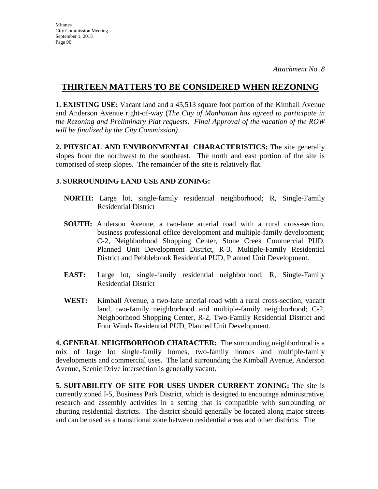# **THIRTEEN MATTERS TO BE CONSIDERED WHEN REZONING**

**1. EXISTING USE:** Vacant land and a 45,513 square foot portion of the Kimball Avenue and Anderson Avenue right-of-way (*The City of Manhattan has agreed to participate in the Rezoning and Preliminary Plat requests. Final Approval of the vacation of the ROW will be finalized by the City Commission)* 

**2. PHYSICAL AND ENVIRONMENTAL CHARACTERISTICS:** The site generally slopes from the northwest to the southeast. The north and east portion of the site is comprised of steep slopes. The remainder of the site is relatively flat.

## **3. SURROUNDING LAND USE AND ZONING:**

- **NORTH:** Large lot, single-family residential neighborhood; R, Single-Family Residential District
- **SOUTH:** Anderson Avenue, a two-lane arterial road with a rural cross-section, business professional office development and multiple-family development; C-2, Neighborhood Shopping Center, Stone Creek Commercial PUD, Planned Unit Development District, R-3, Multiple-Family Residential District and Pebblebrook Residential PUD, Planned Unit Development.
- **EAST:** Large lot, single-family residential neighborhood; R, Single-Family Residential District
- **WEST:** Kimball Avenue, a two-lane arterial road with a rural cross-section; vacant land, two-family neighborhood and multiple-family neighborhood; C-2, Neighborhood Shopping Center, R-2, Two-Family Residential District and Four Winds Residential PUD, Planned Unit Development.

**4. GENERAL NEIGHBORHOOD CHARACTER:** The surrounding neighborhood is a mix of large lot single-family homes, two-family homes and multiple-family developments and commercial uses. The land surrounding the Kimball Avenue, Anderson Avenue, Scenic Drive intersection is generally vacant.

**5. SUITABILITY OF SITE FOR USES UNDER CURRENT ZONING:** The site is currently zoned I-5, Business Park District, which is designed to encourage administrative, research and assembly activities in a setting that is compatible with surrounding or abutting residential districts. The district should generally be located along major streets and can be used as a transitional zone between residential areas and other districts. The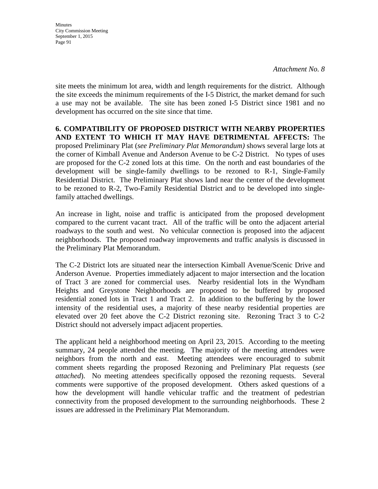**Minutes** City Commission Meeting September 1, 2015 Page 91

site meets the minimum lot area, width and length requirements for the district. Although the site exceeds the minimum requirements of the I-5 District, the market demand for such a use may not be available. The site has been zoned I-5 District since 1981 and no development has occurred on the site since that time.

**6. COMPATIBILITY OF PROPOSED DISTRICT WITH NEARBY PROPERTIES AND EXTENT TO WHICH IT MAY HAVE DETRIMENTAL AFFECTS:** The proposed Preliminary Plat (*see Preliminary Plat Memorandum)* shows several large lots at the corner of Kimball Avenue and Anderson Avenue to be C-2 District. No types of uses are proposed for the C-2 zoned lots at this time. On the north and east boundaries of the development will be single-family dwellings to be rezoned to R-1, Single-Family Residential District. The Preliminary Plat shows land near the center of the development to be rezoned to R-2, Two-Family Residential District and to be developed into singlefamily attached dwellings.

An increase in light, noise and traffic is anticipated from the proposed development compared to the current vacant tract. All of the traffic will be onto the adjacent arterial roadways to the south and west. No vehicular connection is proposed into the adjacent neighborhoods. The proposed roadway improvements and traffic analysis is discussed in the Preliminary Plat Memorandum.

The C-2 District lots are situated near the intersection Kimball Avenue/Scenic Drive and Anderson Avenue. Properties immediately adjacent to major intersection and the location of Tract 3 are zoned for commercial uses. Nearby residential lots in the Wyndham Heights and Greystone Neighborhoods are proposed to be buffered by proposed residential zoned lots in Tract 1 and Tract 2. In addition to the buffering by the lower intensity of the residential uses, a majority of these nearby residential properties are elevated over 20 feet above the C-2 District rezoning site. Rezoning Tract 3 to C-2 District should not adversely impact adjacent properties.

The applicant held a neighborhood meeting on April 23, 2015. According to the meeting summary, 24 people attended the meeting. The majority of the meeting attendees were neighbors from the north and east. Meeting attendees were encouraged to submit comment sheets regarding the proposed Rezoning and Preliminary Plat requests (*see attached*). No meeting attendees specifically opposed the rezoning requests. Several comments were supportive of the proposed development. Others asked questions of a how the development will handle vehicular traffic and the treatment of pedestrian connectivity from the proposed development to the surrounding neighborhoods. These 2 issues are addressed in the Preliminary Plat Memorandum.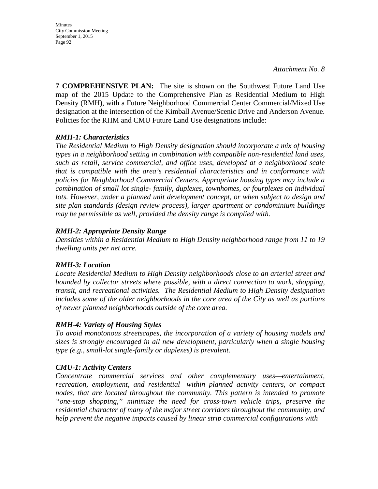Minutes City Commission Meeting September 1, 2015 Page 92

**7 COMPREHENSIVE PLAN:** The site is shown on the Southwest Future Land Use map of the 2015 Update to the Comprehensive Plan as Residential Medium to High Density (RMH), with a Future Neighborhood Commercial Center Commercial/Mixed Use designation at the intersection of the Kimball Avenue/Scenic Drive and Anderson Avenue. Policies for the RHM and CMU Future Land Use designations include:

### *RMH-1: Characteristics*

*The Residential Medium to High Density designation should incorporate a mix of housing types in a neighborhood setting in combination with compatible non-residential land uses, such as retail, service commercial, and office uses, developed at a neighborhood scale that is compatible with the area's residential characteristics and in conformance with policies for Neighborhood Commercial Centers. Appropriate housing types may include a combination of small lot single- family, duplexes, townhomes, or fourplexes on individual lots. However, under a planned unit development concept, or when subject to design and site plan standards (design review process), larger apartment or condominium buildings may be permissible as well, provided the density range is complied with.* 

### *RMH-2: Appropriate Density Range*

*Densities within a Residential Medium to High Density neighborhood range from 11 to 19 dwelling units per net acre.* 

#### *RMH-3: Location*

*Locate Residential Medium to High Density neighborhoods close to an arterial street and bounded by collector streets where possible, with a direct connection to work, shopping, transit, and recreational activities. The Residential Medium to High Density designation includes some of the older neighborhoods in the core area of the City as well as portions of newer planned neighborhoods outside of the core area.* 

### *RMH-4: Variety of Housing Styles*

*To avoid monotonous streetscapes, the incorporation of a variety of housing models and sizes is strongly encouraged in all new development, particularly when a single housing type (e.g., small-lot single-family or duplexes) is prevalent.* 

#### *CMU-1: Activity Centers*

*Concentrate commercial services and other complementary uses—entertainment, recreation, employment, and residential—within planned activity centers, or compact nodes, that are located throughout the community. This pattern is intended to promote "one-stop shopping," minimize the need for cross-town vehicle trips, preserve the residential character of many of the major street corridors throughout the community, and help prevent the negative impacts caused by linear strip commercial configurations with*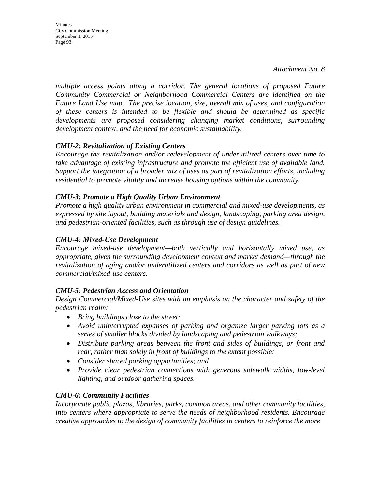*multiple access points along a corridor. The general locations of proposed Future Community Commercial or Neighborhood Commercial Centers are identified on the Future Land Use map. The precise location, size, overall mix of uses, and configuration of these centers is intended to be flexible and should be determined as specific developments are proposed considering changing market conditions, surrounding development context, and the need for economic sustainability.*

### *CMU-2: Revitalization of Existing Centers*

*Encourage the revitalization and/or redevelopment of underutilized centers over time to take advantage of existing infrastructure and promote the efficient use of available land. Support the integration of a broader mix of uses as part of revitalization efforts, including residential to promote vitality and increase housing options within the community.* 

### *CMU-3: Promote a High Quality Urban Environment*

*Promote a high quality urban environment in commercial and mixed-use developments, as expressed by site layout, building materials and design, landscaping, parking area design, and pedestrian-oriented facilities, such as through use of design guidelines.* 

### *CMU-4: Mixed-Use Development*

*Encourage mixed-use development—both vertically and horizontally mixed use, as appropriate, given the surrounding development context and market demand—through the revitalization of aging and/or underutilized centers and corridors as well as part of new commercial/mixed-use centers.*

#### *CMU-5: Pedestrian Access and Orientation*

*Design Commercial/Mixed-Use sites with an emphasis on the character and safety of the pedestrian realm:* 

- *Bring buildings close to the street;*
- *Avoid uninterrupted expanses of parking and organize larger parking lots as a series of smaller blocks divided by landscaping and pedestrian walkways;*
- *Distribute parking areas between the front and sides of buildings, or front and rear, rather than solely in front of buildings to the extent possible;*
- *Consider shared parking opportunities; and*
- *Provide clear pedestrian connections with generous sidewalk widths, low-level lighting, and outdoor gathering spaces.*

#### *CMU-6: Community Facilities*

*Incorporate public plazas, libraries, parks, common areas, and other community facilities, into centers where appropriate to serve the needs of neighborhood residents. Encourage creative approaches to the design of community facilities in centers to reinforce the more*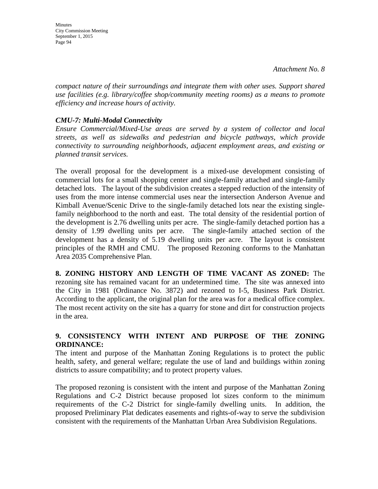**Minutes** City Commission Meeting September 1, 2015 Page 94

*compact nature of their surroundings and integrate them with other uses. Support shared use facilities (e.g. library/coffee shop/community meeting rooms) as a means to promote efficiency and increase hours of activity.*

### *CMU-7: Multi-Modal Connectivity*

*Ensure Commercial/Mixed-Use areas are served by a system of collector and local streets, as well as sidewalks and pedestrian and bicycle pathways, which provide connectivity to surrounding neighborhoods, adjacent employment areas, and existing or planned transit services.* 

The overall proposal for the development is a mixed-use development consisting of commercial lots for a small shopping center and single-family attached and single-family detached lots. The layout of the subdivision creates a stepped reduction of the intensity of uses from the more intense commercial uses near the intersection Anderson Avenue and Kimball Avenue/Scenic Drive to the single-family detached lots near the existing singlefamily neighborhood to the north and east. The total density of the residential portion of the development is 2.76 dwelling units per acre. The single-family detached portion has a density of 1.99 dwelling units per acre. The single-family attached section of the development has a density of 5.19 dwelling units per acre. The layout is consistent principles of the RMH and CMU. The proposed Rezoning conforms to the Manhattan Area 2035 Comprehensive Plan.

**8. ZONING HISTORY AND LENGTH OF TIME VACANT AS ZONED:** The rezoning site has remained vacant for an undetermined time. The site was annexed into the City in 1981 (Ordinance No. 3872) and rezoned to I-5, Business Park District. According to the applicant, the original plan for the area was for a medical office complex. The most recent activity on the site has a quarry for stone and dirt for construction projects in the area.

### **9. CONSISTENCY WITH INTENT AND PURPOSE OF THE ZONING ORDINANCE:**

The intent and purpose of the Manhattan Zoning Regulations is to protect the public health, safety, and general welfare; regulate the use of land and buildings within zoning districts to assure compatibility; and to protect property values.

The proposed rezoning is consistent with the intent and purpose of the Manhattan Zoning Regulations and C-2 District because proposed lot sizes conform to the minimum requirements of the C-2 District for single-family dwelling units. In addition, the proposed Preliminary Plat dedicates easements and rights-of-way to serve the subdivision consistent with the requirements of the Manhattan Urban Area Subdivision Regulations.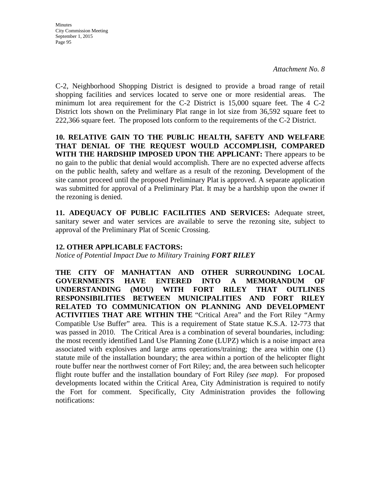C-2, Neighborhood Shopping District is designed to provide a broad range of retail shopping facilities and services located to serve one or more residential areas. The minimum lot area requirement for the C-2 District is 15,000 square feet. The 4 C-2 District lots shown on the Preliminary Plat range in lot size from 36,592 square feet to 222,366 square feet. The proposed lots conform to the requirements of the C-2 District.

**10. RELATIVE GAIN TO THE PUBLIC HEALTH, SAFETY AND WELFARE THAT DENIAL OF THE REQUEST WOULD ACCOMPLISH, COMPARED WITH THE HARDSHIP IMPOSED UPON THE APPLICANT:** There appears to be no gain to the public that denial would accomplish. There are no expected adverse affects on the public health, safety and welfare as a result of the rezoning. Development of the site cannot proceed until the proposed Preliminary Plat is approved. A separate application was submitted for approval of a Preliminary Plat. It may be a hardship upon the owner if the rezoning is denied.

**11. ADEQUACY OF PUBLIC FACILITIES AND SERVICES:** Adequate street, sanitary sewer and water services are available to serve the rezoning site, subject to approval of the Preliminary Plat of Scenic Crossing.

## **12. OTHER APPLICABLE FACTORS:**

*Notice of Potential Impact Due to Military Training FORT RILEY* 

**THE CITY OF MANHATTAN AND OTHER SURROUNDING LOCAL GOVERNMENTS HAVE ENTERED INTO A MEMORANDUM OF UNDERSTANDING (MOU) WITH FORT RILEY THAT OUTLINES RESPONSIBILITIES BETWEEN MUNICIPALITIES AND FORT RILEY RELATED TO COMMUNICATION ON PLANNING AND DEVELOPMENT ACTIVITIES THAT ARE WITHIN THE** "Critical Area" and the Fort Riley "Army Compatible Use Buffer" area. This is a requirement of State statue K.S.A. 12-773 that was passed in 2010. The Critical Area is a combination of several boundaries, including: the most recently identified Land Use Planning Zone (LUPZ) which is a noise impact area associated with explosives and large arms operations/training; the area within one (1) statute mile of the installation boundary; the area within a portion of the helicopter flight route buffer near the northwest corner of Fort Riley; and, the area between such helicopter flight route buffer and the installation boundary of Fort Riley *(see map)*. For proposed developments located within the Critical Area, City Administration is required to notify the Fort for comment. Specifically, City Administration provides the following notifications: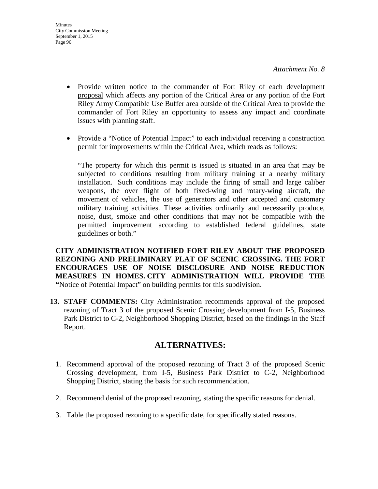- Provide written notice to the commander of Fort Riley of each development proposal which affects any portion of the Critical Area or any portion of the Fort Riley Army Compatible Use Buffer area outside of the Critical Area to provide the commander of Fort Riley an opportunity to assess any impact and coordinate issues with planning staff.
- Provide a "Notice of Potential Impact" to each individual receiving a construction permit for improvements within the Critical Area, which reads as follows:

"The property for which this permit is issued is situated in an area that may be subjected to conditions resulting from military training at a nearby military installation. Such conditions may include the firing of small and large caliber weapons, the over flight of both fixed-wing and rotary-wing aircraft, the movement of vehicles, the use of generators and other accepted and customary military training activities. These activities ordinarily and necessarily produce, noise, dust, smoke and other conditions that may not be compatible with the permitted improvement according to established federal guidelines, state guidelines or both."

**CITY ADMINISTRATION NOTIFIED FORT RILEY ABOUT THE PROPOSED REZONING AND PRELIMINARY PLAT OF SCENIC CROSSING. THE FORT ENCOURAGES USE OF NOISE DISCLOSURE AND NOISE REDUCTION MEASURES IN HOMES. CITY ADMINISTRATION WILL PROVIDE THE "**Notice of Potential Impact" on building permits for this subdivision.

**13. STAFF COMMENTS:** City Administration recommends approval of the proposed rezoning of Tract 3 of the proposed Scenic Crossing development from I-5, Business Park District to C-2, Neighborhood Shopping District, based on the findings in the Staff Report.

# **ALTERNATIVES:**

- 1. Recommend approval of the proposed rezoning of Tract 3 of the proposed Scenic Crossing development, from I-5, Business Park District to C-2, Neighborhood Shopping District, stating the basis for such recommendation.
- 2. Recommend denial of the proposed rezoning, stating the specific reasons for denial.
- 3. Table the proposed rezoning to a specific date, for specifically stated reasons.